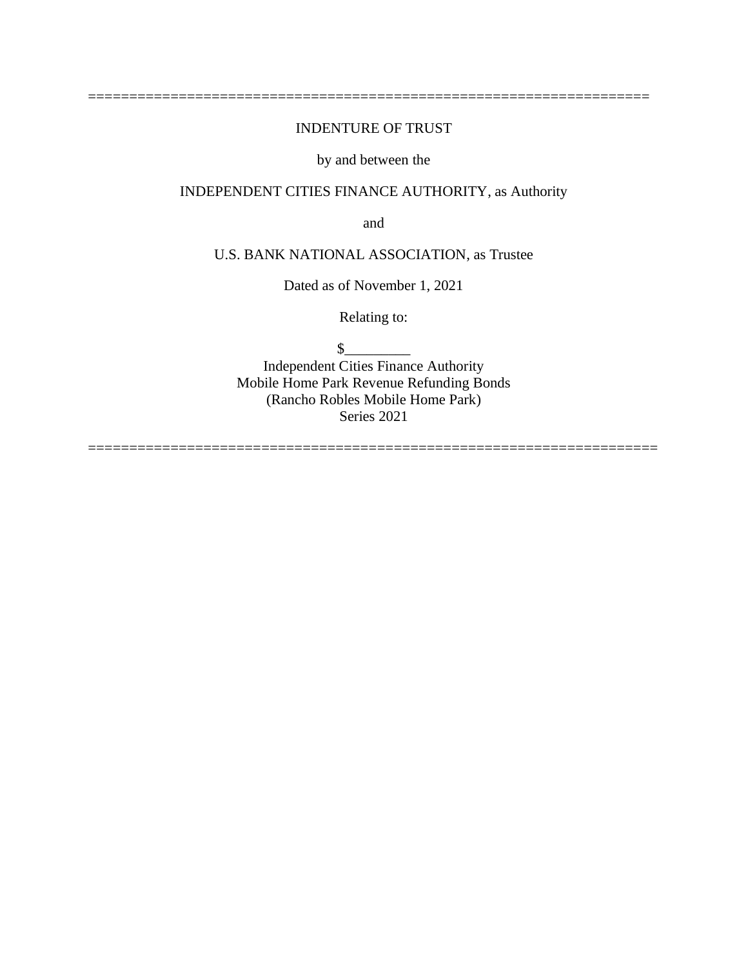# INDENTURE OF TRUST

====================================================================

# by and between the

# INDEPENDENT CITIES FINANCE AUTHORITY, as Authority

and

# U.S. BANK NATIONAL ASSOCIATION, as Trustee

Dated as of November 1, 2021

Relating to:

 $\frac{1}{2}$ 

Independent Cities Finance Authority Mobile Home Park Revenue Refunding Bonds (Rancho Robles Mobile Home Park) Series 2021

=====================================================================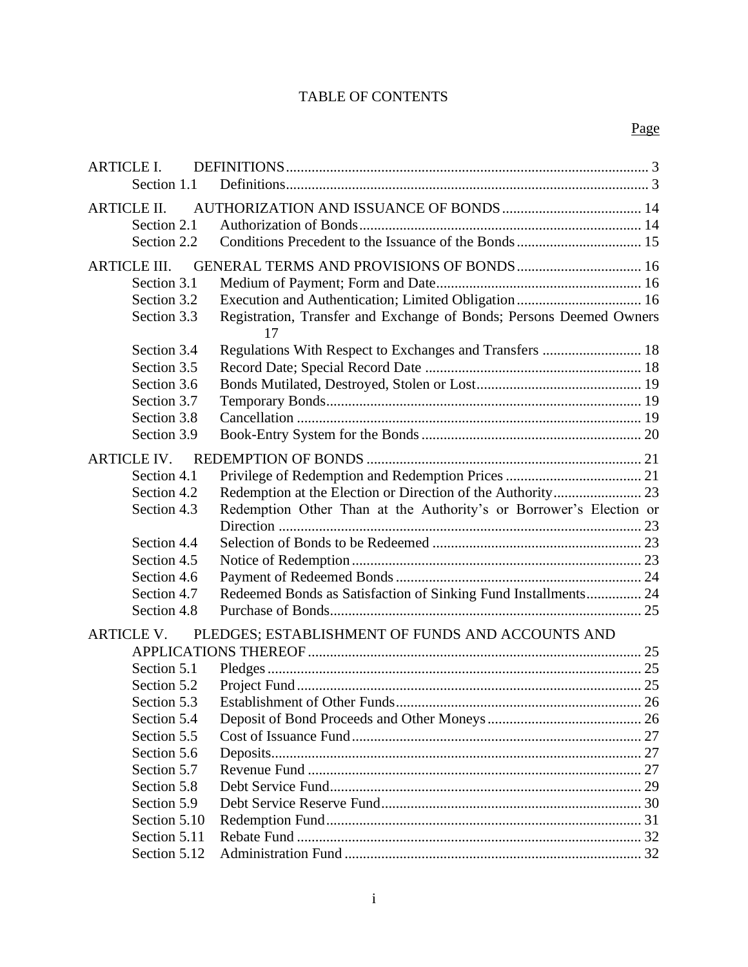# TABLE OF CONTENTS

| <b>ARTICLE I.</b>   |                                                                           |  |
|---------------------|---------------------------------------------------------------------------|--|
| Section 1.1         |                                                                           |  |
| <b>ARTICLE II.</b>  |                                                                           |  |
| Section 2.1         |                                                                           |  |
| Section 2.2         |                                                                           |  |
|                     |                                                                           |  |
| <b>ARTICLE III.</b> |                                                                           |  |
| Section 3.1         |                                                                           |  |
| Section 3.2         |                                                                           |  |
| Section 3.3         | Registration, Transfer and Exchange of Bonds; Persons Deemed Owners<br>17 |  |
| Section 3.4         |                                                                           |  |
| Section 3.5         |                                                                           |  |
| Section 3.6         |                                                                           |  |
| Section 3.7         |                                                                           |  |
| Section 3.8         |                                                                           |  |
| Section 3.9         |                                                                           |  |
| <b>ARTICLE IV.</b>  |                                                                           |  |
| Section 4.1         |                                                                           |  |
| Section 4.2         |                                                                           |  |
| Section 4.3         | Redemption Other Than at the Authority's or Borrower's Election or        |  |
|                     |                                                                           |  |
| Section 4.4         |                                                                           |  |
| Section 4.5         |                                                                           |  |
| Section 4.6         |                                                                           |  |
| Section 4.7         | Redeemed Bonds as Satisfaction of Sinking Fund Installments 24            |  |
| Section 4.8         |                                                                           |  |
| <b>ARTICLE V.</b>   | PLEDGES; ESTABLISHMENT OF FUNDS AND ACCOUNTS AND                          |  |
|                     |                                                                           |  |
| Section 5.1         |                                                                           |  |
| Section 5.2         |                                                                           |  |
| Section 5.3         |                                                                           |  |
| Section 5.4         |                                                                           |  |
| Section 5.5         |                                                                           |  |
| Section 5.6         |                                                                           |  |
| Section 5.7         |                                                                           |  |
| Section 5.8         |                                                                           |  |
| Section 5.9         |                                                                           |  |
| Section 5.10        |                                                                           |  |
| Section 5.11        |                                                                           |  |
| Section 5.12        |                                                                           |  |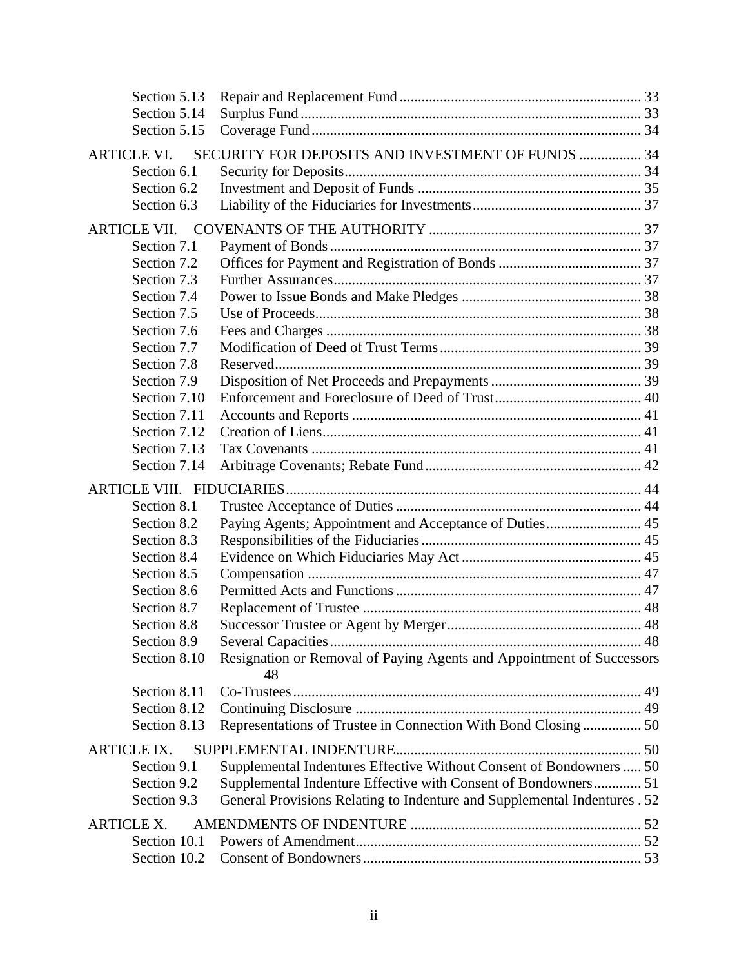| Section 5.13        |                                                                           |  |
|---------------------|---------------------------------------------------------------------------|--|
| Section 5.14        |                                                                           |  |
| Section 5.15        |                                                                           |  |
| <b>ARTICLE VI.</b>  | SECURITY FOR DEPOSITS AND INVESTMENT OF FUNDS  34                         |  |
| Section 6.1         |                                                                           |  |
| Section 6.2         |                                                                           |  |
| Section 6.3         |                                                                           |  |
| <b>ARTICLE VII.</b> |                                                                           |  |
| Section 7.1         |                                                                           |  |
| Section 7.2         |                                                                           |  |
| Section 7.3         |                                                                           |  |
| Section 7.4         |                                                                           |  |
| Section 7.5         |                                                                           |  |
| Section 7.6         |                                                                           |  |
| Section 7.7         |                                                                           |  |
| Section 7.8         |                                                                           |  |
| Section 7.9         |                                                                           |  |
| Section 7.10        |                                                                           |  |
| Section 7.11        |                                                                           |  |
| Section 7.12        |                                                                           |  |
| Section 7.13        |                                                                           |  |
| Section 7.14        |                                                                           |  |
|                     |                                                                           |  |
| Section 8.1         |                                                                           |  |
| Section 8.2         | Paying Agents; Appointment and Acceptance of Duties 45                    |  |
| Section 8.3         |                                                                           |  |
| Section 8.4         |                                                                           |  |
| Section 8.5         |                                                                           |  |
| Section 8.6         |                                                                           |  |
| Section 8.7         |                                                                           |  |
| Section 8.8         |                                                                           |  |
| Section 8.9         |                                                                           |  |
| Section 8.10        | Resignation or Removal of Paying Agents and Appointment of Successors     |  |
|                     | 48                                                                        |  |
| Section 8.11        |                                                                           |  |
| Section 8.12        |                                                                           |  |
| Section 8.13        | Representations of Trustee in Connection With Bond Closing 50             |  |
| <b>ARTICLE IX.</b>  |                                                                           |  |
| Section 9.1         | Supplemental Indentures Effective Without Consent of Bondowners  50       |  |
| Section 9.2         | Supplemental Indenture Effective with Consent of Bondowners 51            |  |
| Section 9.3         | General Provisions Relating to Indenture and Supplemental Indentures . 52 |  |
| <b>ARTICLE X.</b>   |                                                                           |  |
| Section 10.1        |                                                                           |  |
| Section 10.2        |                                                                           |  |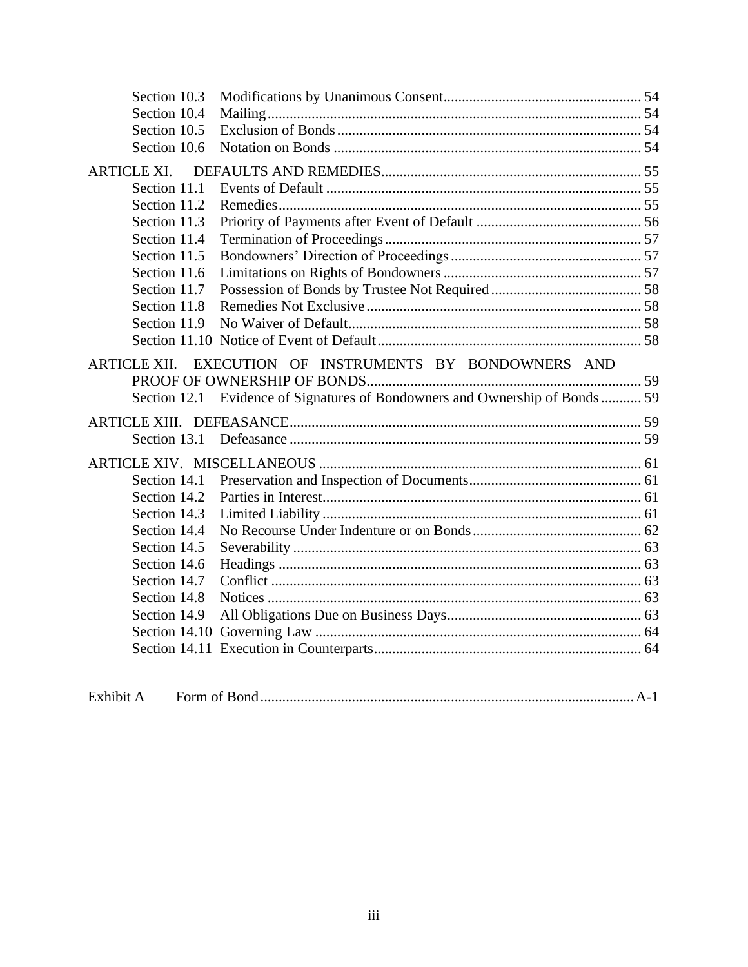| Section 10.3        |                                                                              |  |
|---------------------|------------------------------------------------------------------------------|--|
| Section 10.4        |                                                                              |  |
| Section 10.5        |                                                                              |  |
| Section 10.6        |                                                                              |  |
| <b>ARTICLE XI.</b>  |                                                                              |  |
| Section 11.1        |                                                                              |  |
| Section 11.2        |                                                                              |  |
| Section 11.3        |                                                                              |  |
| Section 11.4        |                                                                              |  |
| Section 11.5        |                                                                              |  |
| Section 11.6        |                                                                              |  |
| Section 11.7        |                                                                              |  |
| Section 11.8        |                                                                              |  |
| Section 11.9        |                                                                              |  |
|                     |                                                                              |  |
| <b>ARTICLE XII.</b> | EXECUTION OF INSTRUMENTS BY BONDOWNERS AND                                   |  |
|                     |                                                                              |  |
|                     | Section 12.1 Evidence of Signatures of Bondowners and Ownership of Bonds  59 |  |
|                     |                                                                              |  |
|                     |                                                                              |  |
|                     |                                                                              |  |
| Section 14.1        |                                                                              |  |
|                     |                                                                              |  |
| Section 14.2        |                                                                              |  |
| Section 14.3        |                                                                              |  |
| Section 14.4        |                                                                              |  |
| Section 14.5        |                                                                              |  |
| Section 14.6        |                                                                              |  |
| Section 14.7        |                                                                              |  |
| Section 14.8        |                                                                              |  |
| Section 14.9        |                                                                              |  |
|                     |                                                                              |  |
|                     |                                                                              |  |

| Exhibit A |  |
|-----------|--|
|-----------|--|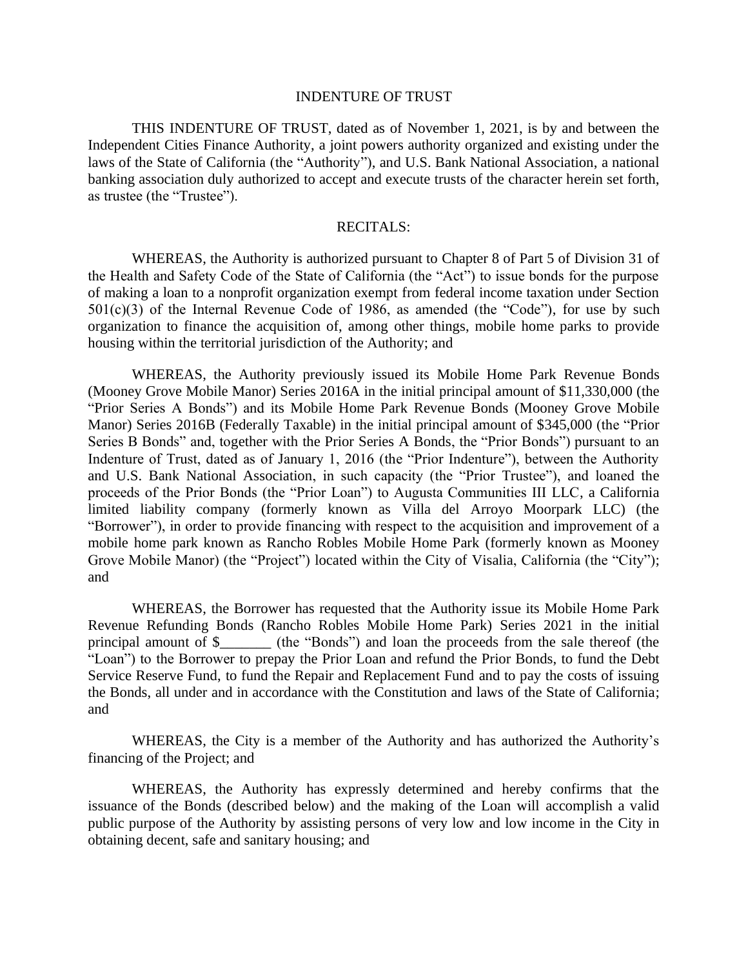#### INDENTURE OF TRUST

THIS INDENTURE OF TRUST, dated as of November 1, 2021, is by and between the Independent Cities Finance Authority, a joint powers authority organized and existing under the laws of the State of California (the "Authority"), and U.S. Bank National Association, a national banking association duly authorized to accept and execute trusts of the character herein set forth, as trustee (the "Trustee").

#### RECITALS:

WHEREAS, the Authority is authorized pursuant to Chapter 8 of Part 5 of Division 31 of the Health and Safety Code of the State of California (the "Act") to issue bonds for the purpose of making a loan to a nonprofit organization exempt from federal income taxation under Section  $501(c)(3)$  of the Internal Revenue Code of 1986, as amended (the "Code"), for use by such organization to finance the acquisition of, among other things, mobile home parks to provide housing within the territorial jurisdiction of the Authority; and

WHEREAS, the Authority previously issued its Mobile Home Park Revenue Bonds (Mooney Grove Mobile Manor) Series 2016A in the initial principal amount of \$11,330,000 (the "Prior Series A Bonds") and its Mobile Home Park Revenue Bonds (Mooney Grove Mobile Manor) Series 2016B (Federally Taxable) in the initial principal amount of \$345,000 (the "Prior Series B Bonds" and, together with the Prior Series A Bonds, the "Prior Bonds") pursuant to an Indenture of Trust, dated as of January 1, 2016 (the "Prior Indenture"), between the Authority and U.S. Bank National Association, in such capacity (the "Prior Trustee"), and loaned the proceeds of the Prior Bonds (the "Prior Loan") to Augusta Communities III LLC, a California limited liability company (formerly known as Villa del Arroyo Moorpark LLC) (the "Borrower"), in order to provide financing with respect to the acquisition and improvement of a mobile home park known as Rancho Robles Mobile Home Park (formerly known as Mooney Grove Mobile Manor) (the "Project") located within the City of Visalia, California (the "City"); and

WHEREAS, the Borrower has requested that the Authority issue its Mobile Home Park Revenue Refunding Bonds (Rancho Robles Mobile Home Park) Series 2021 in the initial principal amount of \$\_\_\_\_\_\_\_ (the "Bonds") and loan the proceeds from the sale thereof (the "Loan") to the Borrower to prepay the Prior Loan and refund the Prior Bonds, to fund the Debt Service Reserve Fund, to fund the Repair and Replacement Fund and to pay the costs of issuing the Bonds, all under and in accordance with the Constitution and laws of the State of California; and

WHEREAS, the City is a member of the Authority and has authorized the Authority's financing of the Project; and

WHEREAS, the Authority has expressly determined and hereby confirms that the issuance of the Bonds (described below) and the making of the Loan will accomplish a valid public purpose of the Authority by assisting persons of very low and low income in the City in obtaining decent, safe and sanitary housing; and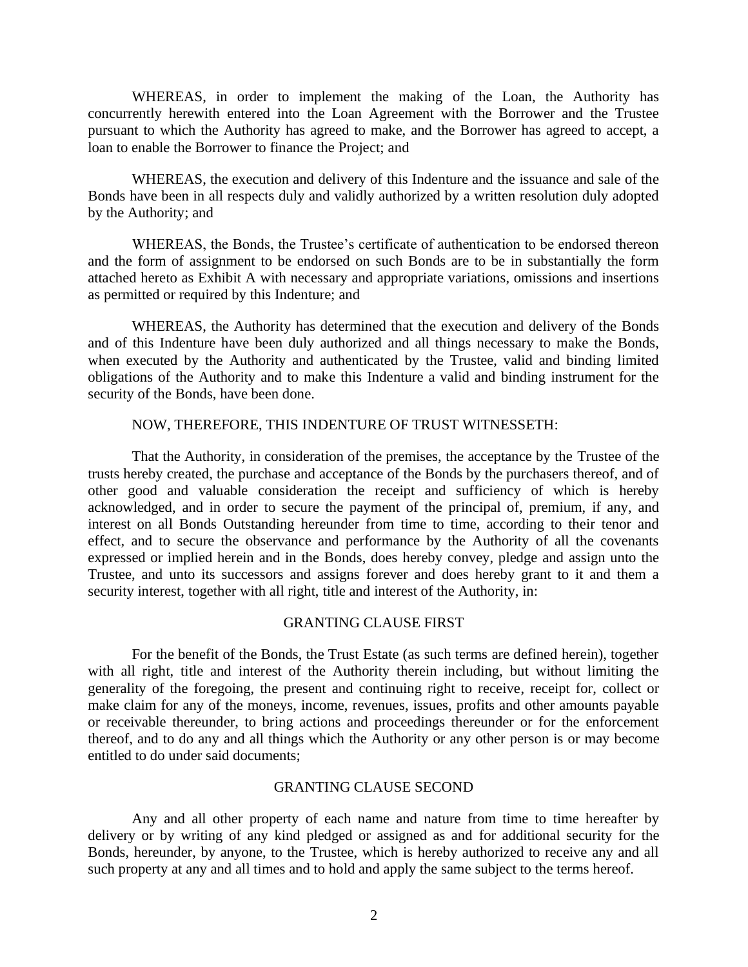WHEREAS, in order to implement the making of the Loan, the Authority has concurrently herewith entered into the Loan Agreement with the Borrower and the Trustee pursuant to which the Authority has agreed to make, and the Borrower has agreed to accept, a loan to enable the Borrower to finance the Project; and

WHEREAS, the execution and delivery of this Indenture and the issuance and sale of the Bonds have been in all respects duly and validly authorized by a written resolution duly adopted by the Authority; and

WHEREAS, the Bonds, the Trustee's certificate of authentication to be endorsed thereon and the form of assignment to be endorsed on such Bonds are to be in substantially the form attached hereto as Exhibit A with necessary and appropriate variations, omissions and insertions as permitted or required by this Indenture; and

WHEREAS, the Authority has determined that the execution and delivery of the Bonds and of this Indenture have been duly authorized and all things necessary to make the Bonds, when executed by the Authority and authenticated by the Trustee, valid and binding limited obligations of the Authority and to make this Indenture a valid and binding instrument for the security of the Bonds, have been done.

#### NOW, THEREFORE, THIS INDENTURE OF TRUST WITNESSETH:

That the Authority, in consideration of the premises, the acceptance by the Trustee of the trusts hereby created, the purchase and acceptance of the Bonds by the purchasers thereof, and of other good and valuable consideration the receipt and sufficiency of which is hereby acknowledged, and in order to secure the payment of the principal of, premium, if any, and interest on all Bonds Outstanding hereunder from time to time, according to their tenor and effect, and to secure the observance and performance by the Authority of all the covenants expressed or implied herein and in the Bonds, does hereby convey, pledge and assign unto the Trustee, and unto its successors and assigns forever and does hereby grant to it and them a security interest, together with all right, title and interest of the Authority, in:

#### GRANTING CLAUSE FIRST

For the benefit of the Bonds, the Trust Estate (as such terms are defined herein), together with all right, title and interest of the Authority therein including, but without limiting the generality of the foregoing, the present and continuing right to receive, receipt for, collect or make claim for any of the moneys, income, revenues, issues, profits and other amounts payable or receivable thereunder, to bring actions and proceedings thereunder or for the enforcement thereof, and to do any and all things which the Authority or any other person is or may become entitled to do under said documents;

#### GRANTING CLAUSE SECOND

Any and all other property of each name and nature from time to time hereafter by delivery or by writing of any kind pledged or assigned as and for additional security for the Bonds, hereunder, by anyone, to the Trustee, which is hereby authorized to receive any and all such property at any and all times and to hold and apply the same subject to the terms hereof.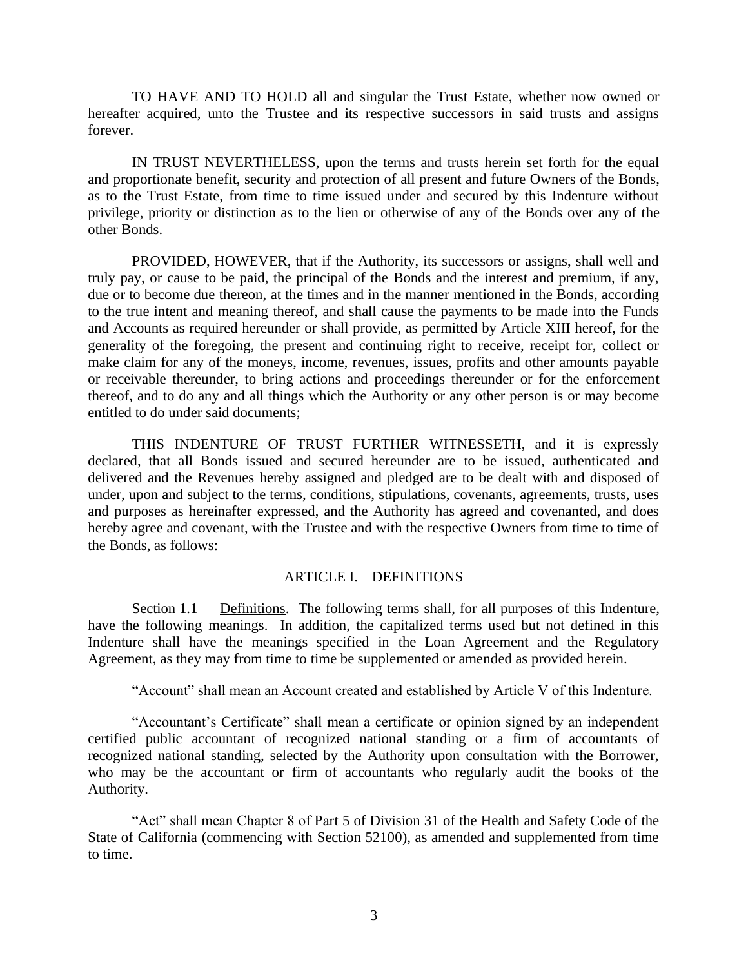TO HAVE AND TO HOLD all and singular the Trust Estate, whether now owned or hereafter acquired, unto the Trustee and its respective successors in said trusts and assigns forever.

IN TRUST NEVERTHELESS, upon the terms and trusts herein set forth for the equal and proportionate benefit, security and protection of all present and future Owners of the Bonds, as to the Trust Estate, from time to time issued under and secured by this Indenture without privilege, priority or distinction as to the lien or otherwise of any of the Bonds over any of the other Bonds.

PROVIDED, HOWEVER, that if the Authority, its successors or assigns, shall well and truly pay, or cause to be paid, the principal of the Bonds and the interest and premium, if any, due or to become due thereon, at the times and in the manner mentioned in the Bonds, according to the true intent and meaning thereof, and shall cause the payments to be made into the Funds and Accounts as required hereunder or shall provide, as permitted by Article XIII hereof, for the generality of the foregoing, the present and continuing right to receive, receipt for, collect or make claim for any of the moneys, income, revenues, issues, profits and other amounts payable or receivable thereunder, to bring actions and proceedings thereunder or for the enforcement thereof, and to do any and all things which the Authority or any other person is or may become entitled to do under said documents;

THIS INDENTURE OF TRUST FURTHER WITNESSETH, and it is expressly declared, that all Bonds issued and secured hereunder are to be issued, authenticated and delivered and the Revenues hereby assigned and pledged are to be dealt with and disposed of under, upon and subject to the terms, conditions, stipulations, covenants, agreements, trusts, uses and purposes as hereinafter expressed, and the Authority has agreed and covenanted, and does hereby agree and covenant, with the Trustee and with the respective Owners from time to time of the Bonds, as follows:

#### ARTICLE I. DEFINITIONS

Section 1.1 Definitions. The following terms shall, for all purposes of this Indenture, have the following meanings. In addition, the capitalized terms used but not defined in this Indenture shall have the meanings specified in the Loan Agreement and the Regulatory Agreement, as they may from time to time be supplemented or amended as provided herein.

"Account" shall mean an Account created and established by Article V of this Indenture.

"Accountant's Certificate" shall mean a certificate or opinion signed by an independent certified public accountant of recognized national standing or a firm of accountants of recognized national standing, selected by the Authority upon consultation with the Borrower, who may be the accountant or firm of accountants who regularly audit the books of the Authority.

"Act" shall mean Chapter 8 of Part 5 of Division 31 of the Health and Safety Code of the State of California (commencing with Section 52100), as amended and supplemented from time to time.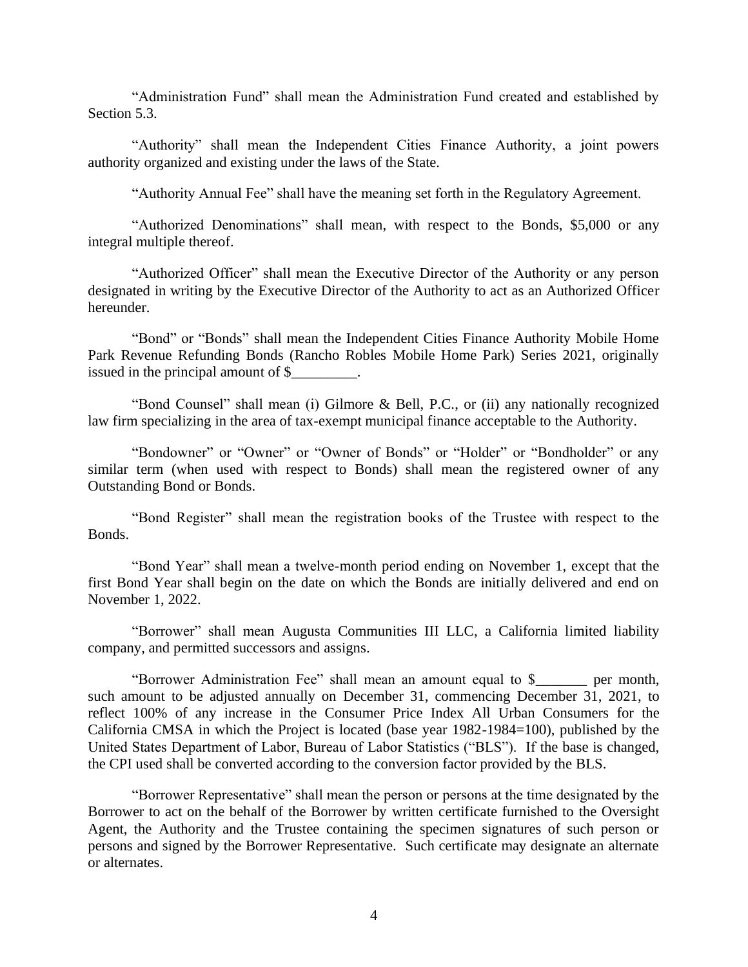"Administration Fund" shall mean the Administration Fund created and established by Section 5.3.

"Authority" shall mean the Independent Cities Finance Authority, a joint powers authority organized and existing under the laws of the State.

"Authority Annual Fee" shall have the meaning set forth in the Regulatory Agreement.

"Authorized Denominations" shall mean, with respect to the Bonds, \$5,000 or any integral multiple thereof.

"Authorized Officer" shall mean the Executive Director of the Authority or any person designated in writing by the Executive Director of the Authority to act as an Authorized Officer hereunder.

"Bond" or "Bonds" shall mean the Independent Cities Finance Authority Mobile Home Park Revenue Refunding Bonds (Rancho Robles Mobile Home Park) Series 2021, originally issued in the principal amount of \$

"Bond Counsel" shall mean (i) Gilmore & Bell, P.C., or (ii) any nationally recognized law firm specializing in the area of tax-exempt municipal finance acceptable to the Authority.

"Bondowner" or "Owner" or "Owner of Bonds" or "Holder" or "Bondholder" or any similar term (when used with respect to Bonds) shall mean the registered owner of any Outstanding Bond or Bonds.

"Bond Register" shall mean the registration books of the Trustee with respect to the Bonds.

"Bond Year" shall mean a twelve-month period ending on November 1, except that the first Bond Year shall begin on the date on which the Bonds are initially delivered and end on November 1, 2022.

"Borrower" shall mean Augusta Communities III LLC, a California limited liability company, and permitted successors and assigns.

"Borrower Administration Fee" shall mean an amount equal to \$\_\_\_\_\_\_\_ per month, such amount to be adjusted annually on December 31, commencing December 31, 2021, to reflect 100% of any increase in the Consumer Price Index All Urban Consumers for the California CMSA in which the Project is located (base year 1982-1984=100), published by the United States Department of Labor, Bureau of Labor Statistics ("BLS"). If the base is changed, the CPI used shall be converted according to the conversion factor provided by the BLS.

"Borrower Representative" shall mean the person or persons at the time designated by the Borrower to act on the behalf of the Borrower by written certificate furnished to the Oversight Agent, the Authority and the Trustee containing the specimen signatures of such person or persons and signed by the Borrower Representative. Such certificate may designate an alternate or alternates.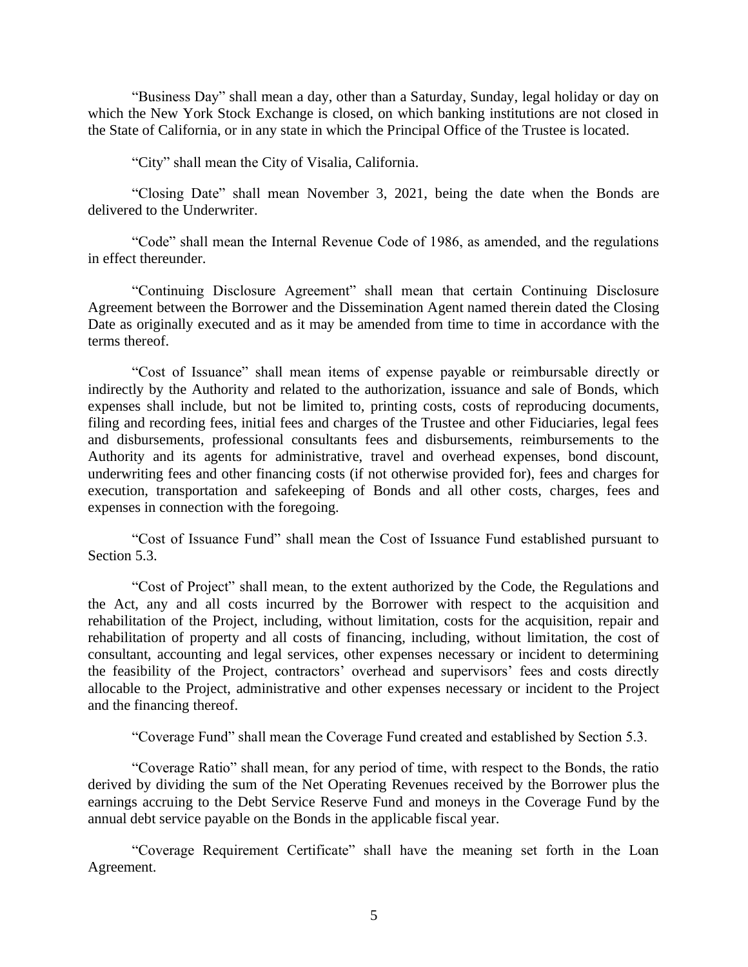"Business Day" shall mean a day, other than a Saturday, Sunday, legal holiday or day on which the New York Stock Exchange is closed, on which banking institutions are not closed in the State of California, or in any state in which the Principal Office of the Trustee is located.

"City" shall mean the City of Visalia, California.

"Closing Date" shall mean November 3, 2021, being the date when the Bonds are delivered to the Underwriter.

"Code" shall mean the Internal Revenue Code of 1986, as amended, and the regulations in effect thereunder.

"Continuing Disclosure Agreement" shall mean that certain Continuing Disclosure Agreement between the Borrower and the Dissemination Agent named therein dated the Closing Date as originally executed and as it may be amended from time to time in accordance with the terms thereof.

"Cost of Issuance" shall mean items of expense payable or reimbursable directly or indirectly by the Authority and related to the authorization, issuance and sale of Bonds, which expenses shall include, but not be limited to, printing costs, costs of reproducing documents, filing and recording fees, initial fees and charges of the Trustee and other Fiduciaries, legal fees and disbursements, professional consultants fees and disbursements, reimbursements to the Authority and its agents for administrative, travel and overhead expenses, bond discount, underwriting fees and other financing costs (if not otherwise provided for), fees and charges for execution, transportation and safekeeping of Bonds and all other costs, charges, fees and expenses in connection with the foregoing.

"Cost of Issuance Fund" shall mean the Cost of Issuance Fund established pursuant to Section 5.3.

"Cost of Project" shall mean, to the extent authorized by the Code, the Regulations and the Act, any and all costs incurred by the Borrower with respect to the acquisition and rehabilitation of the Project, including, without limitation, costs for the acquisition, repair and rehabilitation of property and all costs of financing, including, without limitation, the cost of consultant, accounting and legal services, other expenses necessary or incident to determining the feasibility of the Project, contractors' overhead and supervisors' fees and costs directly allocable to the Project, administrative and other expenses necessary or incident to the Project and the financing thereof.

"Coverage Fund" shall mean the Coverage Fund created and established by Section 5.3.

"Coverage Ratio" shall mean, for any period of time, with respect to the Bonds, the ratio derived by dividing the sum of the Net Operating Revenues received by the Borrower plus the earnings accruing to the Debt Service Reserve Fund and moneys in the Coverage Fund by the annual debt service payable on the Bonds in the applicable fiscal year.

"Coverage Requirement Certificate" shall have the meaning set forth in the Loan Agreement.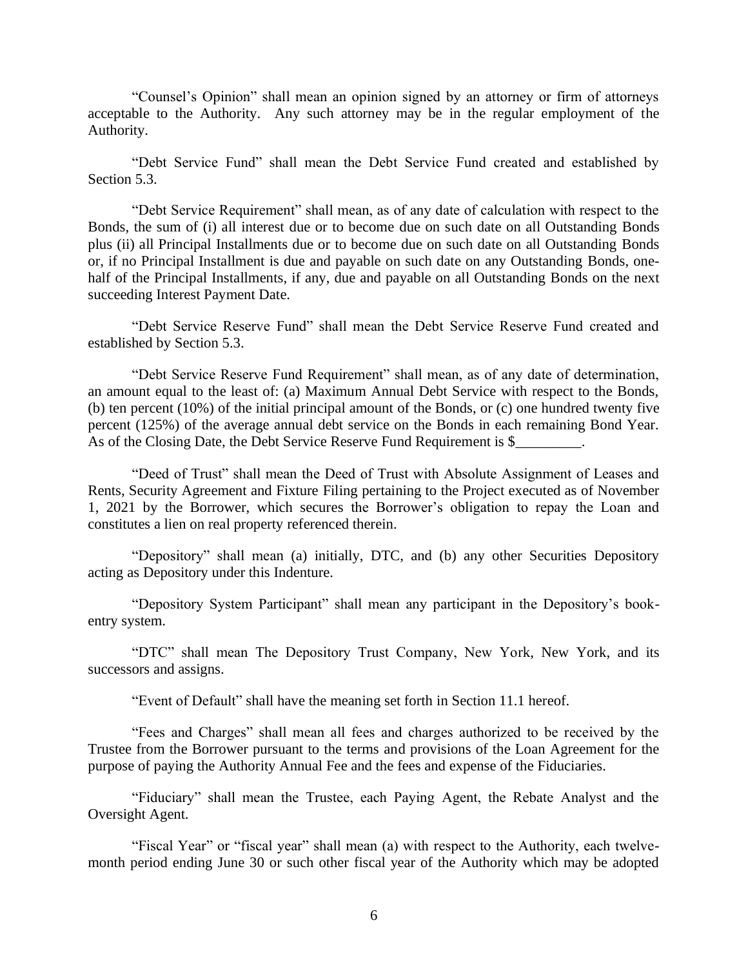"Counsel's Opinion" shall mean an opinion signed by an attorney or firm of attorneys acceptable to the Authority. Any such attorney may be in the regular employment of the Authority.

"Debt Service Fund" shall mean the Debt Service Fund created and established by Section 5.3.

"Debt Service Requirement" shall mean, as of any date of calculation with respect to the Bonds, the sum of (i) all interest due or to become due on such date on all Outstanding Bonds plus (ii) all Principal Installments due or to become due on such date on all Outstanding Bonds or, if no Principal Installment is due and payable on such date on any Outstanding Bonds, onehalf of the Principal Installments, if any, due and payable on all Outstanding Bonds on the next succeeding Interest Payment Date.

"Debt Service Reserve Fund" shall mean the Debt Service Reserve Fund created and established by Section 5.3.

"Debt Service Reserve Fund Requirement" shall mean, as of any date of determination, an amount equal to the least of: (a) Maximum Annual Debt Service with respect to the Bonds, (b) ten percent (10%) of the initial principal amount of the Bonds, or (c) one hundred twenty five percent (125%) of the average annual debt service on the Bonds in each remaining Bond Year. As of the Closing Date, the Debt Service Reserve Fund Requirement is \$

"Deed of Trust" shall mean the Deed of Trust with Absolute Assignment of Leases and Rents, Security Agreement and Fixture Filing pertaining to the Project executed as of November 1, 2021 by the Borrower, which secures the Borrower's obligation to repay the Loan and constitutes a lien on real property referenced therein.

"Depository" shall mean (a) initially, DTC, and (b) any other Securities Depository acting as Depository under this Indenture.

"Depository System Participant" shall mean any participant in the Depository's bookentry system.

"DTC" shall mean The Depository Trust Company, New York, New York, and its successors and assigns.

"Event of Default" shall have the meaning set forth in Section 11.1 hereof.

"Fees and Charges" shall mean all fees and charges authorized to be received by the Trustee from the Borrower pursuant to the terms and provisions of the Loan Agreement for the purpose of paying the Authority Annual Fee and the fees and expense of the Fiduciaries.

"Fiduciary" shall mean the Trustee, each Paying Agent, the Rebate Analyst and the Oversight Agent.

"Fiscal Year" or "fiscal year" shall mean (a) with respect to the Authority, each twelvemonth period ending June 30 or such other fiscal year of the Authority which may be adopted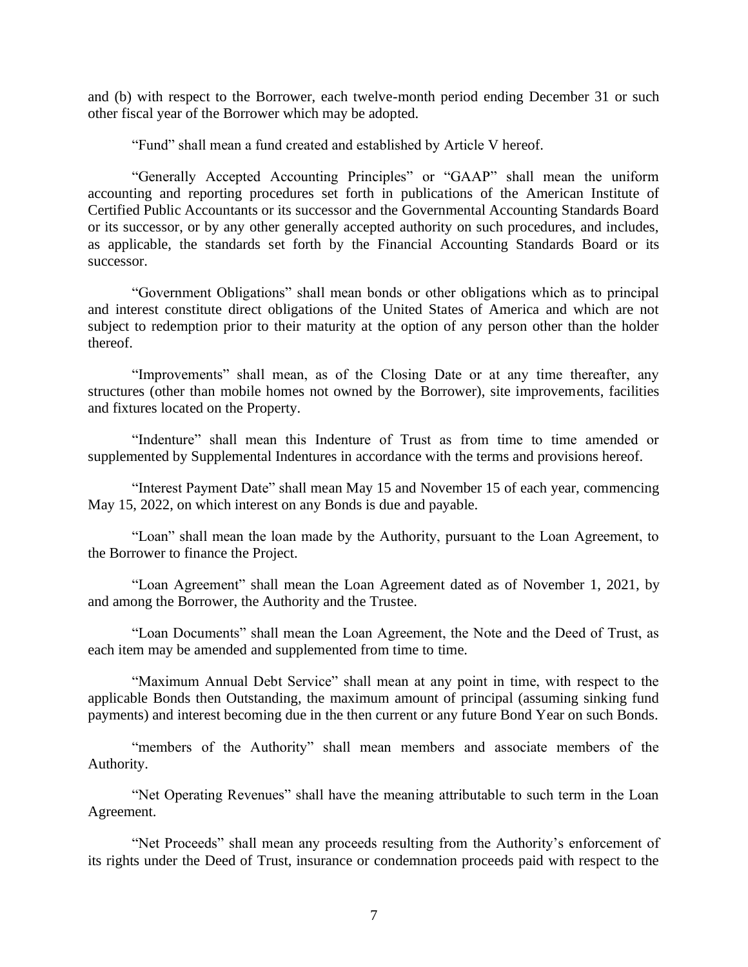and (b) with respect to the Borrower, each twelve-month period ending December 31 or such other fiscal year of the Borrower which may be adopted.

"Fund" shall mean a fund created and established by Article V hereof.

"Generally Accepted Accounting Principles" or "GAAP" shall mean the uniform accounting and reporting procedures set forth in publications of the American Institute of Certified Public Accountants or its successor and the Governmental Accounting Standards Board or its successor, or by any other generally accepted authority on such procedures, and includes, as applicable, the standards set forth by the Financial Accounting Standards Board or its successor.

"Government Obligations" shall mean bonds or other obligations which as to principal and interest constitute direct obligations of the United States of America and which are not subject to redemption prior to their maturity at the option of any person other than the holder thereof.

"Improvements" shall mean, as of the Closing Date or at any time thereafter, any structures (other than mobile homes not owned by the Borrower), site improvements, facilities and fixtures located on the Property.

"Indenture" shall mean this Indenture of Trust as from time to time amended or supplemented by Supplemental Indentures in accordance with the terms and provisions hereof.

"Interest Payment Date" shall mean May 15 and November 15 of each year, commencing May 15, 2022, on which interest on any Bonds is due and payable.

"Loan" shall mean the loan made by the Authority, pursuant to the Loan Agreement, to the Borrower to finance the Project.

"Loan Agreement" shall mean the Loan Agreement dated as of November 1, 2021, by and among the Borrower, the Authority and the Trustee.

"Loan Documents" shall mean the Loan Agreement, the Note and the Deed of Trust, as each item may be amended and supplemented from time to time.

"Maximum Annual Debt Service" shall mean at any point in time, with respect to the applicable Bonds then Outstanding, the maximum amount of principal (assuming sinking fund payments) and interest becoming due in the then current or any future Bond Year on such Bonds.

"members of the Authority" shall mean members and associate members of the Authority.

"Net Operating Revenues" shall have the meaning attributable to such term in the Loan Agreement.

"Net Proceeds" shall mean any proceeds resulting from the Authority's enforcement of its rights under the Deed of Trust, insurance or condemnation proceeds paid with respect to the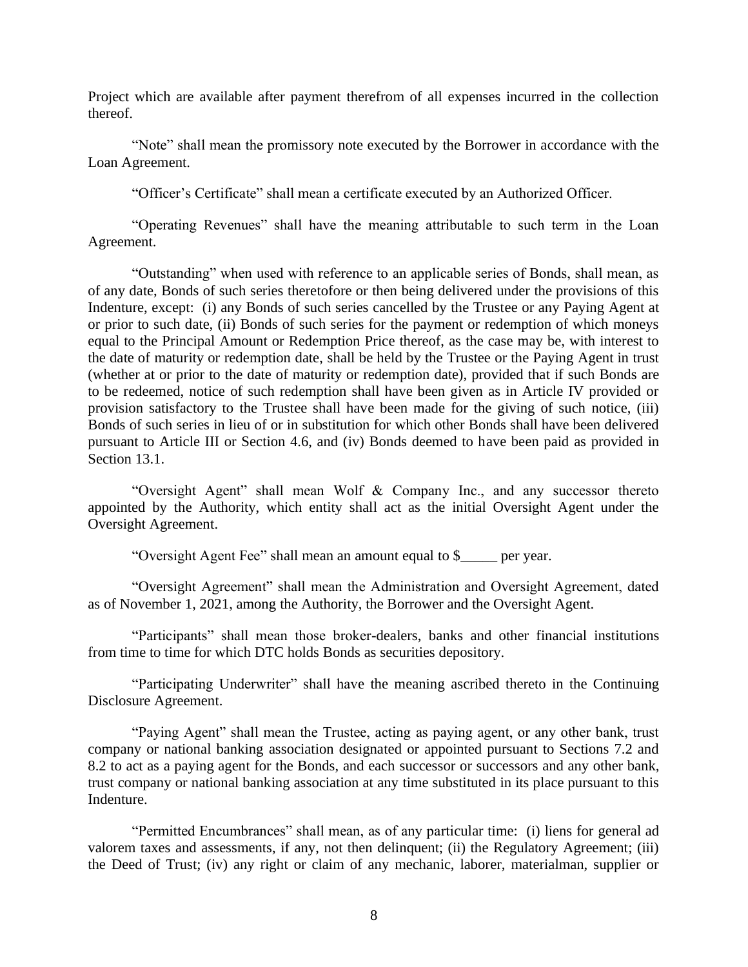Project which are available after payment therefrom of all expenses incurred in the collection thereof.

"Note" shall mean the promissory note executed by the Borrower in accordance with the Loan Agreement.

"Officer's Certificate" shall mean a certificate executed by an Authorized Officer.

"Operating Revenues" shall have the meaning attributable to such term in the Loan Agreement.

"Outstanding" when used with reference to an applicable series of Bonds, shall mean, as of any date, Bonds of such series theretofore or then being delivered under the provisions of this Indenture, except: (i) any Bonds of such series cancelled by the Trustee or any Paying Agent at or prior to such date, (ii) Bonds of such series for the payment or redemption of which moneys equal to the Principal Amount or Redemption Price thereof, as the case may be, with interest to the date of maturity or redemption date, shall be held by the Trustee or the Paying Agent in trust (whether at or prior to the date of maturity or redemption date), provided that if such Bonds are to be redeemed, notice of such redemption shall have been given as in Article IV provided or provision satisfactory to the Trustee shall have been made for the giving of such notice, (iii) Bonds of such series in lieu of or in substitution for which other Bonds shall have been delivered pursuant to Article III or Section 4.6, and (iv) Bonds deemed to have been paid as provided in Section 13.1.

"Oversight Agent" shall mean Wolf & Company Inc., and any successor thereto appointed by the Authority, which entity shall act as the initial Oversight Agent under the Oversight Agreement.

"Oversight Agent Fee" shall mean an amount equal to \$\_\_\_\_\_ per year.

"Oversight Agreement" shall mean the Administration and Oversight Agreement, dated as of November 1, 2021, among the Authority, the Borrower and the Oversight Agent.

"Participants" shall mean those broker-dealers, banks and other financial institutions from time to time for which DTC holds Bonds as securities depository.

"Participating Underwriter" shall have the meaning ascribed thereto in the Continuing Disclosure Agreement.

"Paying Agent" shall mean the Trustee, acting as paying agent, or any other bank, trust company or national banking association designated or appointed pursuant to Sections 7.2 and 8.2 to act as a paying agent for the Bonds, and each successor or successors and any other bank, trust company or national banking association at any time substituted in its place pursuant to this Indenture.

"Permitted Encumbrances" shall mean, as of any particular time: (i) liens for general ad valorem taxes and assessments, if any, not then delinquent; (ii) the Regulatory Agreement; (iii) the Deed of Trust; (iv) any right or claim of any mechanic, laborer, materialman, supplier or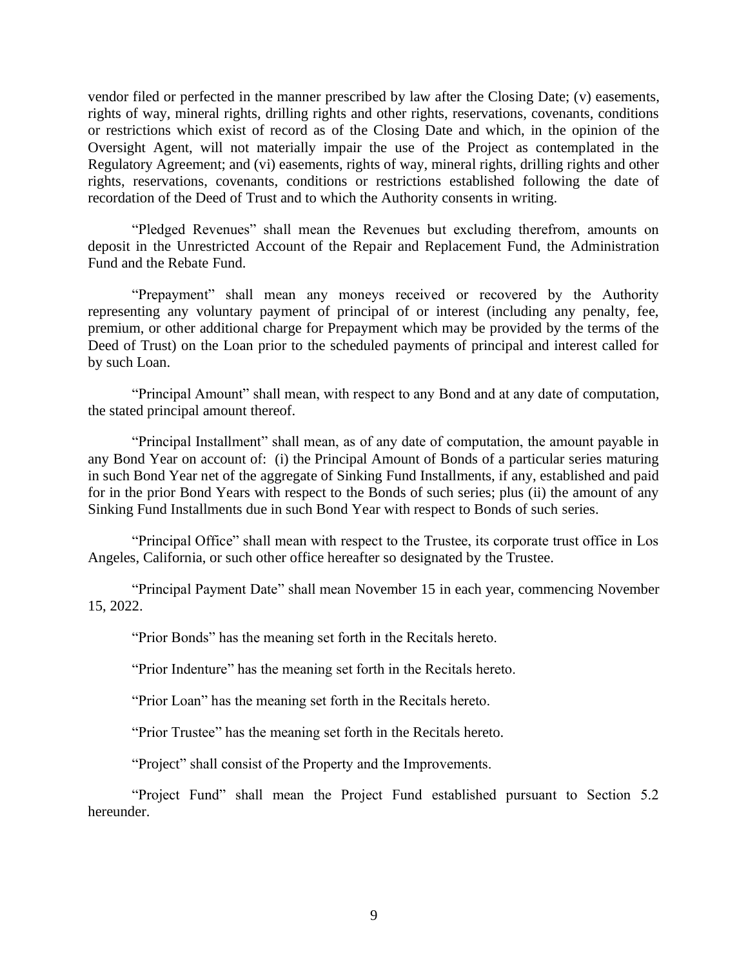vendor filed or perfected in the manner prescribed by law after the Closing Date; (v) easements, rights of way, mineral rights, drilling rights and other rights, reservations, covenants, conditions or restrictions which exist of record as of the Closing Date and which, in the opinion of the Oversight Agent, will not materially impair the use of the Project as contemplated in the Regulatory Agreement; and (vi) easements, rights of way, mineral rights, drilling rights and other rights, reservations, covenants, conditions or restrictions established following the date of recordation of the Deed of Trust and to which the Authority consents in writing.

"Pledged Revenues" shall mean the Revenues but excluding therefrom, amounts on deposit in the Unrestricted Account of the Repair and Replacement Fund, the Administration Fund and the Rebate Fund.

"Prepayment" shall mean any moneys received or recovered by the Authority representing any voluntary payment of principal of or interest (including any penalty, fee, premium, or other additional charge for Prepayment which may be provided by the terms of the Deed of Trust) on the Loan prior to the scheduled payments of principal and interest called for by such Loan.

"Principal Amount" shall mean, with respect to any Bond and at any date of computation, the stated principal amount thereof.

"Principal Installment" shall mean, as of any date of computation, the amount payable in any Bond Year on account of: (i) the Principal Amount of Bonds of a particular series maturing in such Bond Year net of the aggregate of Sinking Fund Installments, if any, established and paid for in the prior Bond Years with respect to the Bonds of such series; plus (ii) the amount of any Sinking Fund Installments due in such Bond Year with respect to Bonds of such series.

"Principal Office" shall mean with respect to the Trustee, its corporate trust office in Los Angeles, California, or such other office hereafter so designated by the Trustee.

"Principal Payment Date" shall mean November 15 in each year, commencing November 15, 2022.

"Prior Bonds" has the meaning set forth in the Recitals hereto.

"Prior Indenture" has the meaning set forth in the Recitals hereto.

"Prior Loan" has the meaning set forth in the Recitals hereto.

"Prior Trustee" has the meaning set forth in the Recitals hereto.

"Project" shall consist of the Property and the Improvements.

"Project Fund" shall mean the Project Fund established pursuant to Section 5.2 hereunder.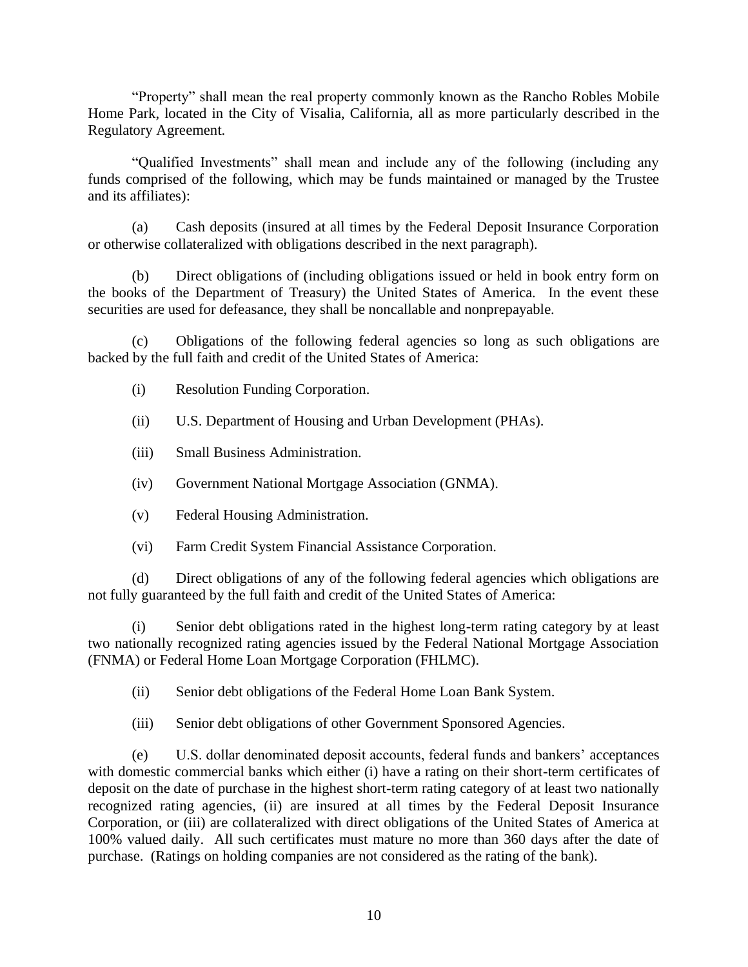"Property" shall mean the real property commonly known as the Rancho Robles Mobile Home Park, located in the City of Visalia, California, all as more particularly described in the Regulatory Agreement.

"Qualified Investments" shall mean and include any of the following (including any funds comprised of the following, which may be funds maintained or managed by the Trustee and its affiliates):

(a) Cash deposits (insured at all times by the Federal Deposit Insurance Corporation or otherwise collateralized with obligations described in the next paragraph).

(b) Direct obligations of (including obligations issued or held in book entry form on the books of the Department of Treasury) the United States of America. In the event these securities are used for defeasance, they shall be noncallable and nonprepayable.

(c) Obligations of the following federal agencies so long as such obligations are backed by the full faith and credit of the United States of America:

- (i) Resolution Funding Corporation.
- (ii) U.S. Department of Housing and Urban Development (PHAs).
- (iii) Small Business Administration.
- (iv) Government National Mortgage Association (GNMA).
- (v) Federal Housing Administration.
- (vi) Farm Credit System Financial Assistance Corporation.

(d) Direct obligations of any of the following federal agencies which obligations are not fully guaranteed by the full faith and credit of the United States of America:

(i) Senior debt obligations rated in the highest long-term rating category by at least two nationally recognized rating agencies issued by the Federal National Mortgage Association (FNMA) or Federal Home Loan Mortgage Corporation (FHLMC).

(ii) Senior debt obligations of the Federal Home Loan Bank System.

(iii) Senior debt obligations of other Government Sponsored Agencies.

(e) U.S. dollar denominated deposit accounts, federal funds and bankers' acceptances with domestic commercial banks which either (i) have a rating on their short-term certificates of deposit on the date of purchase in the highest short-term rating category of at least two nationally recognized rating agencies, (ii) are insured at all times by the Federal Deposit Insurance Corporation, or (iii) are collateralized with direct obligations of the United States of America at 100% valued daily. All such certificates must mature no more than 360 days after the date of purchase. (Ratings on holding companies are not considered as the rating of the bank).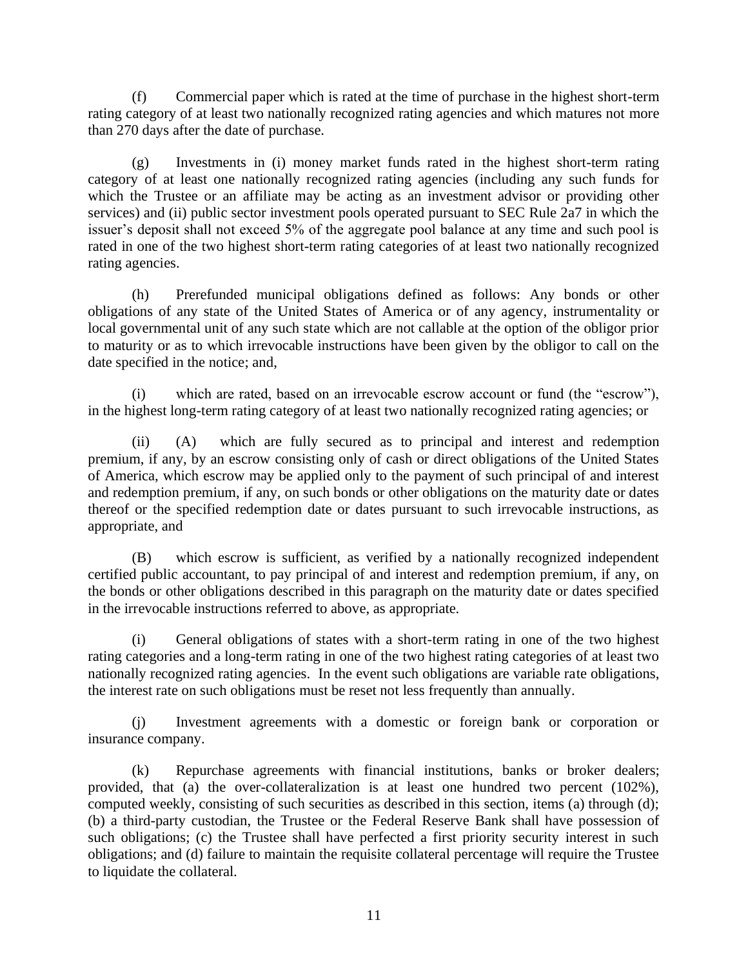(f) Commercial paper which is rated at the time of purchase in the highest short-term rating category of at least two nationally recognized rating agencies and which matures not more than 270 days after the date of purchase.

(g) Investments in (i) money market funds rated in the highest short-term rating category of at least one nationally recognized rating agencies (including any such funds for which the Trustee or an affiliate may be acting as an investment advisor or providing other services) and (ii) public sector investment pools operated pursuant to SEC Rule 2a7 in which the issuer's deposit shall not exceed 5% of the aggregate pool balance at any time and such pool is rated in one of the two highest short-term rating categories of at least two nationally recognized rating agencies.

(h) Prerefunded municipal obligations defined as follows: Any bonds or other obligations of any state of the United States of America or of any agency, instrumentality or local governmental unit of any such state which are not callable at the option of the obligor prior to maturity or as to which irrevocable instructions have been given by the obligor to call on the date specified in the notice; and,

(i) which are rated, based on an irrevocable escrow account or fund (the "escrow"), in the highest long-term rating category of at least two nationally recognized rating agencies; or

(ii) (A) which are fully secured as to principal and interest and redemption premium, if any, by an escrow consisting only of cash or direct obligations of the United States of America, which escrow may be applied only to the payment of such principal of and interest and redemption premium, if any, on such bonds or other obligations on the maturity date or dates thereof or the specified redemption date or dates pursuant to such irrevocable instructions, as appropriate, and

(B) which escrow is sufficient, as verified by a nationally recognized independent certified public accountant, to pay principal of and interest and redemption premium, if any, on the bonds or other obligations described in this paragraph on the maturity date or dates specified in the irrevocable instructions referred to above, as appropriate.

(i) General obligations of states with a short-term rating in one of the two highest rating categories and a long-term rating in one of the two highest rating categories of at least two nationally recognized rating agencies. In the event such obligations are variable rate obligations, the interest rate on such obligations must be reset not less frequently than annually.

(j) Investment agreements with a domestic or foreign bank or corporation or insurance company.

(k) Repurchase agreements with financial institutions, banks or broker dealers; provided, that (a) the over-collateralization is at least one hundred two percent (102%), computed weekly, consisting of such securities as described in this section, items (a) through (d); (b) a third-party custodian, the Trustee or the Federal Reserve Bank shall have possession of such obligations; (c) the Trustee shall have perfected a first priority security interest in such obligations; and (d) failure to maintain the requisite collateral percentage will require the Trustee to liquidate the collateral.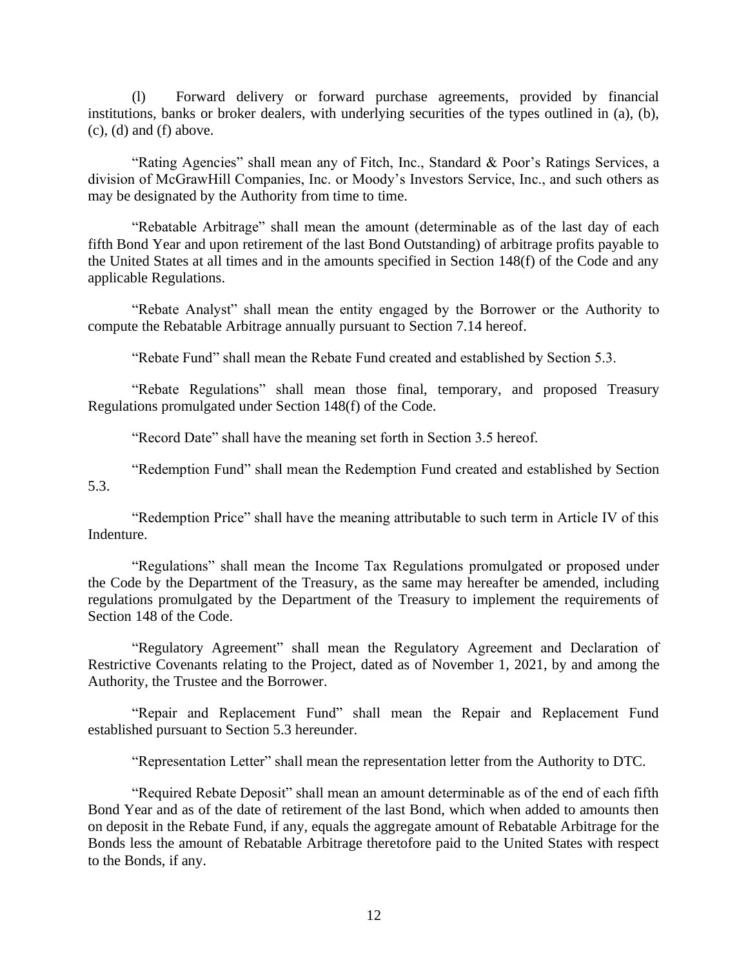(l) Forward delivery or forward purchase agreements, provided by financial institutions, banks or broker dealers, with underlying securities of the types outlined in (a), (b),  $(c)$ ,  $(d)$  and  $(f)$  above.

"Rating Agencies" shall mean any of Fitch, Inc., Standard & Poor's Ratings Services, a division of McGrawHill Companies, Inc. or Moody's Investors Service, Inc., and such others as may be designated by the Authority from time to time.

"Rebatable Arbitrage" shall mean the amount (determinable as of the last day of each fifth Bond Year and upon retirement of the last Bond Outstanding) of arbitrage profits payable to the United States at all times and in the amounts specified in Section 148(f) of the Code and any applicable Regulations.

"Rebate Analyst" shall mean the entity engaged by the Borrower or the Authority to compute the Rebatable Arbitrage annually pursuant to Section 7.14 hereof.

"Rebate Fund" shall mean the Rebate Fund created and established by Section 5.3.

"Rebate Regulations" shall mean those final, temporary, and proposed Treasury Regulations promulgated under Section 148(f) of the Code.

"Record Date" shall have the meaning set forth in Section 3.5 hereof.

"Redemption Fund" shall mean the Redemption Fund created and established by Section 5.3.

"Redemption Price" shall have the meaning attributable to such term in Article IV of this Indenture.

"Regulations" shall mean the Income Tax Regulations promulgated or proposed under the Code by the Department of the Treasury, as the same may hereafter be amended, including regulations promulgated by the Department of the Treasury to implement the requirements of Section 148 of the Code.

"Regulatory Agreement" shall mean the Regulatory Agreement and Declaration of Restrictive Covenants relating to the Project, dated as of November 1, 2021, by and among the Authority, the Trustee and the Borrower.

"Repair and Replacement Fund" shall mean the Repair and Replacement Fund established pursuant to Section 5.3 hereunder.

"Representation Letter" shall mean the representation letter from the Authority to DTC.

"Required Rebate Deposit" shall mean an amount determinable as of the end of each fifth Bond Year and as of the date of retirement of the last Bond, which when added to amounts then on deposit in the Rebate Fund, if any, equals the aggregate amount of Rebatable Arbitrage for the Bonds less the amount of Rebatable Arbitrage theretofore paid to the United States with respect to the Bonds, if any.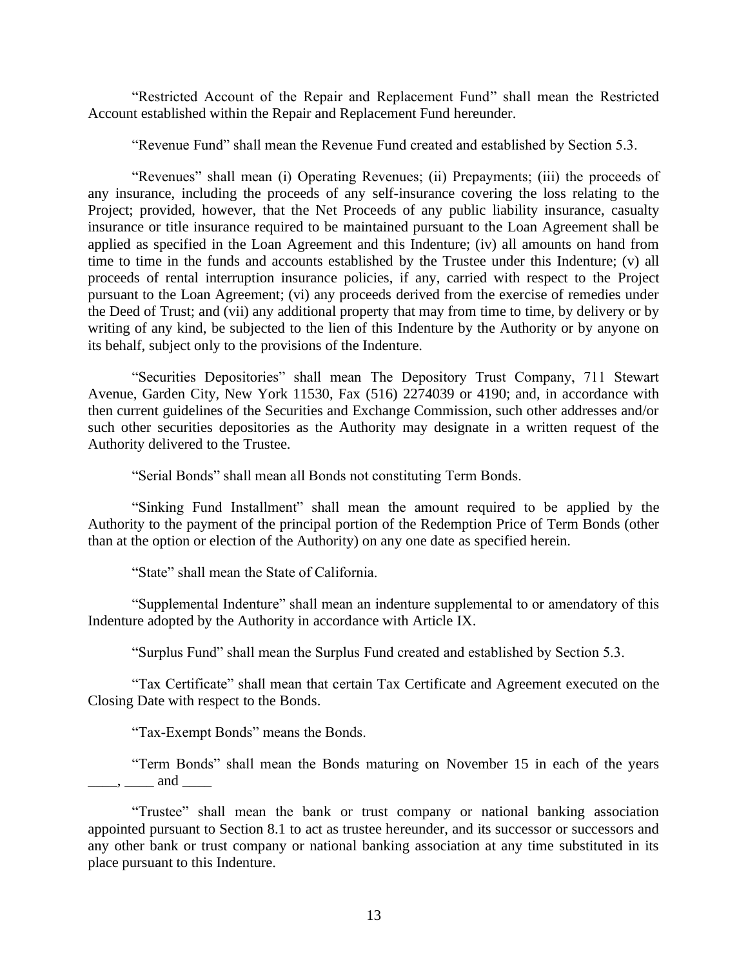"Restricted Account of the Repair and Replacement Fund" shall mean the Restricted Account established within the Repair and Replacement Fund hereunder.

"Revenue Fund" shall mean the Revenue Fund created and established by Section 5.3.

"Revenues" shall mean (i) Operating Revenues; (ii) Prepayments; (iii) the proceeds of any insurance, including the proceeds of any self-insurance covering the loss relating to the Project; provided, however, that the Net Proceeds of any public liability insurance, casualty insurance or title insurance required to be maintained pursuant to the Loan Agreement shall be applied as specified in the Loan Agreement and this Indenture; (iv) all amounts on hand from time to time in the funds and accounts established by the Trustee under this Indenture; (v) all proceeds of rental interruption insurance policies, if any, carried with respect to the Project pursuant to the Loan Agreement; (vi) any proceeds derived from the exercise of remedies under the Deed of Trust; and (vii) any additional property that may from time to time, by delivery or by writing of any kind, be subjected to the lien of this Indenture by the Authority or by anyone on its behalf, subject only to the provisions of the Indenture.

"Securities Depositories" shall mean The Depository Trust Company, 711 Stewart Avenue, Garden City, New York 11530, Fax (516) 2274039 or 4190; and, in accordance with then current guidelines of the Securities and Exchange Commission, such other addresses and/or such other securities depositories as the Authority may designate in a written request of the Authority delivered to the Trustee.

"Serial Bonds" shall mean all Bonds not constituting Term Bonds.

"Sinking Fund Installment" shall mean the amount required to be applied by the Authority to the payment of the principal portion of the Redemption Price of Term Bonds (other than at the option or election of the Authority) on any one date as specified herein.

"State" shall mean the State of California.

"Supplemental Indenture" shall mean an indenture supplemental to or amendatory of this Indenture adopted by the Authority in accordance with Article IX.

"Surplus Fund" shall mean the Surplus Fund created and established by Section 5.3.

"Tax Certificate" shall mean that certain Tax Certificate and Agreement executed on the Closing Date with respect to the Bonds.

"Tax-Exempt Bonds" means the Bonds.

"Term Bonds" shall mean the Bonds maturing on November 15 in each of the years  $\overline{\phantom{a}}$ ,  $\overline{\phantom{a}}$  and  $\overline{\phantom{a}}$ 

"Trustee" shall mean the bank or trust company or national banking association appointed pursuant to Section 8.1 to act as trustee hereunder, and its successor or successors and any other bank or trust company or national banking association at any time substituted in its place pursuant to this Indenture.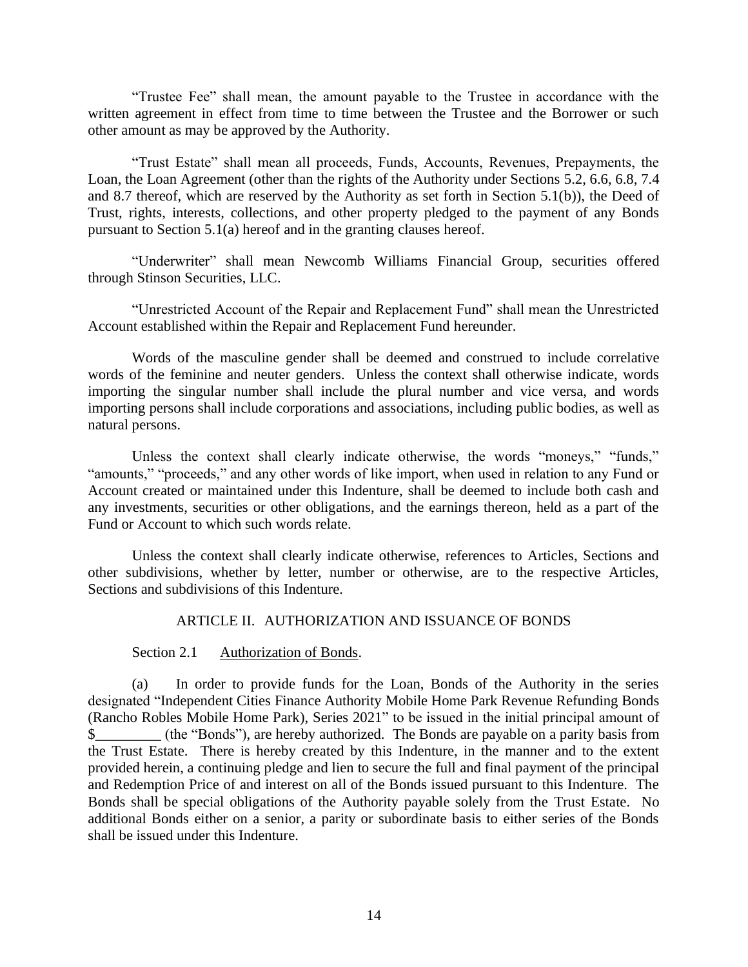"Trustee Fee" shall mean, the amount payable to the Trustee in accordance with the written agreement in effect from time to time between the Trustee and the Borrower or such other amount as may be approved by the Authority.

"Trust Estate" shall mean all proceeds, Funds, Accounts, Revenues, Prepayments, the Loan, the Loan Agreement (other than the rights of the Authority under Sections 5.2, 6.6, 6.8, 7.4 and 8.7 thereof, which are reserved by the Authority as set forth in Section 5.1(b)), the Deed of Trust, rights, interests, collections, and other property pledged to the payment of any Bonds pursuant to Section 5.1(a) hereof and in the granting clauses hereof.

"Underwriter" shall mean Newcomb Williams Financial Group, securities offered through Stinson Securities, LLC.

"Unrestricted Account of the Repair and Replacement Fund" shall mean the Unrestricted Account established within the Repair and Replacement Fund hereunder.

Words of the masculine gender shall be deemed and construed to include correlative words of the feminine and neuter genders. Unless the context shall otherwise indicate, words importing the singular number shall include the plural number and vice versa, and words importing persons shall include corporations and associations, including public bodies, as well as natural persons.

Unless the context shall clearly indicate otherwise, the words "moneys," "funds," "amounts," "proceeds," and any other words of like import, when used in relation to any Fund or Account created or maintained under this Indenture, shall be deemed to include both cash and any investments, securities or other obligations, and the earnings thereon, held as a part of the Fund or Account to which such words relate.

Unless the context shall clearly indicate otherwise, references to Articles, Sections and other subdivisions, whether by letter, number or otherwise, are to the respective Articles, Sections and subdivisions of this Indenture.

#### ARTICLE II. AUTHORIZATION AND ISSUANCE OF BONDS

Section 2.1 Authorization of Bonds.

(a) In order to provide funds for the Loan, Bonds of the Authority in the series designated "Independent Cities Finance Authority Mobile Home Park Revenue Refunding Bonds (Rancho Robles Mobile Home Park), Series 2021" to be issued in the initial principal amount of \$ (the "Bonds"), are hereby authorized. The Bonds are payable on a parity basis from the Trust Estate. There is hereby created by this Indenture, in the manner and to the extent provided herein, a continuing pledge and lien to secure the full and final payment of the principal and Redemption Price of and interest on all of the Bonds issued pursuant to this Indenture. The Bonds shall be special obligations of the Authority payable solely from the Trust Estate. No additional Bonds either on a senior, a parity or subordinate basis to either series of the Bonds shall be issued under this Indenture.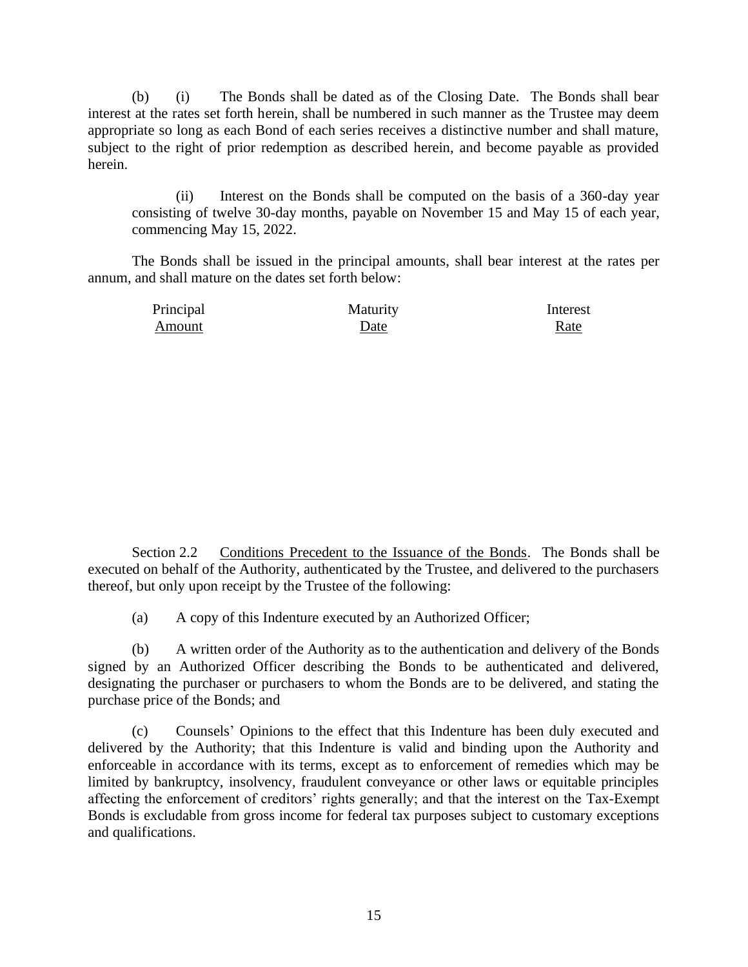(b) (i) The Bonds shall be dated as of the Closing Date. The Bonds shall bear interest at the rates set forth herein, shall be numbered in such manner as the Trustee may deem appropriate so long as each Bond of each series receives a distinctive number and shall mature, subject to the right of prior redemption as described herein, and become payable as provided herein.

(ii) Interest on the Bonds shall be computed on the basis of a 360-day year consisting of twelve 30-day months, payable on November 15 and May 15 of each year, commencing May 15, 2022.

The Bonds shall be issued in the principal amounts, shall bear interest at the rates per annum, and shall mature on the dates set forth below:

| Principal | Maturity | Interest |
|-----------|----------|----------|
| Amount    | Date     | Rate     |

Section 2.2 Conditions Precedent to the Issuance of the Bonds. The Bonds shall be executed on behalf of the Authority, authenticated by the Trustee, and delivered to the purchasers thereof, but only upon receipt by the Trustee of the following:

(a) A copy of this Indenture executed by an Authorized Officer;

(b) A written order of the Authority as to the authentication and delivery of the Bonds signed by an Authorized Officer describing the Bonds to be authenticated and delivered, designating the purchaser or purchasers to whom the Bonds are to be delivered, and stating the purchase price of the Bonds; and

(c) Counsels' Opinions to the effect that this Indenture has been duly executed and delivered by the Authority; that this Indenture is valid and binding upon the Authority and enforceable in accordance with its terms, except as to enforcement of remedies which may be limited by bankruptcy, insolvency, fraudulent conveyance or other laws or equitable principles affecting the enforcement of creditors' rights generally; and that the interest on the Tax-Exempt Bonds is excludable from gross income for federal tax purposes subject to customary exceptions and qualifications.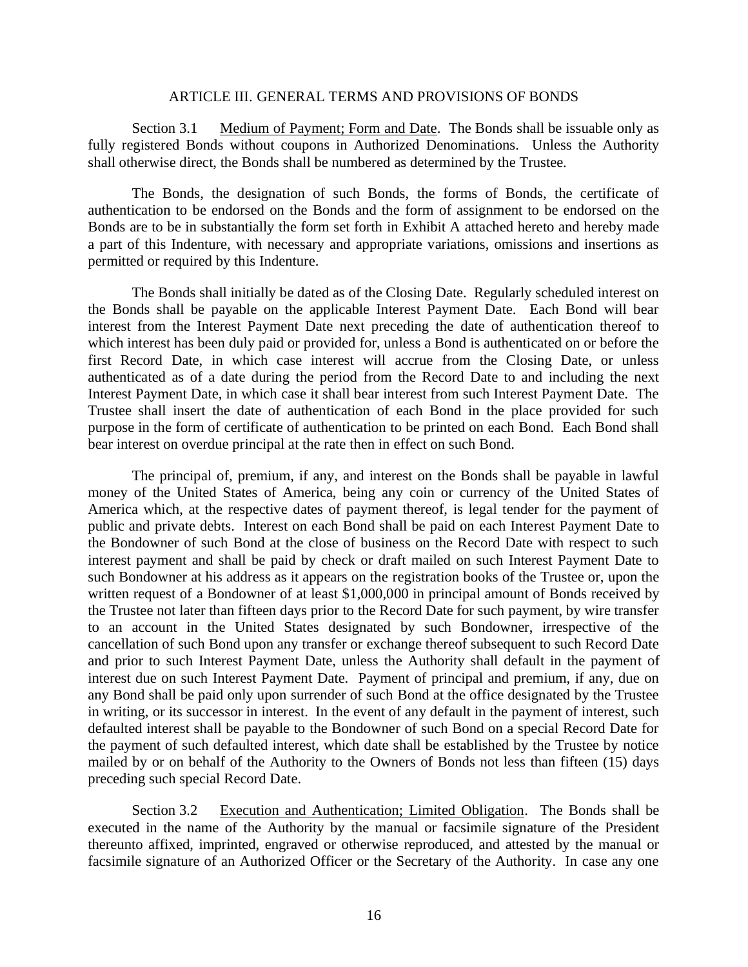#### ARTICLE III. GENERAL TERMS AND PROVISIONS OF BONDS

Section 3.1 Medium of Payment; Form and Date. The Bonds shall be issuable only as fully registered Bonds without coupons in Authorized Denominations. Unless the Authority shall otherwise direct, the Bonds shall be numbered as determined by the Trustee.

The Bonds, the designation of such Bonds, the forms of Bonds, the certificate of authentication to be endorsed on the Bonds and the form of assignment to be endorsed on the Bonds are to be in substantially the form set forth in Exhibit A attached hereto and hereby made a part of this Indenture, with necessary and appropriate variations, omissions and insertions as permitted or required by this Indenture.

The Bonds shall initially be dated as of the Closing Date. Regularly scheduled interest on the Bonds shall be payable on the applicable Interest Payment Date. Each Bond will bear interest from the Interest Payment Date next preceding the date of authentication thereof to which interest has been duly paid or provided for, unless a Bond is authenticated on or before the first Record Date, in which case interest will accrue from the Closing Date, or unless authenticated as of a date during the period from the Record Date to and including the next Interest Payment Date, in which case it shall bear interest from such Interest Payment Date. The Trustee shall insert the date of authentication of each Bond in the place provided for such purpose in the form of certificate of authentication to be printed on each Bond. Each Bond shall bear interest on overdue principal at the rate then in effect on such Bond.

The principal of, premium, if any, and interest on the Bonds shall be payable in lawful money of the United States of America, being any coin or currency of the United States of America which, at the respective dates of payment thereof, is legal tender for the payment of public and private debts. Interest on each Bond shall be paid on each Interest Payment Date to the Bondowner of such Bond at the close of business on the Record Date with respect to such interest payment and shall be paid by check or draft mailed on such Interest Payment Date to such Bondowner at his address as it appears on the registration books of the Trustee or, upon the written request of a Bondowner of at least \$1,000,000 in principal amount of Bonds received by the Trustee not later than fifteen days prior to the Record Date for such payment, by wire transfer to an account in the United States designated by such Bondowner, irrespective of the cancellation of such Bond upon any transfer or exchange thereof subsequent to such Record Date and prior to such Interest Payment Date, unless the Authority shall default in the payment of interest due on such Interest Payment Date. Payment of principal and premium, if any, due on any Bond shall be paid only upon surrender of such Bond at the office designated by the Trustee in writing, or its successor in interest. In the event of any default in the payment of interest, such defaulted interest shall be payable to the Bondowner of such Bond on a special Record Date for the payment of such defaulted interest, which date shall be established by the Trustee by notice mailed by or on behalf of the Authority to the Owners of Bonds not less than fifteen (15) days preceding such special Record Date.

Section 3.2 Execution and Authentication; Limited Obligation. The Bonds shall be executed in the name of the Authority by the manual or facsimile signature of the President thereunto affixed, imprinted, engraved or otherwise reproduced, and attested by the manual or facsimile signature of an Authorized Officer or the Secretary of the Authority. In case any one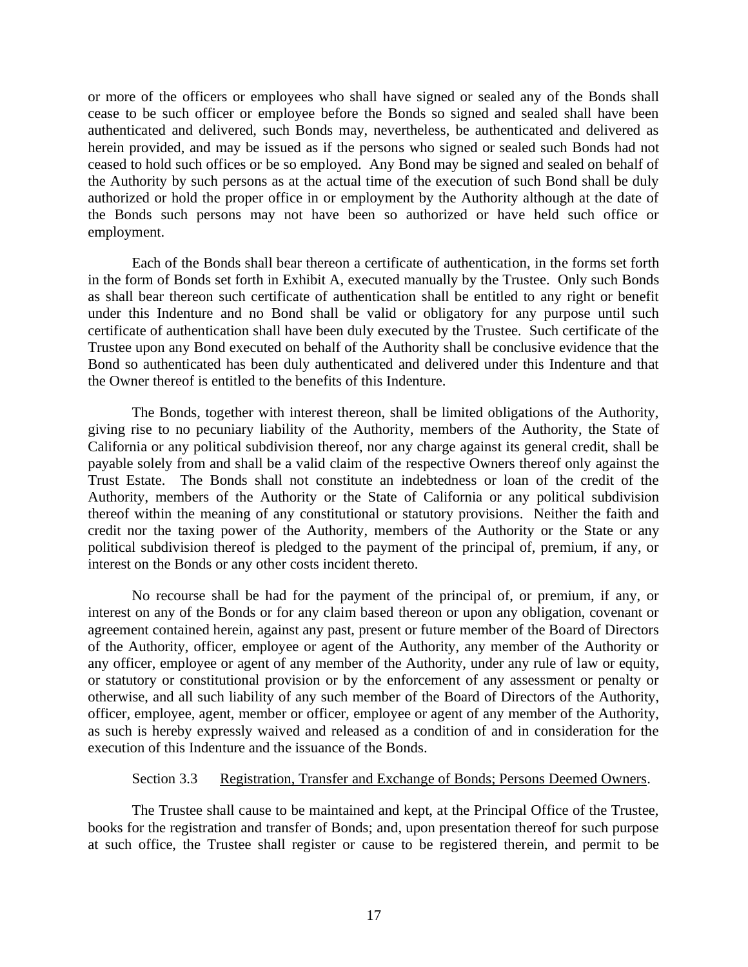or more of the officers or employees who shall have signed or sealed any of the Bonds shall cease to be such officer or employee before the Bonds so signed and sealed shall have been authenticated and delivered, such Bonds may, nevertheless, be authenticated and delivered as herein provided, and may be issued as if the persons who signed or sealed such Bonds had not ceased to hold such offices or be so employed. Any Bond may be signed and sealed on behalf of the Authority by such persons as at the actual time of the execution of such Bond shall be duly authorized or hold the proper office in or employment by the Authority although at the date of the Bonds such persons may not have been so authorized or have held such office or employment.

Each of the Bonds shall bear thereon a certificate of authentication, in the forms set forth in the form of Bonds set forth in Exhibit A, executed manually by the Trustee. Only such Bonds as shall bear thereon such certificate of authentication shall be entitled to any right or benefit under this Indenture and no Bond shall be valid or obligatory for any purpose until such certificate of authentication shall have been duly executed by the Trustee. Such certificate of the Trustee upon any Bond executed on behalf of the Authority shall be conclusive evidence that the Bond so authenticated has been duly authenticated and delivered under this Indenture and that the Owner thereof is entitled to the benefits of this Indenture.

The Bonds, together with interest thereon, shall be limited obligations of the Authority, giving rise to no pecuniary liability of the Authority, members of the Authority, the State of California or any political subdivision thereof, nor any charge against its general credit, shall be payable solely from and shall be a valid claim of the respective Owners thereof only against the Trust Estate. The Bonds shall not constitute an indebtedness or loan of the credit of the Authority, members of the Authority or the State of California or any political subdivision thereof within the meaning of any constitutional or statutory provisions. Neither the faith and credit nor the taxing power of the Authority, members of the Authority or the State or any political subdivision thereof is pledged to the payment of the principal of, premium, if any, or interest on the Bonds or any other costs incident thereto.

No recourse shall be had for the payment of the principal of, or premium, if any, or interest on any of the Bonds or for any claim based thereon or upon any obligation, covenant or agreement contained herein, against any past, present or future member of the Board of Directors of the Authority, officer, employee or agent of the Authority, any member of the Authority or any officer, employee or agent of any member of the Authority, under any rule of law or equity, or statutory or constitutional provision or by the enforcement of any assessment or penalty or otherwise, and all such liability of any such member of the Board of Directors of the Authority, officer, employee, agent, member or officer, employee or agent of any member of the Authority, as such is hereby expressly waived and released as a condition of and in consideration for the execution of this Indenture and the issuance of the Bonds.

#### Section 3.3 Registration, Transfer and Exchange of Bonds; Persons Deemed Owners.

The Trustee shall cause to be maintained and kept, at the Principal Office of the Trustee, books for the registration and transfer of Bonds; and, upon presentation thereof for such purpose at such office, the Trustee shall register or cause to be registered therein, and permit to be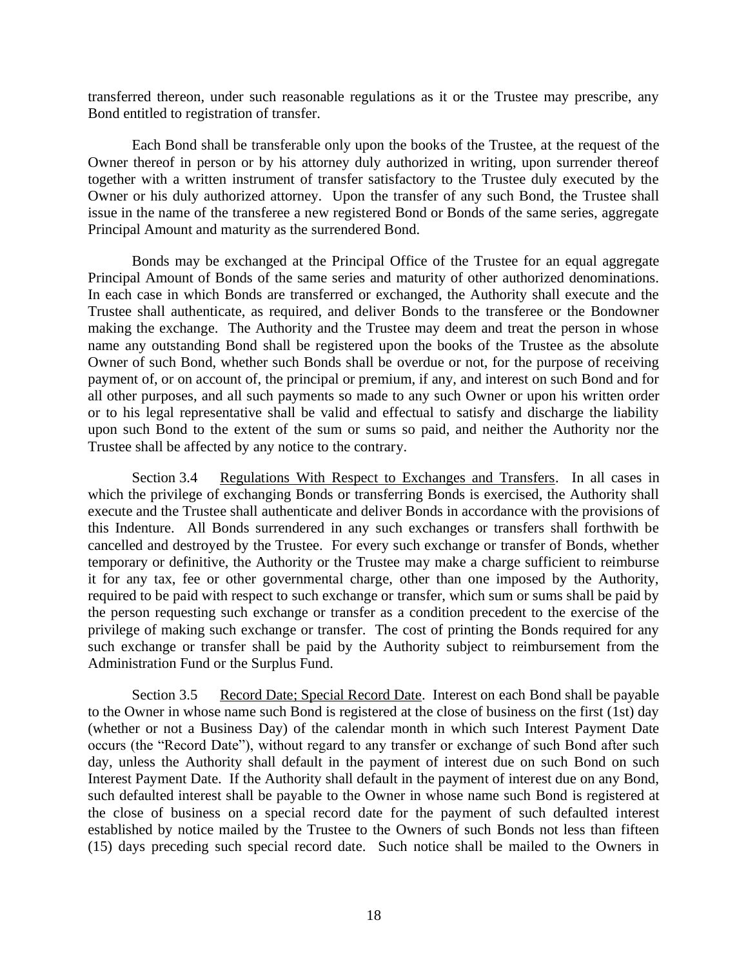transferred thereon, under such reasonable regulations as it or the Trustee may prescribe, any Bond entitled to registration of transfer.

Each Bond shall be transferable only upon the books of the Trustee, at the request of the Owner thereof in person or by his attorney duly authorized in writing, upon surrender thereof together with a written instrument of transfer satisfactory to the Trustee duly executed by the Owner or his duly authorized attorney. Upon the transfer of any such Bond, the Trustee shall issue in the name of the transferee a new registered Bond or Bonds of the same series, aggregate Principal Amount and maturity as the surrendered Bond.

Bonds may be exchanged at the Principal Office of the Trustee for an equal aggregate Principal Amount of Bonds of the same series and maturity of other authorized denominations. In each case in which Bonds are transferred or exchanged, the Authority shall execute and the Trustee shall authenticate, as required, and deliver Bonds to the transferee or the Bondowner making the exchange. The Authority and the Trustee may deem and treat the person in whose name any outstanding Bond shall be registered upon the books of the Trustee as the absolute Owner of such Bond, whether such Bonds shall be overdue or not, for the purpose of receiving payment of, or on account of, the principal or premium, if any, and interest on such Bond and for all other purposes, and all such payments so made to any such Owner or upon his written order or to his legal representative shall be valid and effectual to satisfy and discharge the liability upon such Bond to the extent of the sum or sums so paid, and neither the Authority nor the Trustee shall be affected by any notice to the contrary.

Section 3.4 Regulations With Respect to Exchanges and Transfers. In all cases in which the privilege of exchanging Bonds or transferring Bonds is exercised, the Authority shall execute and the Trustee shall authenticate and deliver Bonds in accordance with the provisions of this Indenture. All Bonds surrendered in any such exchanges or transfers shall forthwith be cancelled and destroyed by the Trustee. For every such exchange or transfer of Bonds, whether temporary or definitive, the Authority or the Trustee may make a charge sufficient to reimburse it for any tax, fee or other governmental charge, other than one imposed by the Authority, required to be paid with respect to such exchange or transfer, which sum or sums shall be paid by the person requesting such exchange or transfer as a condition precedent to the exercise of the privilege of making such exchange or transfer. The cost of printing the Bonds required for any such exchange or transfer shall be paid by the Authority subject to reimbursement from the Administration Fund or the Surplus Fund.

Section 3.5 Record Date; Special Record Date. Interest on each Bond shall be payable to the Owner in whose name such Bond is registered at the close of business on the first (1st) day (whether or not a Business Day) of the calendar month in which such Interest Payment Date occurs (the "Record Date"), without regard to any transfer or exchange of such Bond after such day, unless the Authority shall default in the payment of interest due on such Bond on such Interest Payment Date. If the Authority shall default in the payment of interest due on any Bond, such defaulted interest shall be payable to the Owner in whose name such Bond is registered at the close of business on a special record date for the payment of such defaulted interest established by notice mailed by the Trustee to the Owners of such Bonds not less than fifteen (15) days preceding such special record date. Such notice shall be mailed to the Owners in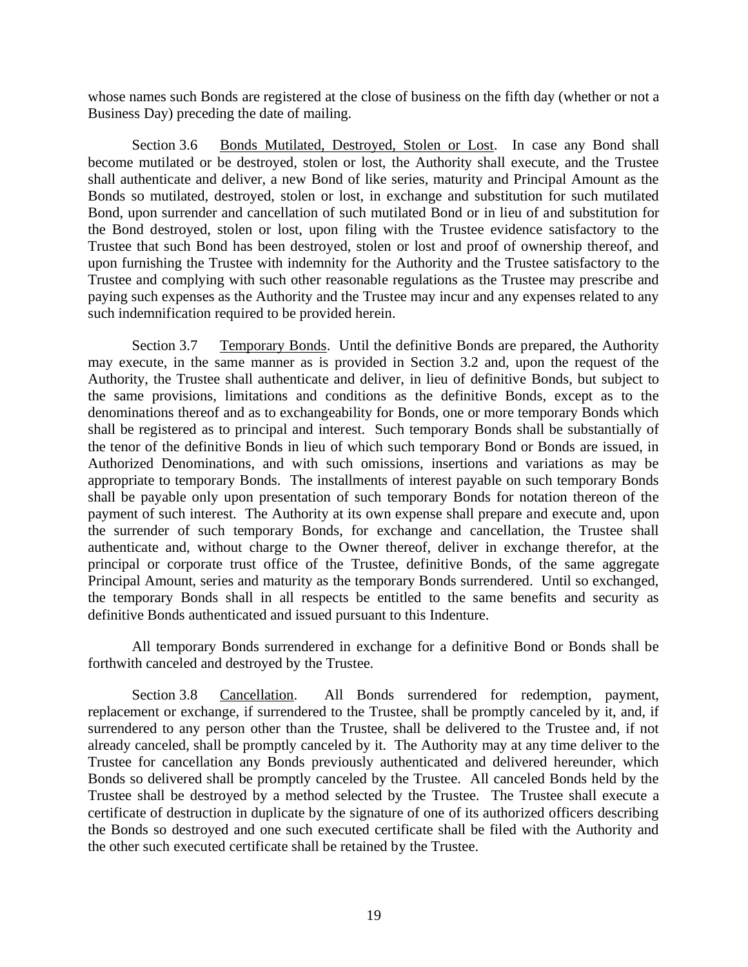whose names such Bonds are registered at the close of business on the fifth day (whether or not a Business Day) preceding the date of mailing.

Section 3.6 Bonds Mutilated, Destroyed, Stolen or Lost. In case any Bond shall become mutilated or be destroyed, stolen or lost, the Authority shall execute, and the Trustee shall authenticate and deliver, a new Bond of like series, maturity and Principal Amount as the Bonds so mutilated, destroyed, stolen or lost, in exchange and substitution for such mutilated Bond, upon surrender and cancellation of such mutilated Bond or in lieu of and substitution for the Bond destroyed, stolen or lost, upon filing with the Trustee evidence satisfactory to the Trustee that such Bond has been destroyed, stolen or lost and proof of ownership thereof, and upon furnishing the Trustee with indemnity for the Authority and the Trustee satisfactory to the Trustee and complying with such other reasonable regulations as the Trustee may prescribe and paying such expenses as the Authority and the Trustee may incur and any expenses related to any such indemnification required to be provided herein.

Section 3.7 Temporary Bonds. Until the definitive Bonds are prepared, the Authority may execute, in the same manner as is provided in Section 3.2 and, upon the request of the Authority, the Trustee shall authenticate and deliver, in lieu of definitive Bonds, but subject to the same provisions, limitations and conditions as the definitive Bonds, except as to the denominations thereof and as to exchangeability for Bonds, one or more temporary Bonds which shall be registered as to principal and interest. Such temporary Bonds shall be substantially of the tenor of the definitive Bonds in lieu of which such temporary Bond or Bonds are issued, in Authorized Denominations, and with such omissions, insertions and variations as may be appropriate to temporary Bonds. The installments of interest payable on such temporary Bonds shall be payable only upon presentation of such temporary Bonds for notation thereon of the payment of such interest. The Authority at its own expense shall prepare and execute and, upon the surrender of such temporary Bonds, for exchange and cancellation, the Trustee shall authenticate and, without charge to the Owner thereof, deliver in exchange therefor, at the principal or corporate trust office of the Trustee, definitive Bonds, of the same aggregate Principal Amount, series and maturity as the temporary Bonds surrendered. Until so exchanged, the temporary Bonds shall in all respects be entitled to the same benefits and security as definitive Bonds authenticated and issued pursuant to this Indenture.

All temporary Bonds surrendered in exchange for a definitive Bond or Bonds shall be forthwith canceled and destroyed by the Trustee.

Section 3.8 Cancellation. All Bonds surrendered for redemption, payment, replacement or exchange, if surrendered to the Trustee, shall be promptly canceled by it, and, if surrendered to any person other than the Trustee, shall be delivered to the Trustee and, if not already canceled, shall be promptly canceled by it. The Authority may at any time deliver to the Trustee for cancellation any Bonds previously authenticated and delivered hereunder, which Bonds so delivered shall be promptly canceled by the Trustee. All canceled Bonds held by the Trustee shall be destroyed by a method selected by the Trustee. The Trustee shall execute a certificate of destruction in duplicate by the signature of one of its authorized officers describing the Bonds so destroyed and one such executed certificate shall be filed with the Authority and the other such executed certificate shall be retained by the Trustee.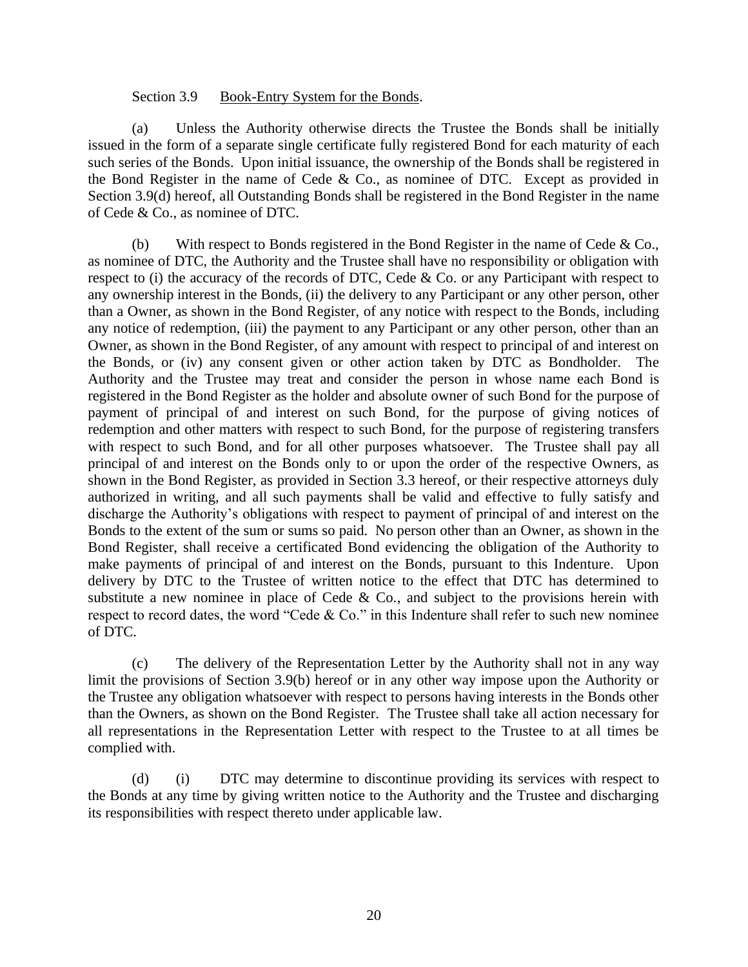#### Section 3.9 Book-Entry System for the Bonds.

(a) Unless the Authority otherwise directs the Trustee the Bonds shall be initially issued in the form of a separate single certificate fully registered Bond for each maturity of each such series of the Bonds. Upon initial issuance, the ownership of the Bonds shall be registered in the Bond Register in the name of Cede & Co., as nominee of DTC. Except as provided in Section 3.9(d) hereof, all Outstanding Bonds shall be registered in the Bond Register in the name of Cede & Co., as nominee of DTC.

(b) With respect to Bonds registered in the Bond Register in the name of Cede & Co., as nominee of DTC, the Authority and the Trustee shall have no responsibility or obligation with respect to (i) the accuracy of the records of DTC, Cede & Co. or any Participant with respect to any ownership interest in the Bonds, (ii) the delivery to any Participant or any other person, other than a Owner, as shown in the Bond Register, of any notice with respect to the Bonds, including any notice of redemption, (iii) the payment to any Participant or any other person, other than an Owner, as shown in the Bond Register, of any amount with respect to principal of and interest on the Bonds, or (iv) any consent given or other action taken by DTC as Bondholder. The Authority and the Trustee may treat and consider the person in whose name each Bond is registered in the Bond Register as the holder and absolute owner of such Bond for the purpose of payment of principal of and interest on such Bond, for the purpose of giving notices of redemption and other matters with respect to such Bond, for the purpose of registering transfers with respect to such Bond, and for all other purposes whatsoever. The Trustee shall pay all principal of and interest on the Bonds only to or upon the order of the respective Owners, as shown in the Bond Register, as provided in Section 3.3 hereof, or their respective attorneys duly authorized in writing, and all such payments shall be valid and effective to fully satisfy and discharge the Authority's obligations with respect to payment of principal of and interest on the Bonds to the extent of the sum or sums so paid. No person other than an Owner, as shown in the Bond Register, shall receive a certificated Bond evidencing the obligation of the Authority to make payments of principal of and interest on the Bonds, pursuant to this Indenture. Upon delivery by DTC to the Trustee of written notice to the effect that DTC has determined to substitute a new nominee in place of Cede  $\&$  Co., and subject to the provisions herein with respect to record dates, the word "Cede & Co." in this Indenture shall refer to such new nominee of DTC.

(c) The delivery of the Representation Letter by the Authority shall not in any way limit the provisions of Section 3.9(b) hereof or in any other way impose upon the Authority or the Trustee any obligation whatsoever with respect to persons having interests in the Bonds other than the Owners, as shown on the Bond Register. The Trustee shall take all action necessary for all representations in the Representation Letter with respect to the Trustee to at all times be complied with.

(d) (i) DTC may determine to discontinue providing its services with respect to the Bonds at any time by giving written notice to the Authority and the Trustee and discharging its responsibilities with respect thereto under applicable law.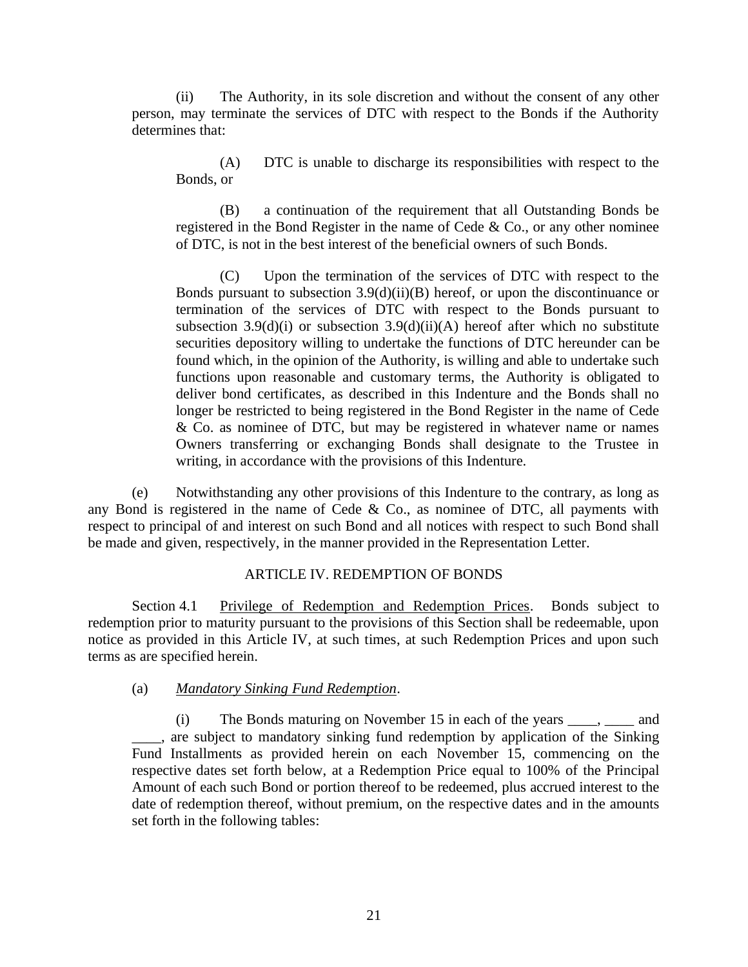(ii) The Authority, in its sole discretion and without the consent of any other person, may terminate the services of DTC with respect to the Bonds if the Authority determines that:

(A) DTC is unable to discharge its responsibilities with respect to the Bonds, or

(B) a continuation of the requirement that all Outstanding Bonds be registered in the Bond Register in the name of Cede & Co., or any other nominee of DTC, is not in the best interest of the beneficial owners of such Bonds.

(C) Upon the termination of the services of DTC with respect to the Bonds pursuant to subsection  $3.9(d)(ii)(B)$  hereof, or upon the discontinuance or termination of the services of DTC with respect to the Bonds pursuant to subsection 3.9(d)(i) or subsection 3.9(d)(ii)(A) hereof after which no substitute securities depository willing to undertake the functions of DTC hereunder can be found which, in the opinion of the Authority, is willing and able to undertake such functions upon reasonable and customary terms, the Authority is obligated to deliver bond certificates, as described in this Indenture and the Bonds shall no longer be restricted to being registered in the Bond Register in the name of Cede & Co. as nominee of DTC, but may be registered in whatever name or names Owners transferring or exchanging Bonds shall designate to the Trustee in writing, in accordance with the provisions of this Indenture.

(e) Notwithstanding any other provisions of this Indenture to the contrary, as long as any Bond is registered in the name of Cede & Co., as nominee of DTC, all payments with respect to principal of and interest on such Bond and all notices with respect to such Bond shall be made and given, respectively, in the manner provided in the Representation Letter.

### ARTICLE IV. REDEMPTION OF BONDS

Section 4.1 Privilege of Redemption and Redemption Prices. Bonds subject to redemption prior to maturity pursuant to the provisions of this Section shall be redeemable, upon notice as provided in this Article IV, at such times, at such Redemption Prices and upon such terms as are specified herein.

#### (a) *Mandatory Sinking Fund Redemption*.

(i) The Bonds maturing on November 15 in each of the years \_\_\_\_, \_\_\_\_ and \_\_\_\_, are subject to mandatory sinking fund redemption by application of the Sinking Fund Installments as provided herein on each November 15, commencing on the respective dates set forth below, at a Redemption Price equal to 100% of the Principal Amount of each such Bond or portion thereof to be redeemed, plus accrued interest to the date of redemption thereof, without premium, on the respective dates and in the amounts set forth in the following tables: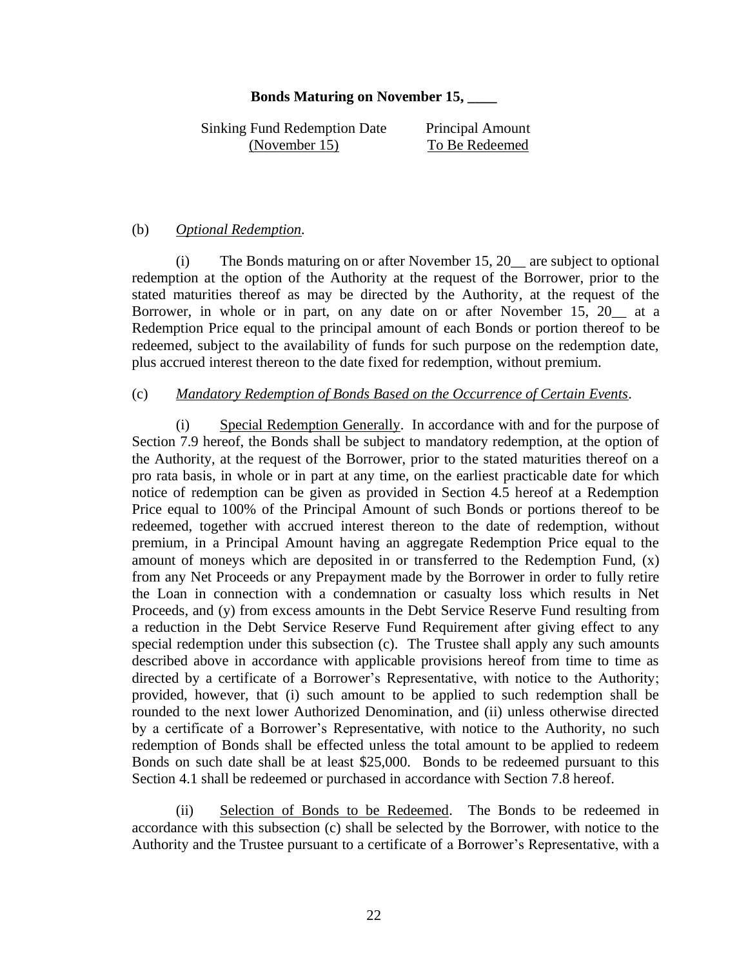#### **Bonds Maturing on November 15, \_\_\_\_**

Sinking Fund Redemption Date Principal Amount (November 15) To Be Redeemed

### (b) *Optional Redemption.*

(i) The Bonds maturing on or after November 15, 20\_\_ are subject to optional redemption at the option of the Authority at the request of the Borrower, prior to the stated maturities thereof as may be directed by the Authority, at the request of the Borrower, in whole or in part, on any date on or after November 15, 20 at a Redemption Price equal to the principal amount of each Bonds or portion thereof to be redeemed, subject to the availability of funds for such purpose on the redemption date, plus accrued interest thereon to the date fixed for redemption, without premium.

### (c) *Mandatory Redemption of Bonds Based on the Occurrence of Certain Events.*

(i) Special Redemption Generally. In accordance with and for the purpose of Section 7.9 hereof, the Bonds shall be subject to mandatory redemption, at the option of the Authority, at the request of the Borrower, prior to the stated maturities thereof on a pro rata basis, in whole or in part at any time, on the earliest practicable date for which notice of redemption can be given as provided in Section 4.5 hereof at a Redemption Price equal to 100% of the Principal Amount of such Bonds or portions thereof to be redeemed, together with accrued interest thereon to the date of redemption, without premium, in a Principal Amount having an aggregate Redemption Price equal to the amount of moneys which are deposited in or transferred to the Redemption Fund, (x) from any Net Proceeds or any Prepayment made by the Borrower in order to fully retire the Loan in connection with a condemnation or casualty loss which results in Net Proceeds, and (y) from excess amounts in the Debt Service Reserve Fund resulting from a reduction in the Debt Service Reserve Fund Requirement after giving effect to any special redemption under this subsection (c). The Trustee shall apply any such amounts described above in accordance with applicable provisions hereof from time to time as directed by a certificate of a Borrower's Representative, with notice to the Authority; provided, however, that (i) such amount to be applied to such redemption shall be rounded to the next lower Authorized Denomination, and (ii) unless otherwise directed by a certificate of a Borrower's Representative, with notice to the Authority, no such redemption of Bonds shall be effected unless the total amount to be applied to redeem Bonds on such date shall be at least \$25,000. Bonds to be redeemed pursuant to this Section 4.1 shall be redeemed or purchased in accordance with Section 7.8 hereof.

(ii) Selection of Bonds to be Redeemed. The Bonds to be redeemed in accordance with this subsection (c) shall be selected by the Borrower, with notice to the Authority and the Trustee pursuant to a certificate of a Borrower's Representative, with a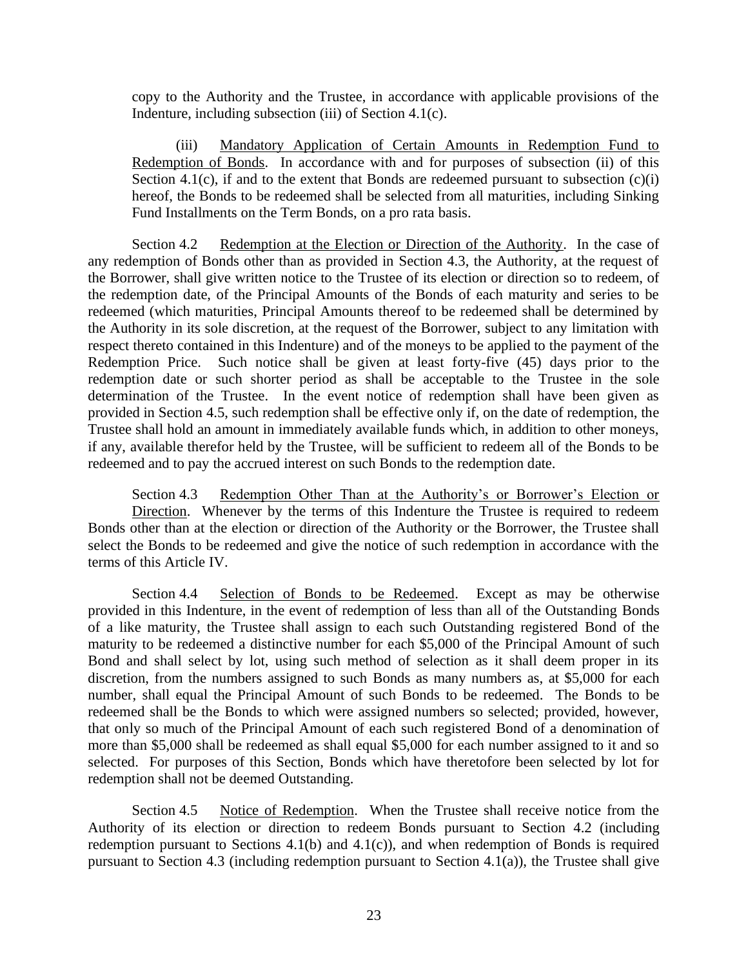copy to the Authority and the Trustee, in accordance with applicable provisions of the Indenture, including subsection (iii) of Section 4.1(c).

(iii) Mandatory Application of Certain Amounts in Redemption Fund to Redemption of Bonds. In accordance with and for purposes of subsection (ii) of this Section 4.1(c), if and to the extent that Bonds are redeemed pursuant to subsection  $(c)(i)$ hereof, the Bonds to be redeemed shall be selected from all maturities, including Sinking Fund Installments on the Term Bonds, on a pro rata basis.

Section 4.2 Redemption at the Election or Direction of the Authority. In the case of any redemption of Bonds other than as provided in Section 4.3, the Authority, at the request of the Borrower, shall give written notice to the Trustee of its election or direction so to redeem, of the redemption date, of the Principal Amounts of the Bonds of each maturity and series to be redeemed (which maturities, Principal Amounts thereof to be redeemed shall be determined by the Authority in its sole discretion, at the request of the Borrower, subject to any limitation with respect thereto contained in this Indenture) and of the moneys to be applied to the payment of the Redemption Price. Such notice shall be given at least forty-five (45) days prior to the redemption date or such shorter period as shall be acceptable to the Trustee in the sole determination of the Trustee. In the event notice of redemption shall have been given as provided in Section 4.5, such redemption shall be effective only if, on the date of redemption, the Trustee shall hold an amount in immediately available funds which, in addition to other moneys, if any, available therefor held by the Trustee, will be sufficient to redeem all of the Bonds to be redeemed and to pay the accrued interest on such Bonds to the redemption date.

Section 4.3 Redemption Other Than at the Authority's or Borrower's Election or Direction. Whenever by the terms of this Indenture the Trustee is required to redeem Bonds other than at the election or direction of the Authority or the Borrower, the Trustee shall select the Bonds to be redeemed and give the notice of such redemption in accordance with the terms of this Article IV.

Section 4.4 Selection of Bonds to be Redeemed. Except as may be otherwise provided in this Indenture, in the event of redemption of less than all of the Outstanding Bonds of a like maturity, the Trustee shall assign to each such Outstanding registered Bond of the maturity to be redeemed a distinctive number for each \$5,000 of the Principal Amount of such Bond and shall select by lot, using such method of selection as it shall deem proper in its discretion, from the numbers assigned to such Bonds as many numbers as, at \$5,000 for each number, shall equal the Principal Amount of such Bonds to be redeemed. The Bonds to be redeemed shall be the Bonds to which were assigned numbers so selected; provided, however, that only so much of the Principal Amount of each such registered Bond of a denomination of more than \$5,000 shall be redeemed as shall equal \$5,000 for each number assigned to it and so selected. For purposes of this Section, Bonds which have theretofore been selected by lot for redemption shall not be deemed Outstanding.

Section 4.5 Notice of Redemption. When the Trustee shall receive notice from the Authority of its election or direction to redeem Bonds pursuant to Section 4.2 (including redemption pursuant to Sections 4.1(b) and 4.1(c)), and when redemption of Bonds is required pursuant to Section 4.3 (including redemption pursuant to Section 4.1(a)), the Trustee shall give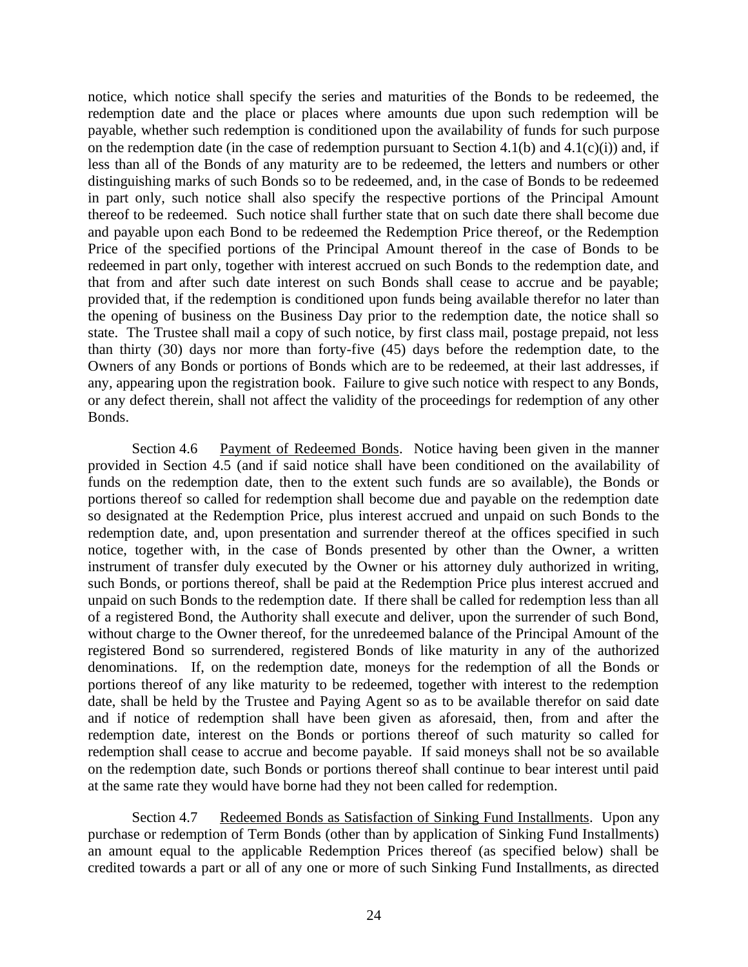notice, which notice shall specify the series and maturities of the Bonds to be redeemed, the redemption date and the place or places where amounts due upon such redemption will be payable, whether such redemption is conditioned upon the availability of funds for such purpose on the redemption date (in the case of redemption pursuant to Section 4.1(b) and 4.1(c)(i)) and, if less than all of the Bonds of any maturity are to be redeemed, the letters and numbers or other distinguishing marks of such Bonds so to be redeemed, and, in the case of Bonds to be redeemed in part only, such notice shall also specify the respective portions of the Principal Amount thereof to be redeemed. Such notice shall further state that on such date there shall become due and payable upon each Bond to be redeemed the Redemption Price thereof, or the Redemption Price of the specified portions of the Principal Amount thereof in the case of Bonds to be redeemed in part only, together with interest accrued on such Bonds to the redemption date, and that from and after such date interest on such Bonds shall cease to accrue and be payable; provided that, if the redemption is conditioned upon funds being available therefor no later than the opening of business on the Business Day prior to the redemption date, the notice shall so state. The Trustee shall mail a copy of such notice, by first class mail, postage prepaid, not less than thirty (30) days nor more than forty-five (45) days before the redemption date, to the Owners of any Bonds or portions of Bonds which are to be redeemed, at their last addresses, if any, appearing upon the registration book. Failure to give such notice with respect to any Bonds, or any defect therein, shall not affect the validity of the proceedings for redemption of any other Bonds.

Section 4.6 Payment of Redeemed Bonds. Notice having been given in the manner provided in Section 4.5 (and if said notice shall have been conditioned on the availability of funds on the redemption date, then to the extent such funds are so available), the Bonds or portions thereof so called for redemption shall become due and payable on the redemption date so designated at the Redemption Price, plus interest accrued and unpaid on such Bonds to the redemption date, and, upon presentation and surrender thereof at the offices specified in such notice, together with, in the case of Bonds presented by other than the Owner, a written instrument of transfer duly executed by the Owner or his attorney duly authorized in writing, such Bonds, or portions thereof, shall be paid at the Redemption Price plus interest accrued and unpaid on such Bonds to the redemption date. If there shall be called for redemption less than all of a registered Bond, the Authority shall execute and deliver, upon the surrender of such Bond, without charge to the Owner thereof, for the unredeemed balance of the Principal Amount of the registered Bond so surrendered, registered Bonds of like maturity in any of the authorized denominations. If, on the redemption date, moneys for the redemption of all the Bonds or portions thereof of any like maturity to be redeemed, together with interest to the redemption date, shall be held by the Trustee and Paying Agent so as to be available therefor on said date and if notice of redemption shall have been given as aforesaid, then, from and after the redemption date, interest on the Bonds or portions thereof of such maturity so called for redemption shall cease to accrue and become payable. If said moneys shall not be so available on the redemption date, such Bonds or portions thereof shall continue to bear interest until paid at the same rate they would have borne had they not been called for redemption.

Section 4.7 Redeemed Bonds as Satisfaction of Sinking Fund Installments. Upon any purchase or redemption of Term Bonds (other than by application of Sinking Fund Installments) an amount equal to the applicable Redemption Prices thereof (as specified below) shall be credited towards a part or all of any one or more of such Sinking Fund Installments, as directed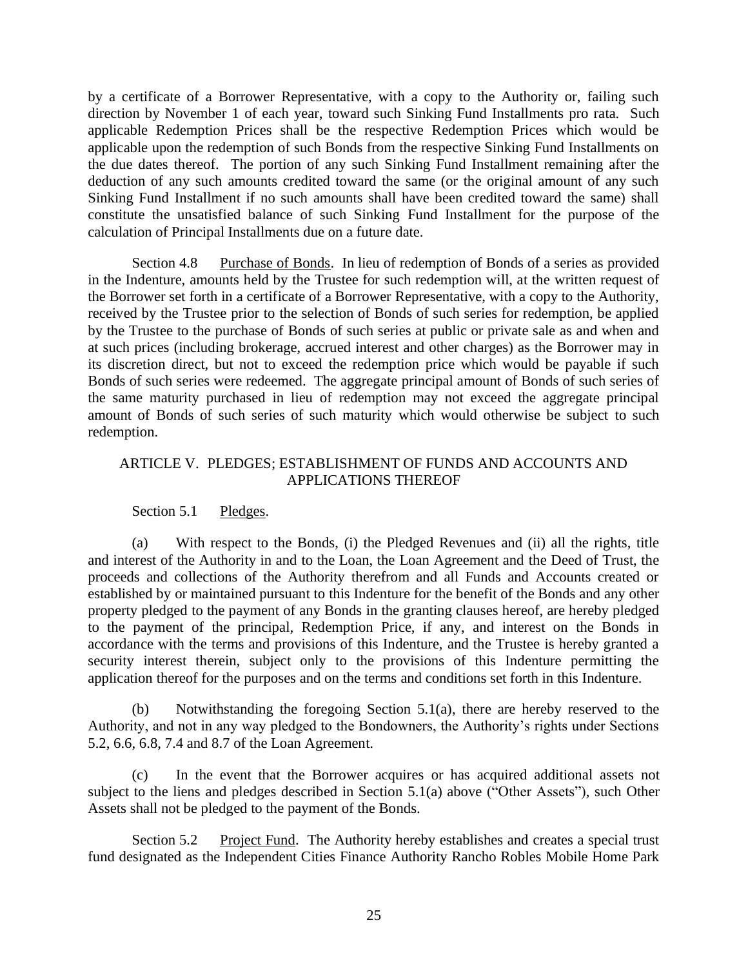by a certificate of a Borrower Representative, with a copy to the Authority or, failing such direction by November 1 of each year, toward such Sinking Fund Installments pro rata. Such applicable Redemption Prices shall be the respective Redemption Prices which would be applicable upon the redemption of such Bonds from the respective Sinking Fund Installments on the due dates thereof. The portion of any such Sinking Fund Installment remaining after the deduction of any such amounts credited toward the same (or the original amount of any such Sinking Fund Installment if no such amounts shall have been credited toward the same) shall constitute the unsatisfied balance of such Sinking Fund Installment for the purpose of the calculation of Principal Installments due on a future date.

Section 4.8 Purchase of Bonds. In lieu of redemption of Bonds of a series as provided in the Indenture, amounts held by the Trustee for such redemption will, at the written request of the Borrower set forth in a certificate of a Borrower Representative, with a copy to the Authority, received by the Trustee prior to the selection of Bonds of such series for redemption, be applied by the Trustee to the purchase of Bonds of such series at public or private sale as and when and at such prices (including brokerage, accrued interest and other charges) as the Borrower may in its discretion direct, but not to exceed the redemption price which would be payable if such Bonds of such series were redeemed. The aggregate principal amount of Bonds of such series of the same maturity purchased in lieu of redemption may not exceed the aggregate principal amount of Bonds of such series of such maturity which would otherwise be subject to such redemption.

# ARTICLE V. PLEDGES; ESTABLISHMENT OF FUNDS AND ACCOUNTS AND APPLICATIONS THEREOF

### Section 5.1 Pledges.

(a) With respect to the Bonds, (i) the Pledged Revenues and (ii) all the rights, title and interest of the Authority in and to the Loan, the Loan Agreement and the Deed of Trust, the proceeds and collections of the Authority therefrom and all Funds and Accounts created or established by or maintained pursuant to this Indenture for the benefit of the Bonds and any other property pledged to the payment of any Bonds in the granting clauses hereof, are hereby pledged to the payment of the principal, Redemption Price, if any, and interest on the Bonds in accordance with the terms and provisions of this Indenture, and the Trustee is hereby granted a security interest therein, subject only to the provisions of this Indenture permitting the application thereof for the purposes and on the terms and conditions set forth in this Indenture.

(b) Notwithstanding the foregoing Section 5.1(a), there are hereby reserved to the Authority, and not in any way pledged to the Bondowners, the Authority's rights under Sections 5.2, 6.6, 6.8, 7.4 and 8.7 of the Loan Agreement.

(c) In the event that the Borrower acquires or has acquired additional assets not subject to the liens and pledges described in Section 5.1(a) above ("Other Assets"), such Other Assets shall not be pledged to the payment of the Bonds.

Section 5.2 Project Fund. The Authority hereby establishes and creates a special trust fund designated as the Independent Cities Finance Authority Rancho Robles Mobile Home Park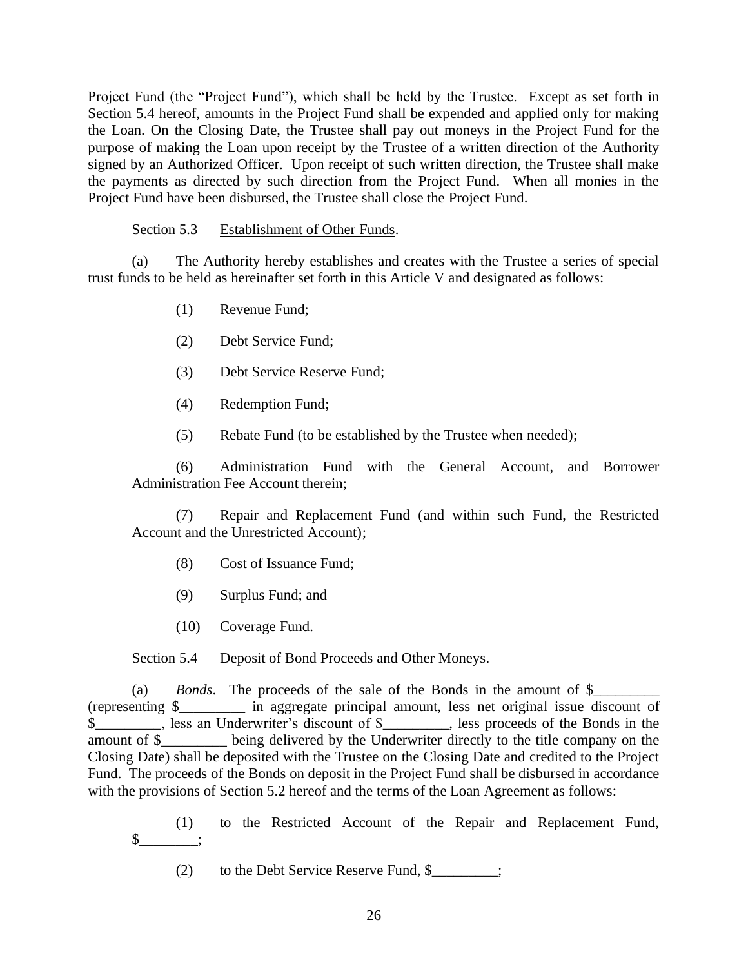Project Fund (the "Project Fund"), which shall be held by the Trustee. Except as set forth in Section 5.4 hereof, amounts in the Project Fund shall be expended and applied only for making the Loan. On the Closing Date, the Trustee shall pay out moneys in the Project Fund for the purpose of making the Loan upon receipt by the Trustee of a written direction of the Authority signed by an Authorized Officer. Upon receipt of such written direction, the Trustee shall make the payments as directed by such direction from the Project Fund. When all monies in the Project Fund have been disbursed, the Trustee shall close the Project Fund.

### Section 5.3 Establishment of Other Funds.

(a) The Authority hereby establishes and creates with the Trustee a series of special trust funds to be held as hereinafter set forth in this Article V and designated as follows:

- (1) Revenue Fund;
- (2) Debt Service Fund;
- (3) Debt Service Reserve Fund;
- (4) Redemption Fund;
- (5) Rebate Fund (to be established by the Trustee when needed);

(6) Administration Fund with the General Account, and Borrower Administration Fee Account therein;

(7) Repair and Replacement Fund (and within such Fund, the Restricted Account and the Unrestricted Account);

- (8) Cost of Issuance Fund;
- (9) Surplus Fund; and
- (10) Coverage Fund.

### Section 5.4 Deposit of Bond Proceeds and Other Moneys.

(a) *Bonds*. The proceeds of the sale of the Bonds in the amount of \$\_\_\_\_\_\_\_\_\_\_\_\_ (representing \$\_\_\_\_\_\_\_\_\_ in aggregate principal amount, less net original issue discount of \$\_\_\_\_\_\_\_\_\_, less an Underwriter's discount of \$\_\_\_\_\_\_\_\_\_, less proceeds of the Bonds in the amount of \$\_\_\_\_\_\_\_\_\_ being delivered by the Underwriter directly to the title company on the Closing Date) shall be deposited with the Trustee on the Closing Date and credited to the Project Fund. The proceeds of the Bonds on deposit in the Project Fund shall be disbursed in accordance with the provisions of Section 5.2 hereof and the terms of the Loan Agreement as follows:

(1) to the Restricted Account of the Repair and Replacement Fund,  $\frac{\S_{\text{max}}}{\S_{\text{max}}}$ 

(2) to the Debt Service Reserve Fund, \$\_\_\_\_\_\_\_\_\_;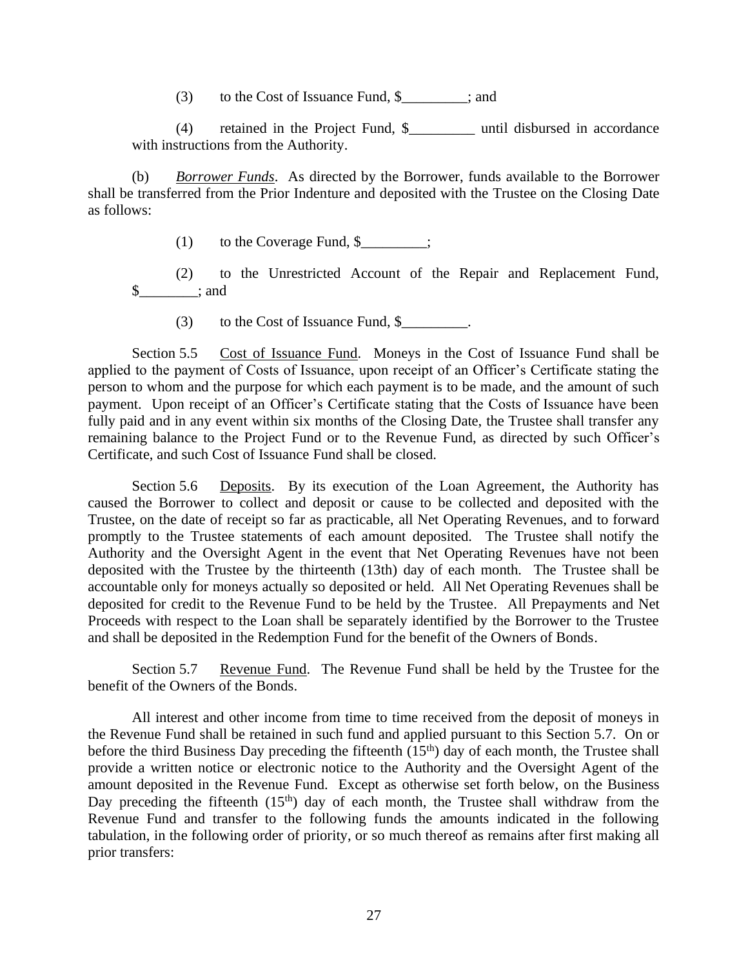(3) to the Cost of Issuance Fund, \$\_\_\_\_\_\_\_\_\_; and

(4) retained in the Project Fund, \$ until disbursed in accordance with instructions from the Authority.

(b) *Borrower Funds*. As directed by the Borrower, funds available to the Borrower shall be transferred from the Prior Indenture and deposited with the Trustee on the Closing Date as follows:

(1) to the Coverage Fund,  $\frac{1}{2}$ ;

(2) to the Unrestricted Account of the Repair and Replacement Fund,  $\frac{\sqrt{2}}{2}$  and

(3) to the Cost of Issuance Fund,  $\frac{1}{2}$ .

Section 5.5 Cost of Issuance Fund. Moneys in the Cost of Issuance Fund shall be applied to the payment of Costs of Issuance, upon receipt of an Officer's Certificate stating the person to whom and the purpose for which each payment is to be made, and the amount of such payment. Upon receipt of an Officer's Certificate stating that the Costs of Issuance have been fully paid and in any event within six months of the Closing Date, the Trustee shall transfer any remaining balance to the Project Fund or to the Revenue Fund, as directed by such Officer's Certificate, and such Cost of Issuance Fund shall be closed.

Section 5.6 Deposits. By its execution of the Loan Agreement, the Authority has caused the Borrower to collect and deposit or cause to be collected and deposited with the Trustee, on the date of receipt so far as practicable, all Net Operating Revenues, and to forward promptly to the Trustee statements of each amount deposited. The Trustee shall notify the Authority and the Oversight Agent in the event that Net Operating Revenues have not been deposited with the Trustee by the thirteenth (13th) day of each month. The Trustee shall be accountable only for moneys actually so deposited or held. All Net Operating Revenues shall be deposited for credit to the Revenue Fund to be held by the Trustee. All Prepayments and Net Proceeds with respect to the Loan shall be separately identified by the Borrower to the Trustee and shall be deposited in the Redemption Fund for the benefit of the Owners of Bonds.

Section 5.7 Revenue Fund. The Revenue Fund shall be held by the Trustee for the benefit of the Owners of the Bonds.

All interest and other income from time to time received from the deposit of moneys in the Revenue Fund shall be retained in such fund and applied pursuant to this Section 5.7. On or before the third Business Day preceding the fifteenth  $(15<sup>th</sup>)$  day of each month, the Trustee shall provide a written notice or electronic notice to the Authority and the Oversight Agent of the amount deposited in the Revenue Fund. Except as otherwise set forth below, on the Business Day preceding the fifteenth  $(15<sup>th</sup>)$  day of each month, the Trustee shall withdraw from the Revenue Fund and transfer to the following funds the amounts indicated in the following tabulation, in the following order of priority, or so much thereof as remains after first making all prior transfers: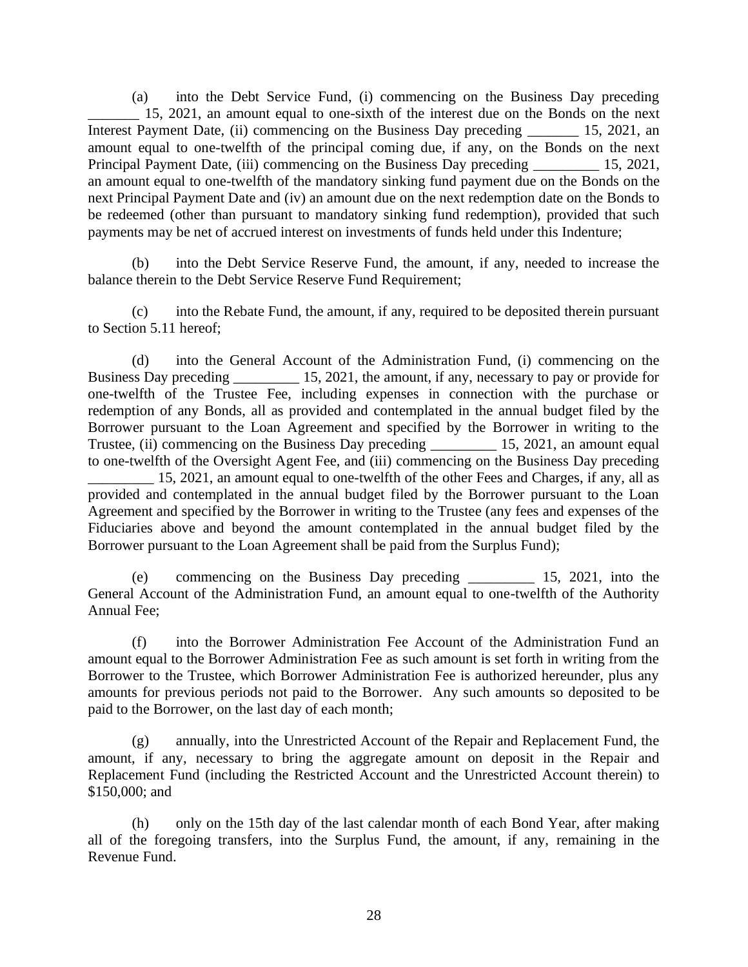(a) into the Debt Service Fund, (i) commencing on the Business Day preceding 15, 2021, an amount equal to one-sixth of the interest due on the Bonds on the next Interest Payment Date, (ii) commencing on the Business Day preceding \_\_\_\_\_\_\_\_ 15, 2021, an amount equal to one-twelfth of the principal coming due, if any, on the Bonds on the next Principal Payment Date, (iii) commencing on the Business Day preceding \_\_\_\_\_\_\_\_\_ 15, 2021, an amount equal to one-twelfth of the mandatory sinking fund payment due on the Bonds on the next Principal Payment Date and (iv) an amount due on the next redemption date on the Bonds to be redeemed (other than pursuant to mandatory sinking fund redemption), provided that such payments may be net of accrued interest on investments of funds held under this Indenture;

(b) into the Debt Service Reserve Fund, the amount, if any, needed to increase the balance therein to the Debt Service Reserve Fund Requirement;

(c) into the Rebate Fund, the amount, if any, required to be deposited therein pursuant to Section 5.11 hereof;

(d) into the General Account of the Administration Fund, (i) commencing on the Business Day preceding 15, 2021, the amount, if any, necessary to pay or provide for one-twelfth of the Trustee Fee, including expenses in connection with the purchase or redemption of any Bonds, all as provided and contemplated in the annual budget filed by the Borrower pursuant to the Loan Agreement and specified by the Borrower in writing to the Trustee, (ii) commencing on the Business Day preceding \_\_\_\_\_\_\_\_\_\_ 15, 2021, an amount equal to one-twelfth of the Oversight Agent Fee, and (iii) commencing on the Business Day preceding

15, 2021, an amount equal to one-twelfth of the other Fees and Charges, if any, all as provided and contemplated in the annual budget filed by the Borrower pursuant to the Loan Agreement and specified by the Borrower in writing to the Trustee (any fees and expenses of the Fiduciaries above and beyond the amount contemplated in the annual budget filed by the Borrower pursuant to the Loan Agreement shall be paid from the Surplus Fund);

(e) commencing on the Business Day preceding \_\_\_\_\_\_\_\_\_ 15, 2021, into the General Account of the Administration Fund, an amount equal to one-twelfth of the Authority Annual Fee;

(f) into the Borrower Administration Fee Account of the Administration Fund an amount equal to the Borrower Administration Fee as such amount is set forth in writing from the Borrower to the Trustee, which Borrower Administration Fee is authorized hereunder, plus any amounts for previous periods not paid to the Borrower. Any such amounts so deposited to be paid to the Borrower, on the last day of each month;

(g) annually, into the Unrestricted Account of the Repair and Replacement Fund, the amount, if any, necessary to bring the aggregate amount on deposit in the Repair and Replacement Fund (including the Restricted Account and the Unrestricted Account therein) to \$150,000; and

(h) only on the 15th day of the last calendar month of each Bond Year, after making all of the foregoing transfers, into the Surplus Fund, the amount, if any, remaining in the Revenue Fund.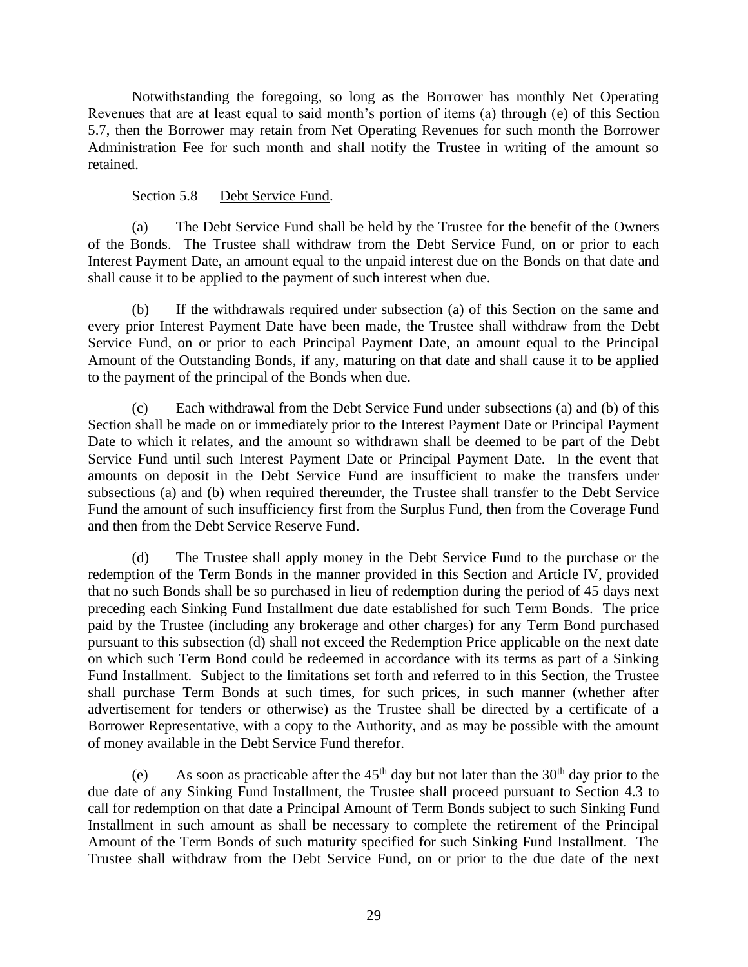Notwithstanding the foregoing, so long as the Borrower has monthly Net Operating Revenues that are at least equal to said month's portion of items (a) through (e) of this Section 5.7, then the Borrower may retain from Net Operating Revenues for such month the Borrower Administration Fee for such month and shall notify the Trustee in writing of the amount so retained.

Section 5.8 Debt Service Fund.

(a) The Debt Service Fund shall be held by the Trustee for the benefit of the Owners of the Bonds. The Trustee shall withdraw from the Debt Service Fund, on or prior to each Interest Payment Date, an amount equal to the unpaid interest due on the Bonds on that date and shall cause it to be applied to the payment of such interest when due.

(b) If the withdrawals required under subsection (a) of this Section on the same and every prior Interest Payment Date have been made, the Trustee shall withdraw from the Debt Service Fund, on or prior to each Principal Payment Date, an amount equal to the Principal Amount of the Outstanding Bonds, if any, maturing on that date and shall cause it to be applied to the payment of the principal of the Bonds when due.

(c) Each withdrawal from the Debt Service Fund under subsections (a) and (b) of this Section shall be made on or immediately prior to the Interest Payment Date or Principal Payment Date to which it relates, and the amount so withdrawn shall be deemed to be part of the Debt Service Fund until such Interest Payment Date or Principal Payment Date. In the event that amounts on deposit in the Debt Service Fund are insufficient to make the transfers under subsections (a) and (b) when required thereunder, the Trustee shall transfer to the Debt Service Fund the amount of such insufficiency first from the Surplus Fund, then from the Coverage Fund and then from the Debt Service Reserve Fund.

(d) The Trustee shall apply money in the Debt Service Fund to the purchase or the redemption of the Term Bonds in the manner provided in this Section and Article IV, provided that no such Bonds shall be so purchased in lieu of redemption during the period of 45 days next preceding each Sinking Fund Installment due date established for such Term Bonds. The price paid by the Trustee (including any brokerage and other charges) for any Term Bond purchased pursuant to this subsection (d) shall not exceed the Redemption Price applicable on the next date on which such Term Bond could be redeemed in accordance with its terms as part of a Sinking Fund Installment. Subject to the limitations set forth and referred to in this Section, the Trustee shall purchase Term Bonds at such times, for such prices, in such manner (whether after advertisement for tenders or otherwise) as the Trustee shall be directed by a certificate of a Borrower Representative, with a copy to the Authority, and as may be possible with the amount of money available in the Debt Service Fund therefor.

(e) As soon as practicable after the  $45<sup>th</sup>$  day but not later than the  $30<sup>th</sup>$  day prior to the due date of any Sinking Fund Installment, the Trustee shall proceed pursuant to Section 4.3 to call for redemption on that date a Principal Amount of Term Bonds subject to such Sinking Fund Installment in such amount as shall be necessary to complete the retirement of the Principal Amount of the Term Bonds of such maturity specified for such Sinking Fund Installment. The Trustee shall withdraw from the Debt Service Fund, on or prior to the due date of the next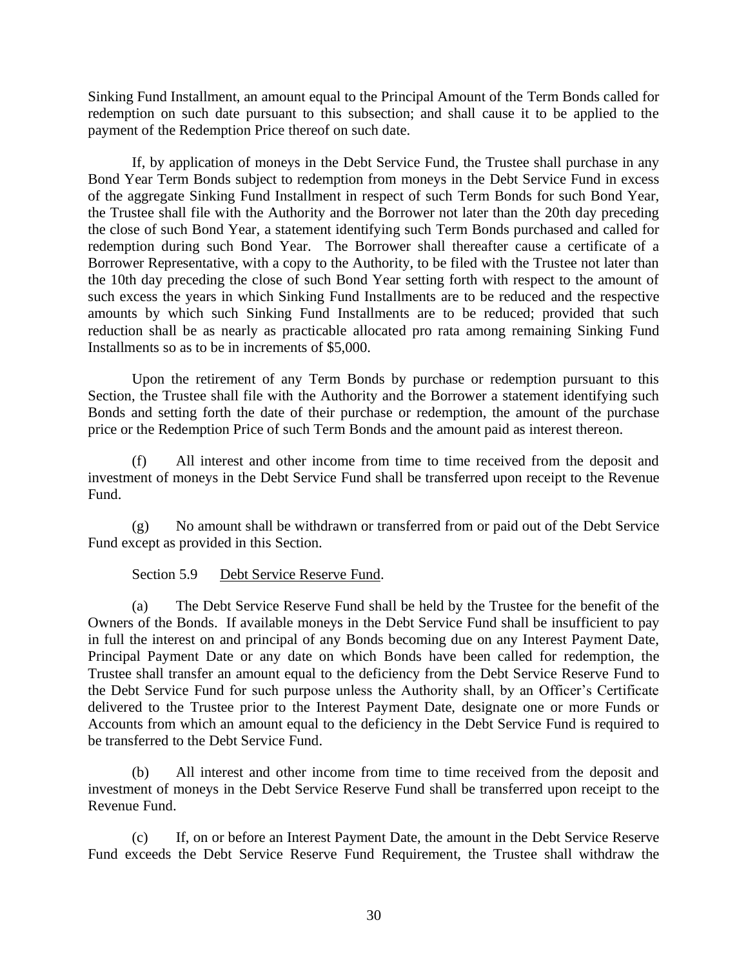Sinking Fund Installment, an amount equal to the Principal Amount of the Term Bonds called for redemption on such date pursuant to this subsection; and shall cause it to be applied to the payment of the Redemption Price thereof on such date.

If, by application of moneys in the Debt Service Fund, the Trustee shall purchase in any Bond Year Term Bonds subject to redemption from moneys in the Debt Service Fund in excess of the aggregate Sinking Fund Installment in respect of such Term Bonds for such Bond Year, the Trustee shall file with the Authority and the Borrower not later than the 20th day preceding the close of such Bond Year, a statement identifying such Term Bonds purchased and called for redemption during such Bond Year. The Borrower shall thereafter cause a certificate of a Borrower Representative, with a copy to the Authority, to be filed with the Trustee not later than the 10th day preceding the close of such Bond Year setting forth with respect to the amount of such excess the years in which Sinking Fund Installments are to be reduced and the respective amounts by which such Sinking Fund Installments are to be reduced; provided that such reduction shall be as nearly as practicable allocated pro rata among remaining Sinking Fund Installments so as to be in increments of \$5,000.

Upon the retirement of any Term Bonds by purchase or redemption pursuant to this Section, the Trustee shall file with the Authority and the Borrower a statement identifying such Bonds and setting forth the date of their purchase or redemption, the amount of the purchase price or the Redemption Price of such Term Bonds and the amount paid as interest thereon.

(f) All interest and other income from time to time received from the deposit and investment of moneys in the Debt Service Fund shall be transferred upon receipt to the Revenue Fund.

(g) No amount shall be withdrawn or transferred from or paid out of the Debt Service Fund except as provided in this Section.

Section 5.9 Debt Service Reserve Fund.

(a) The Debt Service Reserve Fund shall be held by the Trustee for the benefit of the Owners of the Bonds. If available moneys in the Debt Service Fund shall be insufficient to pay in full the interest on and principal of any Bonds becoming due on any Interest Payment Date, Principal Payment Date or any date on which Bonds have been called for redemption, the Trustee shall transfer an amount equal to the deficiency from the Debt Service Reserve Fund to the Debt Service Fund for such purpose unless the Authority shall, by an Officer's Certificate delivered to the Trustee prior to the Interest Payment Date, designate one or more Funds or Accounts from which an amount equal to the deficiency in the Debt Service Fund is required to be transferred to the Debt Service Fund.

(b) All interest and other income from time to time received from the deposit and investment of moneys in the Debt Service Reserve Fund shall be transferred upon receipt to the Revenue Fund.

(c) If, on or before an Interest Payment Date, the amount in the Debt Service Reserve Fund exceeds the Debt Service Reserve Fund Requirement, the Trustee shall withdraw the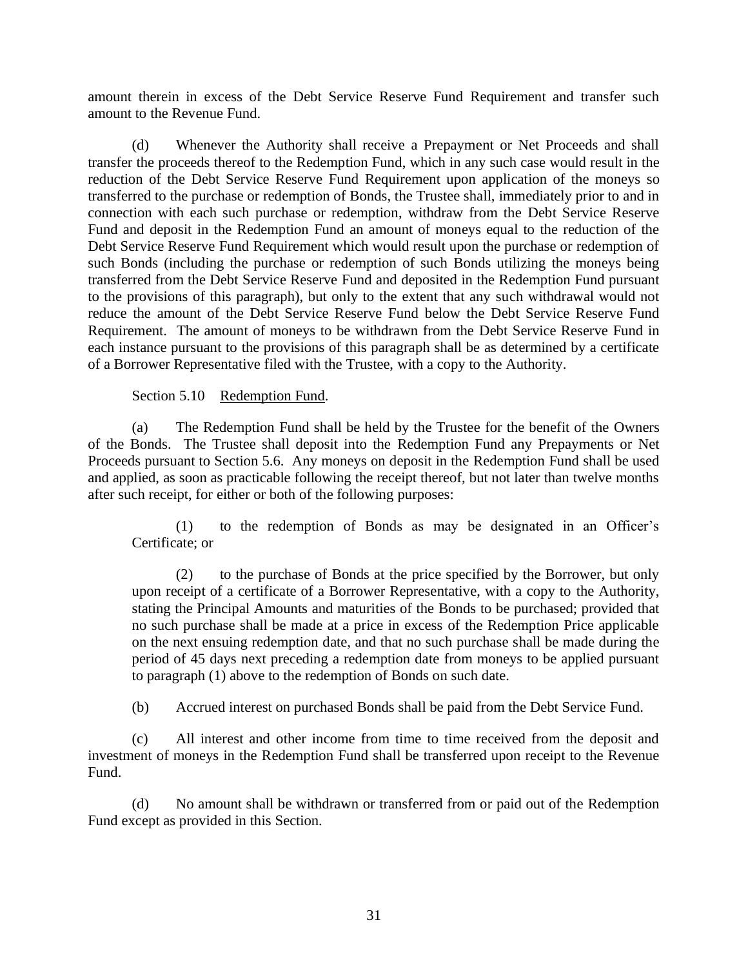amount therein in excess of the Debt Service Reserve Fund Requirement and transfer such amount to the Revenue Fund.

(d) Whenever the Authority shall receive a Prepayment or Net Proceeds and shall transfer the proceeds thereof to the Redemption Fund, which in any such case would result in the reduction of the Debt Service Reserve Fund Requirement upon application of the moneys so transferred to the purchase or redemption of Bonds, the Trustee shall, immediately prior to and in connection with each such purchase or redemption, withdraw from the Debt Service Reserve Fund and deposit in the Redemption Fund an amount of moneys equal to the reduction of the Debt Service Reserve Fund Requirement which would result upon the purchase or redemption of such Bonds (including the purchase or redemption of such Bonds utilizing the moneys being transferred from the Debt Service Reserve Fund and deposited in the Redemption Fund pursuant to the provisions of this paragraph), but only to the extent that any such withdrawal would not reduce the amount of the Debt Service Reserve Fund below the Debt Service Reserve Fund Requirement. The amount of moneys to be withdrawn from the Debt Service Reserve Fund in each instance pursuant to the provisions of this paragraph shall be as determined by a certificate of a Borrower Representative filed with the Trustee, with a copy to the Authority.

Section 5.10 Redemption Fund.

(a) The Redemption Fund shall be held by the Trustee for the benefit of the Owners of the Bonds. The Trustee shall deposit into the Redemption Fund any Prepayments or Net Proceeds pursuant to Section 5.6. Any moneys on deposit in the Redemption Fund shall be used and applied, as soon as practicable following the receipt thereof, but not later than twelve months after such receipt, for either or both of the following purposes:

(1) to the redemption of Bonds as may be designated in an Officer's Certificate; or

(2) to the purchase of Bonds at the price specified by the Borrower, but only upon receipt of a certificate of a Borrower Representative, with a copy to the Authority, stating the Principal Amounts and maturities of the Bonds to be purchased; provided that no such purchase shall be made at a price in excess of the Redemption Price applicable on the next ensuing redemption date, and that no such purchase shall be made during the period of 45 days next preceding a redemption date from moneys to be applied pursuant to paragraph (1) above to the redemption of Bonds on such date.

(b) Accrued interest on purchased Bonds shall be paid from the Debt Service Fund.

(c) All interest and other income from time to time received from the deposit and investment of moneys in the Redemption Fund shall be transferred upon receipt to the Revenue Fund.

(d) No amount shall be withdrawn or transferred from or paid out of the Redemption Fund except as provided in this Section.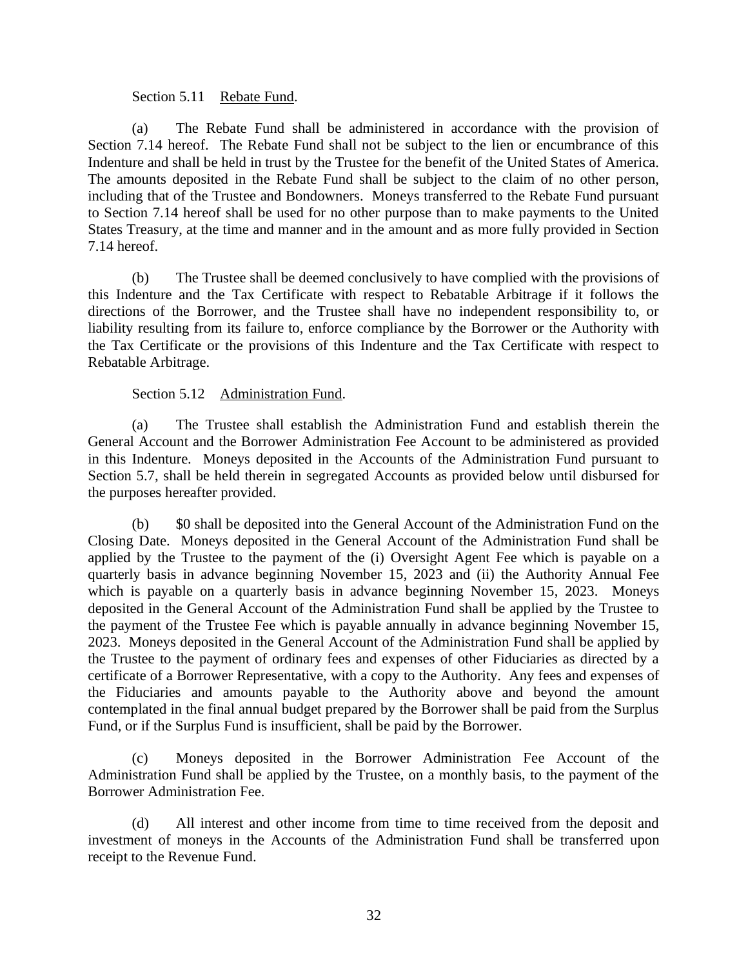#### Section 5.11 Rebate Fund.

(a) The Rebate Fund shall be administered in accordance with the provision of Section 7.14 hereof. The Rebate Fund shall not be subject to the lien or encumbrance of this Indenture and shall be held in trust by the Trustee for the benefit of the United States of America. The amounts deposited in the Rebate Fund shall be subject to the claim of no other person, including that of the Trustee and Bondowners. Moneys transferred to the Rebate Fund pursuant to Section 7.14 hereof shall be used for no other purpose than to make payments to the United States Treasury, at the time and manner and in the amount and as more fully provided in Section 7.14 hereof.

(b) The Trustee shall be deemed conclusively to have complied with the provisions of this Indenture and the Tax Certificate with respect to Rebatable Arbitrage if it follows the directions of the Borrower, and the Trustee shall have no independent responsibility to, or liability resulting from its failure to, enforce compliance by the Borrower or the Authority with the Tax Certificate or the provisions of this Indenture and the Tax Certificate with respect to Rebatable Arbitrage.

#### Section 5.12 Administration Fund.

(a) The Trustee shall establish the Administration Fund and establish therein the General Account and the Borrower Administration Fee Account to be administered as provided in this Indenture. Moneys deposited in the Accounts of the Administration Fund pursuant to Section 5.7, shall be held therein in segregated Accounts as provided below until disbursed for the purposes hereafter provided.

(b) \$0 shall be deposited into the General Account of the Administration Fund on the Closing Date. Moneys deposited in the General Account of the Administration Fund shall be applied by the Trustee to the payment of the (i) Oversight Agent Fee which is payable on a quarterly basis in advance beginning November 15, 2023 and (ii) the Authority Annual Fee which is payable on a quarterly basis in advance beginning November 15, 2023. Moneys deposited in the General Account of the Administration Fund shall be applied by the Trustee to the payment of the Trustee Fee which is payable annually in advance beginning November 15, 2023. Moneys deposited in the General Account of the Administration Fund shall be applied by the Trustee to the payment of ordinary fees and expenses of other Fiduciaries as directed by a certificate of a Borrower Representative, with a copy to the Authority. Any fees and expenses of the Fiduciaries and amounts payable to the Authority above and beyond the amount contemplated in the final annual budget prepared by the Borrower shall be paid from the Surplus Fund, or if the Surplus Fund is insufficient, shall be paid by the Borrower.

(c) Moneys deposited in the Borrower Administration Fee Account of the Administration Fund shall be applied by the Trustee, on a monthly basis, to the payment of the Borrower Administration Fee.

(d) All interest and other income from time to time received from the deposit and investment of moneys in the Accounts of the Administration Fund shall be transferred upon receipt to the Revenue Fund.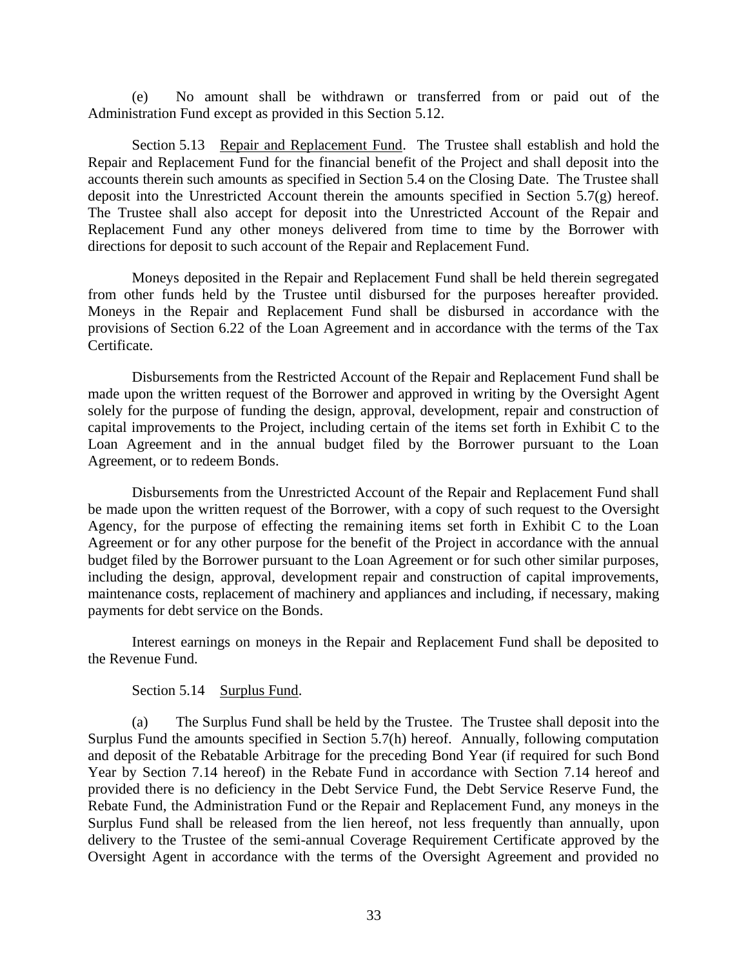(e) No amount shall be withdrawn or transferred from or paid out of the Administration Fund except as provided in this Section 5.12.

Section 5.13 Repair and Replacement Fund. The Trustee shall establish and hold the Repair and Replacement Fund for the financial benefit of the Project and shall deposit into the accounts therein such amounts as specified in Section 5.4 on the Closing Date. The Trustee shall deposit into the Unrestricted Account therein the amounts specified in Section 5.7(g) hereof. The Trustee shall also accept for deposit into the Unrestricted Account of the Repair and Replacement Fund any other moneys delivered from time to time by the Borrower with directions for deposit to such account of the Repair and Replacement Fund.

Moneys deposited in the Repair and Replacement Fund shall be held therein segregated from other funds held by the Trustee until disbursed for the purposes hereafter provided. Moneys in the Repair and Replacement Fund shall be disbursed in accordance with the provisions of Section 6.22 of the Loan Agreement and in accordance with the terms of the Tax Certificate.

Disbursements from the Restricted Account of the Repair and Replacement Fund shall be made upon the written request of the Borrower and approved in writing by the Oversight Agent solely for the purpose of funding the design, approval, development, repair and construction of capital improvements to the Project, including certain of the items set forth in Exhibit C to the Loan Agreement and in the annual budget filed by the Borrower pursuant to the Loan Agreement, or to redeem Bonds.

Disbursements from the Unrestricted Account of the Repair and Replacement Fund shall be made upon the written request of the Borrower, with a copy of such request to the Oversight Agency, for the purpose of effecting the remaining items set forth in Exhibit C to the Loan Agreement or for any other purpose for the benefit of the Project in accordance with the annual budget filed by the Borrower pursuant to the Loan Agreement or for such other similar purposes, including the design, approval, development repair and construction of capital improvements, maintenance costs, replacement of machinery and appliances and including, if necessary, making payments for debt service on the Bonds.

Interest earnings on moneys in the Repair and Replacement Fund shall be deposited to the Revenue Fund.

### Section 5.14 Surplus Fund.

(a) The Surplus Fund shall be held by the Trustee. The Trustee shall deposit into the Surplus Fund the amounts specified in Section 5.7(h) hereof. Annually, following computation and deposit of the Rebatable Arbitrage for the preceding Bond Year (if required for such Bond Year by Section 7.14 hereof) in the Rebate Fund in accordance with Section 7.14 hereof and provided there is no deficiency in the Debt Service Fund, the Debt Service Reserve Fund, the Rebate Fund, the Administration Fund or the Repair and Replacement Fund, any moneys in the Surplus Fund shall be released from the lien hereof, not less frequently than annually, upon delivery to the Trustee of the semi-annual Coverage Requirement Certificate approved by the Oversight Agent in accordance with the terms of the Oversight Agreement and provided no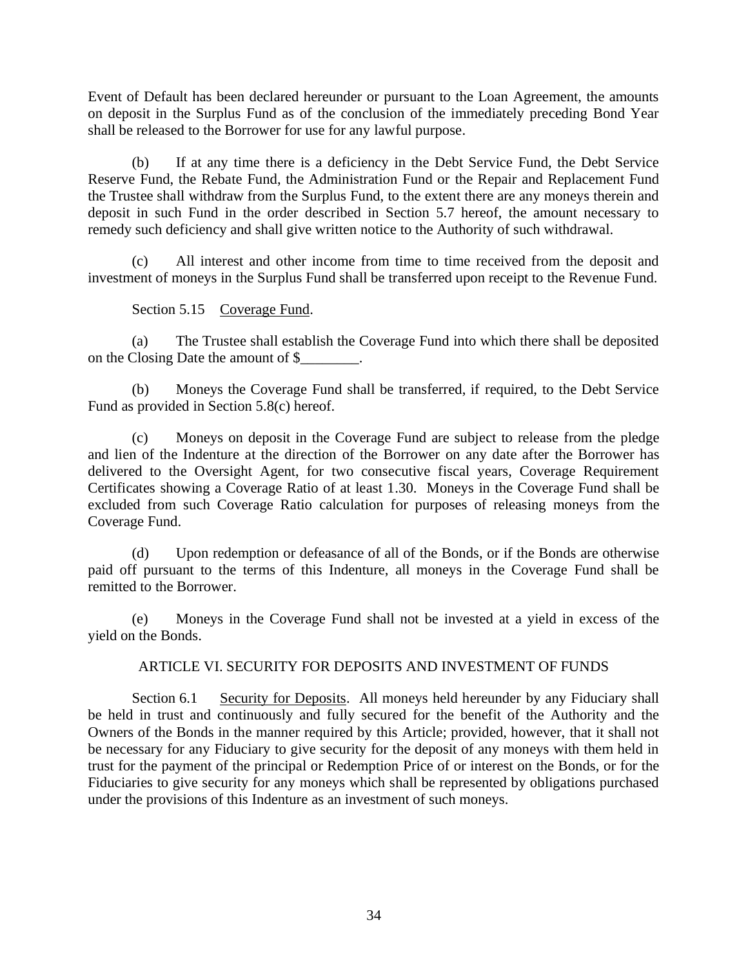Event of Default has been declared hereunder or pursuant to the Loan Agreement, the amounts on deposit in the Surplus Fund as of the conclusion of the immediately preceding Bond Year shall be released to the Borrower for use for any lawful purpose.

(b) If at any time there is a deficiency in the Debt Service Fund, the Debt Service Reserve Fund, the Rebate Fund, the Administration Fund or the Repair and Replacement Fund the Trustee shall withdraw from the Surplus Fund, to the extent there are any moneys therein and deposit in such Fund in the order described in Section 5.7 hereof, the amount necessary to remedy such deficiency and shall give written notice to the Authority of such withdrawal.

(c) All interest and other income from time to time received from the deposit and investment of moneys in the Surplus Fund shall be transferred upon receipt to the Revenue Fund.

# Section 5.15 Coverage Fund.

(a) The Trustee shall establish the Coverage Fund into which there shall be deposited on the Closing Date the amount of \$\_\_\_\_\_\_\_\_.

(b) Moneys the Coverage Fund shall be transferred, if required, to the Debt Service Fund as provided in Section 5.8(c) hereof.

(c) Moneys on deposit in the Coverage Fund are subject to release from the pledge and lien of the Indenture at the direction of the Borrower on any date after the Borrower has delivered to the Oversight Agent, for two consecutive fiscal years, Coverage Requirement Certificates showing a Coverage Ratio of at least 1.30. Moneys in the Coverage Fund shall be excluded from such Coverage Ratio calculation for purposes of releasing moneys from the Coverage Fund.

(d) Upon redemption or defeasance of all of the Bonds, or if the Bonds are otherwise paid off pursuant to the terms of this Indenture, all moneys in the Coverage Fund shall be remitted to the Borrower.

(e) Moneys in the Coverage Fund shall not be invested at a yield in excess of the yield on the Bonds.

# ARTICLE VI. SECURITY FOR DEPOSITS AND INVESTMENT OF FUNDS

Section 6.1 Security for Deposits. All moneys held hereunder by any Fiduciary shall be held in trust and continuously and fully secured for the benefit of the Authority and the Owners of the Bonds in the manner required by this Article; provided, however, that it shall not be necessary for any Fiduciary to give security for the deposit of any moneys with them held in trust for the payment of the principal or Redemption Price of or interest on the Bonds, or for the Fiduciaries to give security for any moneys which shall be represented by obligations purchased under the provisions of this Indenture as an investment of such moneys.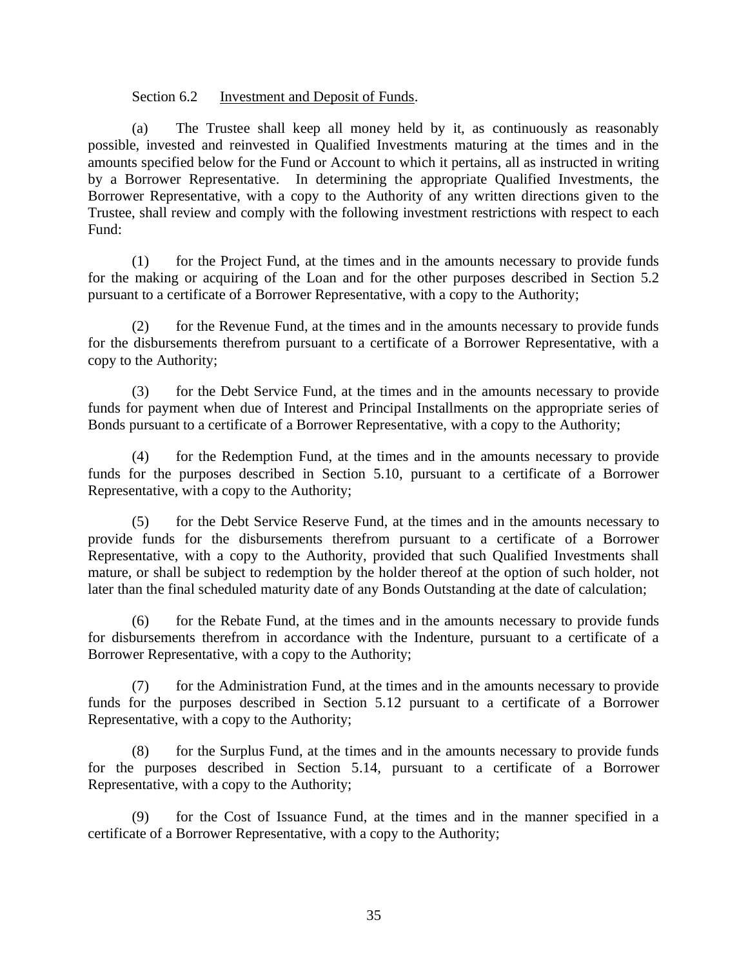### Section 6.2 Investment and Deposit of Funds.

(a) The Trustee shall keep all money held by it, as continuously as reasonably possible, invested and reinvested in Qualified Investments maturing at the times and in the amounts specified below for the Fund or Account to which it pertains, all as instructed in writing by a Borrower Representative. In determining the appropriate Qualified Investments, the Borrower Representative, with a copy to the Authority of any written directions given to the Trustee, shall review and comply with the following investment restrictions with respect to each Fund:

(1) for the Project Fund, at the times and in the amounts necessary to provide funds for the making or acquiring of the Loan and for the other purposes described in Section 5.2 pursuant to a certificate of a Borrower Representative, with a copy to the Authority;

(2) for the Revenue Fund, at the times and in the amounts necessary to provide funds for the disbursements therefrom pursuant to a certificate of a Borrower Representative, with a copy to the Authority;

(3) for the Debt Service Fund, at the times and in the amounts necessary to provide funds for payment when due of Interest and Principal Installments on the appropriate series of Bonds pursuant to a certificate of a Borrower Representative, with a copy to the Authority;

(4) for the Redemption Fund, at the times and in the amounts necessary to provide funds for the purposes described in Section 5.10, pursuant to a certificate of a Borrower Representative, with a copy to the Authority;

(5) for the Debt Service Reserve Fund, at the times and in the amounts necessary to provide funds for the disbursements therefrom pursuant to a certificate of a Borrower Representative, with a copy to the Authority, provided that such Qualified Investments shall mature, or shall be subject to redemption by the holder thereof at the option of such holder, not later than the final scheduled maturity date of any Bonds Outstanding at the date of calculation;

(6) for the Rebate Fund, at the times and in the amounts necessary to provide funds for disbursements therefrom in accordance with the Indenture, pursuant to a certificate of a Borrower Representative, with a copy to the Authority;

(7) for the Administration Fund, at the times and in the amounts necessary to provide funds for the purposes described in Section 5.12 pursuant to a certificate of a Borrower Representative, with a copy to the Authority;

(8) for the Surplus Fund, at the times and in the amounts necessary to provide funds for the purposes described in Section 5.14, pursuant to a certificate of a Borrower Representative, with a copy to the Authority;

(9) for the Cost of Issuance Fund, at the times and in the manner specified in a certificate of a Borrower Representative, with a copy to the Authority;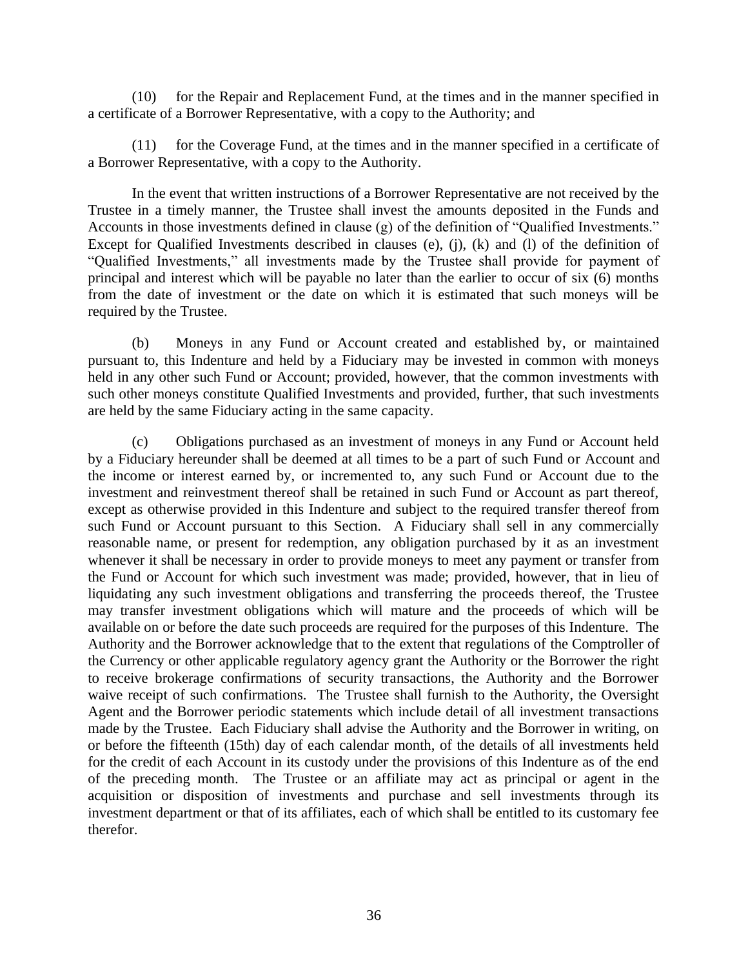(10) for the Repair and Replacement Fund, at the times and in the manner specified in a certificate of a Borrower Representative, with a copy to the Authority; and

(11) for the Coverage Fund, at the times and in the manner specified in a certificate of a Borrower Representative, with a copy to the Authority.

In the event that written instructions of a Borrower Representative are not received by the Trustee in a timely manner, the Trustee shall invest the amounts deposited in the Funds and Accounts in those investments defined in clause (g) of the definition of "Qualified Investments." Except for Qualified Investments described in clauses (e), (j), (k) and (l) of the definition of "Qualified Investments," all investments made by the Trustee shall provide for payment of principal and interest which will be payable no later than the earlier to occur of six (6) months from the date of investment or the date on which it is estimated that such moneys will be required by the Trustee.

(b) Moneys in any Fund or Account created and established by, or maintained pursuant to, this Indenture and held by a Fiduciary may be invested in common with moneys held in any other such Fund or Account; provided, however, that the common investments with such other moneys constitute Qualified Investments and provided, further, that such investments are held by the same Fiduciary acting in the same capacity.

(c) Obligations purchased as an investment of moneys in any Fund or Account held by a Fiduciary hereunder shall be deemed at all times to be a part of such Fund or Account and the income or interest earned by, or incremented to, any such Fund or Account due to the investment and reinvestment thereof shall be retained in such Fund or Account as part thereof, except as otherwise provided in this Indenture and subject to the required transfer thereof from such Fund or Account pursuant to this Section. A Fiduciary shall sell in any commercially reasonable name, or present for redemption, any obligation purchased by it as an investment whenever it shall be necessary in order to provide moneys to meet any payment or transfer from the Fund or Account for which such investment was made; provided, however, that in lieu of liquidating any such investment obligations and transferring the proceeds thereof, the Trustee may transfer investment obligations which will mature and the proceeds of which will be available on or before the date such proceeds are required for the purposes of this Indenture. The Authority and the Borrower acknowledge that to the extent that regulations of the Comptroller of the Currency or other applicable regulatory agency grant the Authority or the Borrower the right to receive brokerage confirmations of security transactions, the Authority and the Borrower waive receipt of such confirmations. The Trustee shall furnish to the Authority, the Oversight Agent and the Borrower periodic statements which include detail of all investment transactions made by the Trustee. Each Fiduciary shall advise the Authority and the Borrower in writing, on or before the fifteenth (15th) day of each calendar month, of the details of all investments held for the credit of each Account in its custody under the provisions of this Indenture as of the end of the preceding month. The Trustee or an affiliate may act as principal or agent in the acquisition or disposition of investments and purchase and sell investments through its investment department or that of its affiliates, each of which shall be entitled to its customary fee therefor.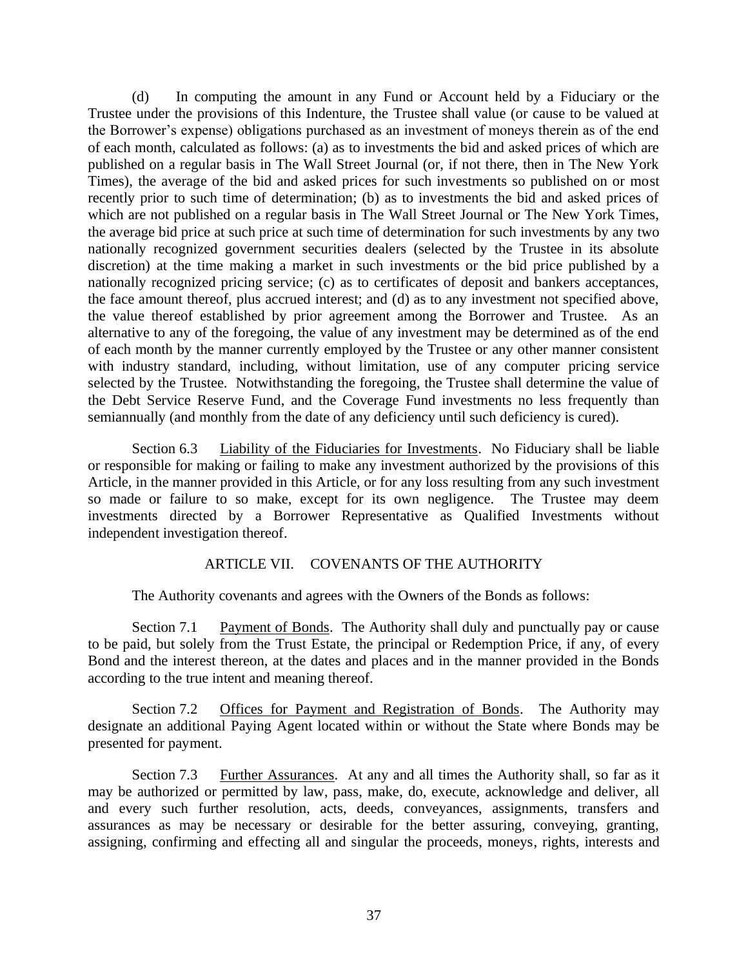(d) In computing the amount in any Fund or Account held by a Fiduciary or the Trustee under the provisions of this Indenture, the Trustee shall value (or cause to be valued at the Borrower's expense) obligations purchased as an investment of moneys therein as of the end of each month, calculated as follows: (a) as to investments the bid and asked prices of which are published on a regular basis in The Wall Street Journal (or, if not there, then in The New York Times), the average of the bid and asked prices for such investments so published on or most recently prior to such time of determination; (b) as to investments the bid and asked prices of which are not published on a regular basis in The Wall Street Journal or The New York Times, the average bid price at such price at such time of determination for such investments by any two nationally recognized government securities dealers (selected by the Trustee in its absolute discretion) at the time making a market in such investments or the bid price published by a nationally recognized pricing service; (c) as to certificates of deposit and bankers acceptances, the face amount thereof, plus accrued interest; and (d) as to any investment not specified above, the value thereof established by prior agreement among the Borrower and Trustee. As an alternative to any of the foregoing, the value of any investment may be determined as of the end of each month by the manner currently employed by the Trustee or any other manner consistent with industry standard, including, without limitation, use of any computer pricing service selected by the Trustee. Notwithstanding the foregoing, the Trustee shall determine the value of the Debt Service Reserve Fund, and the Coverage Fund investments no less frequently than semiannually (and monthly from the date of any deficiency until such deficiency is cured).

Section 6.3 Liability of the Fiduciaries for Investments. No Fiduciary shall be liable or responsible for making or failing to make any investment authorized by the provisions of this Article, in the manner provided in this Article, or for any loss resulting from any such investment so made or failure to so make, except for its own negligence. The Trustee may deem investments directed by a Borrower Representative as Qualified Investments without independent investigation thereof.

#### ARTICLE VII. COVENANTS OF THE AUTHORITY

The Authority covenants and agrees with the Owners of the Bonds as follows:

Section 7.1 Payment of Bonds. The Authority shall duly and punctually pay or cause to be paid, but solely from the Trust Estate, the principal or Redemption Price, if any, of every Bond and the interest thereon, at the dates and places and in the manner provided in the Bonds according to the true intent and meaning thereof.

Section 7.2 Offices for Payment and Registration of Bonds. The Authority may designate an additional Paying Agent located within or without the State where Bonds may be presented for payment.

Section 7.3 Further Assurances. At any and all times the Authority shall, so far as it may be authorized or permitted by law, pass, make, do, execute, acknowledge and deliver, all and every such further resolution, acts, deeds, conveyances, assignments, transfers and assurances as may be necessary or desirable for the better assuring, conveying, granting, assigning, confirming and effecting all and singular the proceeds, moneys, rights, interests and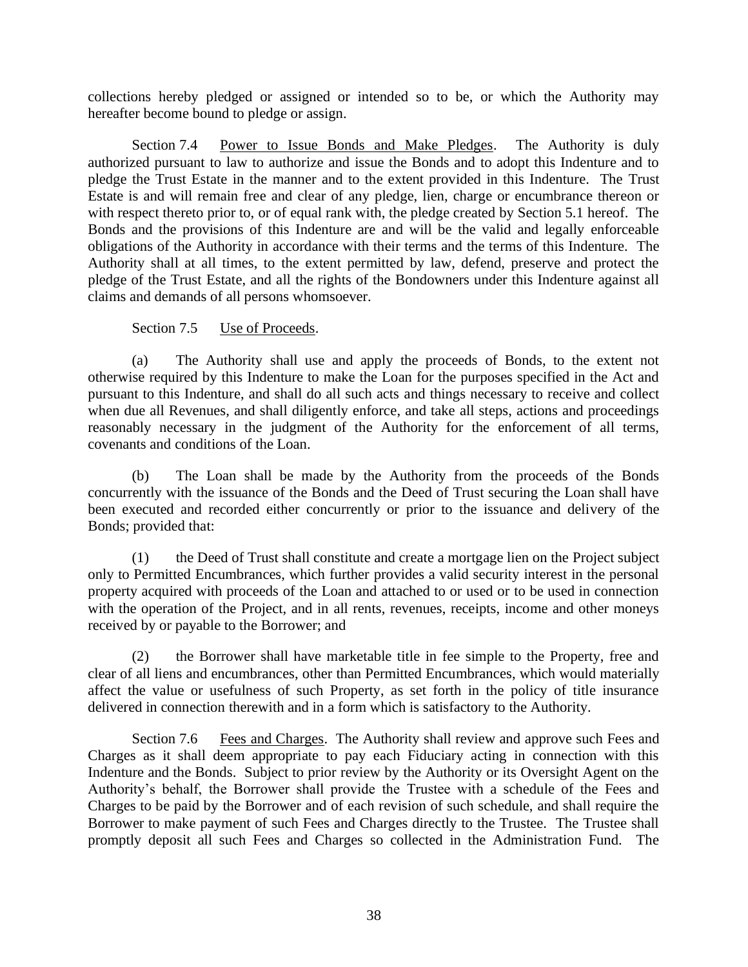collections hereby pledged or assigned or intended so to be, or which the Authority may hereafter become bound to pledge or assign.

Section 7.4 Power to Issue Bonds and Make Pledges. The Authority is duly authorized pursuant to law to authorize and issue the Bonds and to adopt this Indenture and to pledge the Trust Estate in the manner and to the extent provided in this Indenture. The Trust Estate is and will remain free and clear of any pledge, lien, charge or encumbrance thereon or with respect thereto prior to, or of equal rank with, the pledge created by Section 5.1 hereof. The Bonds and the provisions of this Indenture are and will be the valid and legally enforceable obligations of the Authority in accordance with their terms and the terms of this Indenture. The Authority shall at all times, to the extent permitted by law, defend, preserve and protect the pledge of the Trust Estate, and all the rights of the Bondowners under this Indenture against all claims and demands of all persons whomsoever.

# Section 7.5 Use of Proceeds.

(a) The Authority shall use and apply the proceeds of Bonds, to the extent not otherwise required by this Indenture to make the Loan for the purposes specified in the Act and pursuant to this Indenture, and shall do all such acts and things necessary to receive and collect when due all Revenues, and shall diligently enforce, and take all steps, actions and proceedings reasonably necessary in the judgment of the Authority for the enforcement of all terms, covenants and conditions of the Loan.

(b) The Loan shall be made by the Authority from the proceeds of the Bonds concurrently with the issuance of the Bonds and the Deed of Trust securing the Loan shall have been executed and recorded either concurrently or prior to the issuance and delivery of the Bonds; provided that:

(1) the Deed of Trust shall constitute and create a mortgage lien on the Project subject only to Permitted Encumbrances, which further provides a valid security interest in the personal property acquired with proceeds of the Loan and attached to or used or to be used in connection with the operation of the Project, and in all rents, revenues, receipts, income and other moneys received by or payable to the Borrower; and

(2) the Borrower shall have marketable title in fee simple to the Property, free and clear of all liens and encumbrances, other than Permitted Encumbrances, which would materially affect the value or usefulness of such Property, as set forth in the policy of title insurance delivered in connection therewith and in a form which is satisfactory to the Authority.

Section 7.6 Fees and Charges. The Authority shall review and approve such Fees and Charges as it shall deem appropriate to pay each Fiduciary acting in connection with this Indenture and the Bonds. Subject to prior review by the Authority or its Oversight Agent on the Authority's behalf, the Borrower shall provide the Trustee with a schedule of the Fees and Charges to be paid by the Borrower and of each revision of such schedule, and shall require the Borrower to make payment of such Fees and Charges directly to the Trustee. The Trustee shall promptly deposit all such Fees and Charges so collected in the Administration Fund. The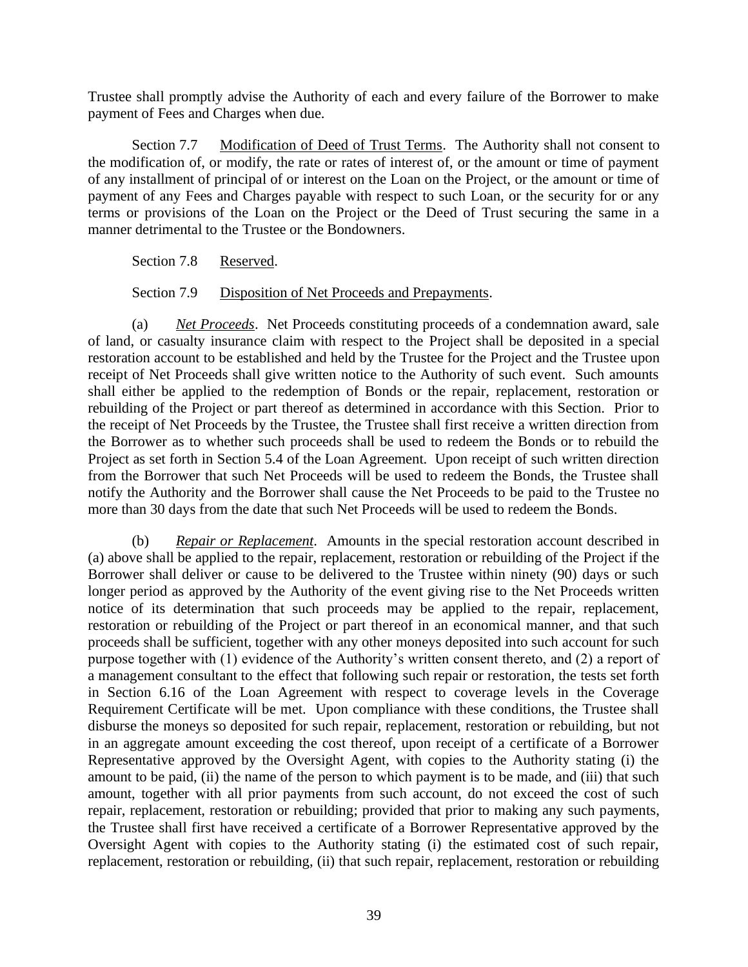Trustee shall promptly advise the Authority of each and every failure of the Borrower to make payment of Fees and Charges when due.

Section 7.7 Modification of Deed of Trust Terms. The Authority shall not consent to the modification of, or modify, the rate or rates of interest of, or the amount or time of payment of any installment of principal of or interest on the Loan on the Project, or the amount or time of payment of any Fees and Charges payable with respect to such Loan, or the security for or any terms or provisions of the Loan on the Project or the Deed of Trust securing the same in a manner detrimental to the Trustee or the Bondowners.

Section 7.8 Reserved.

Section 7.9 Disposition of Net Proceeds and Prepayments.

(a) *Net Proceeds*. Net Proceeds constituting proceeds of a condemnation award, sale of land, or casualty insurance claim with respect to the Project shall be deposited in a special restoration account to be established and held by the Trustee for the Project and the Trustee upon receipt of Net Proceeds shall give written notice to the Authority of such event. Such amounts shall either be applied to the redemption of Bonds or the repair, replacement, restoration or rebuilding of the Project or part thereof as determined in accordance with this Section. Prior to the receipt of Net Proceeds by the Trustee, the Trustee shall first receive a written direction from the Borrower as to whether such proceeds shall be used to redeem the Bonds or to rebuild the Project as set forth in Section 5.4 of the Loan Agreement. Upon receipt of such written direction from the Borrower that such Net Proceeds will be used to redeem the Bonds, the Trustee shall notify the Authority and the Borrower shall cause the Net Proceeds to be paid to the Trustee no more than 30 days from the date that such Net Proceeds will be used to redeem the Bonds.

(b) *Repair or Replacement*. Amounts in the special restoration account described in (a) above shall be applied to the repair, replacement, restoration or rebuilding of the Project if the Borrower shall deliver or cause to be delivered to the Trustee within ninety (90) days or such longer period as approved by the Authority of the event giving rise to the Net Proceeds written notice of its determination that such proceeds may be applied to the repair, replacement, restoration or rebuilding of the Project or part thereof in an economical manner, and that such proceeds shall be sufficient, together with any other moneys deposited into such account for such purpose together with (1) evidence of the Authority's written consent thereto, and (2) a report of a management consultant to the effect that following such repair or restoration, the tests set forth in Section 6.16 of the Loan Agreement with respect to coverage levels in the Coverage Requirement Certificate will be met. Upon compliance with these conditions, the Trustee shall disburse the moneys so deposited for such repair, replacement, restoration or rebuilding, but not in an aggregate amount exceeding the cost thereof, upon receipt of a certificate of a Borrower Representative approved by the Oversight Agent, with copies to the Authority stating (i) the amount to be paid, (ii) the name of the person to which payment is to be made, and (iii) that such amount, together with all prior payments from such account, do not exceed the cost of such repair, replacement, restoration or rebuilding; provided that prior to making any such payments, the Trustee shall first have received a certificate of a Borrower Representative approved by the Oversight Agent with copies to the Authority stating (i) the estimated cost of such repair, replacement, restoration or rebuilding, (ii) that such repair, replacement, restoration or rebuilding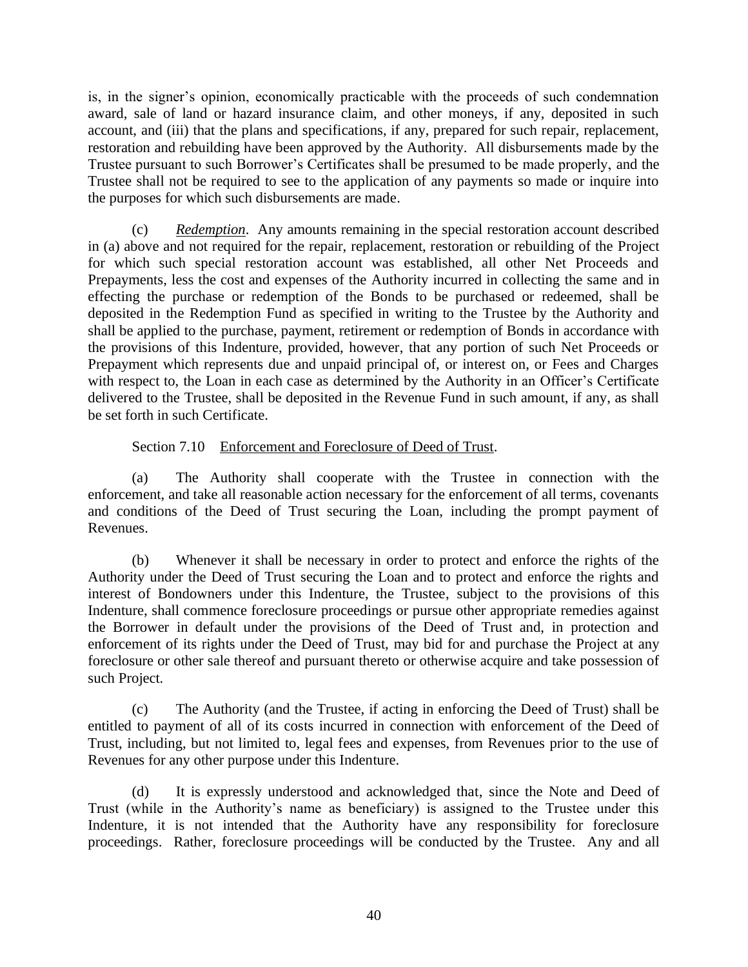is, in the signer's opinion, economically practicable with the proceeds of such condemnation award, sale of land or hazard insurance claim, and other moneys, if any, deposited in such account, and (iii) that the plans and specifications, if any, prepared for such repair, replacement, restoration and rebuilding have been approved by the Authority. All disbursements made by the Trustee pursuant to such Borrower's Certificates shall be presumed to be made properly, and the Trustee shall not be required to see to the application of any payments so made or inquire into the purposes for which such disbursements are made.

(c) *Redemption*. Any amounts remaining in the special restoration account described in (a) above and not required for the repair, replacement, restoration or rebuilding of the Project for which such special restoration account was established, all other Net Proceeds and Prepayments, less the cost and expenses of the Authority incurred in collecting the same and in effecting the purchase or redemption of the Bonds to be purchased or redeemed, shall be deposited in the Redemption Fund as specified in writing to the Trustee by the Authority and shall be applied to the purchase, payment, retirement or redemption of Bonds in accordance with the provisions of this Indenture, provided, however, that any portion of such Net Proceeds or Prepayment which represents due and unpaid principal of, or interest on, or Fees and Charges with respect to, the Loan in each case as determined by the Authority in an Officer's Certificate delivered to the Trustee, shall be deposited in the Revenue Fund in such amount, if any, as shall be set forth in such Certificate.

Section 7.10 Enforcement and Foreclosure of Deed of Trust.

(a) The Authority shall cooperate with the Trustee in connection with the enforcement, and take all reasonable action necessary for the enforcement of all terms, covenants and conditions of the Deed of Trust securing the Loan, including the prompt payment of Revenues.

(b) Whenever it shall be necessary in order to protect and enforce the rights of the Authority under the Deed of Trust securing the Loan and to protect and enforce the rights and interest of Bondowners under this Indenture, the Trustee, subject to the provisions of this Indenture, shall commence foreclosure proceedings or pursue other appropriate remedies against the Borrower in default under the provisions of the Deed of Trust and, in protection and enforcement of its rights under the Deed of Trust, may bid for and purchase the Project at any foreclosure or other sale thereof and pursuant thereto or otherwise acquire and take possession of such Project.

(c) The Authority (and the Trustee, if acting in enforcing the Deed of Trust) shall be entitled to payment of all of its costs incurred in connection with enforcement of the Deed of Trust, including, but not limited to, legal fees and expenses, from Revenues prior to the use of Revenues for any other purpose under this Indenture.

(d) It is expressly understood and acknowledged that, since the Note and Deed of Trust (while in the Authority's name as beneficiary) is assigned to the Trustee under this Indenture, it is not intended that the Authority have any responsibility for foreclosure proceedings. Rather, foreclosure proceedings will be conducted by the Trustee. Any and all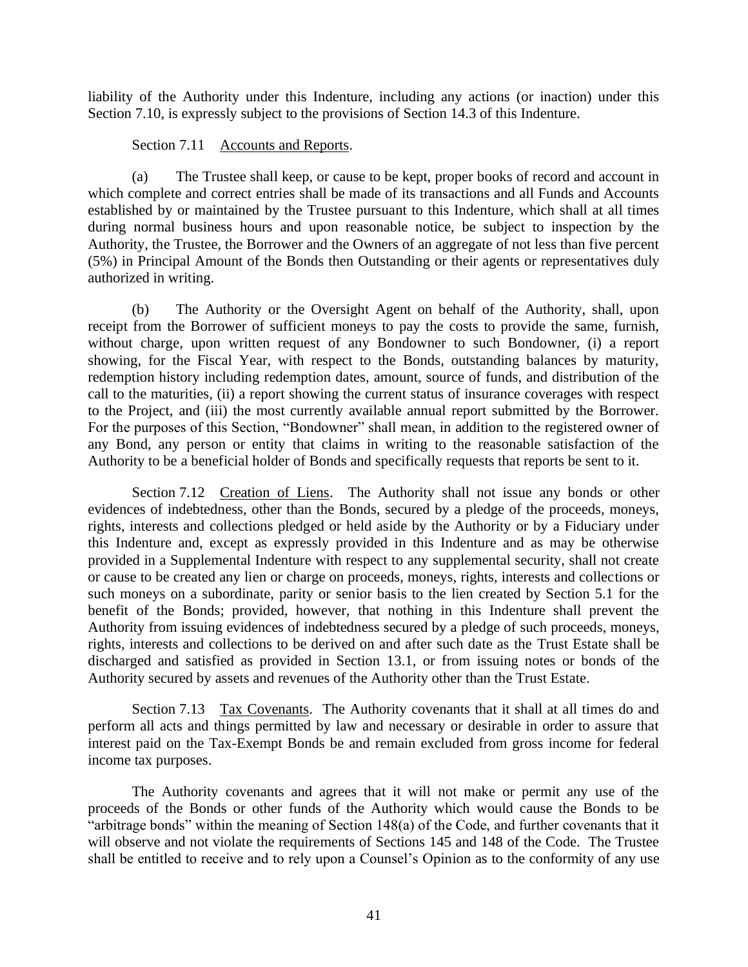liability of the Authority under this Indenture, including any actions (or inaction) under this Section 7.10, is expressly subject to the provisions of Section 14.3 of this Indenture.

# Section 7.11 Accounts and Reports.

(a) The Trustee shall keep, or cause to be kept, proper books of record and account in which complete and correct entries shall be made of its transactions and all Funds and Accounts established by or maintained by the Trustee pursuant to this Indenture, which shall at all times during normal business hours and upon reasonable notice, be subject to inspection by the Authority, the Trustee, the Borrower and the Owners of an aggregate of not less than five percent (5%) in Principal Amount of the Bonds then Outstanding or their agents or representatives duly authorized in writing.

(b) The Authority or the Oversight Agent on behalf of the Authority, shall, upon receipt from the Borrower of sufficient moneys to pay the costs to provide the same, furnish, without charge, upon written request of any Bondowner to such Bondowner, (i) a report showing, for the Fiscal Year, with respect to the Bonds, outstanding balances by maturity, redemption history including redemption dates, amount, source of funds, and distribution of the call to the maturities, (ii) a report showing the current status of insurance coverages with respect to the Project, and (iii) the most currently available annual report submitted by the Borrower. For the purposes of this Section, "Bondowner" shall mean, in addition to the registered owner of any Bond, any person or entity that claims in writing to the reasonable satisfaction of the Authority to be a beneficial holder of Bonds and specifically requests that reports be sent to it.

Section 7.12 Creation of Liens. The Authority shall not issue any bonds or other evidences of indebtedness, other than the Bonds, secured by a pledge of the proceeds, moneys, rights, interests and collections pledged or held aside by the Authority or by a Fiduciary under this Indenture and, except as expressly provided in this Indenture and as may be otherwise provided in a Supplemental Indenture with respect to any supplemental security, shall not create or cause to be created any lien or charge on proceeds, moneys, rights, interests and collections or such moneys on a subordinate, parity or senior basis to the lien created by Section 5.1 for the benefit of the Bonds; provided, however, that nothing in this Indenture shall prevent the Authority from issuing evidences of indebtedness secured by a pledge of such proceeds, moneys, rights, interests and collections to be derived on and after such date as the Trust Estate shall be discharged and satisfied as provided in Section 13.1, or from issuing notes or bonds of the Authority secured by assets and revenues of the Authority other than the Trust Estate.

Section 7.13 Tax Covenants. The Authority covenants that it shall at all times do and perform all acts and things permitted by law and necessary or desirable in order to assure that interest paid on the Tax-Exempt Bonds be and remain excluded from gross income for federal income tax purposes.

The Authority covenants and agrees that it will not make or permit any use of the proceeds of the Bonds or other funds of the Authority which would cause the Bonds to be "arbitrage bonds" within the meaning of Section 148(a) of the Code, and further covenants that it will observe and not violate the requirements of Sections 145 and 148 of the Code. The Trustee shall be entitled to receive and to rely upon a Counsel's Opinion as to the conformity of any use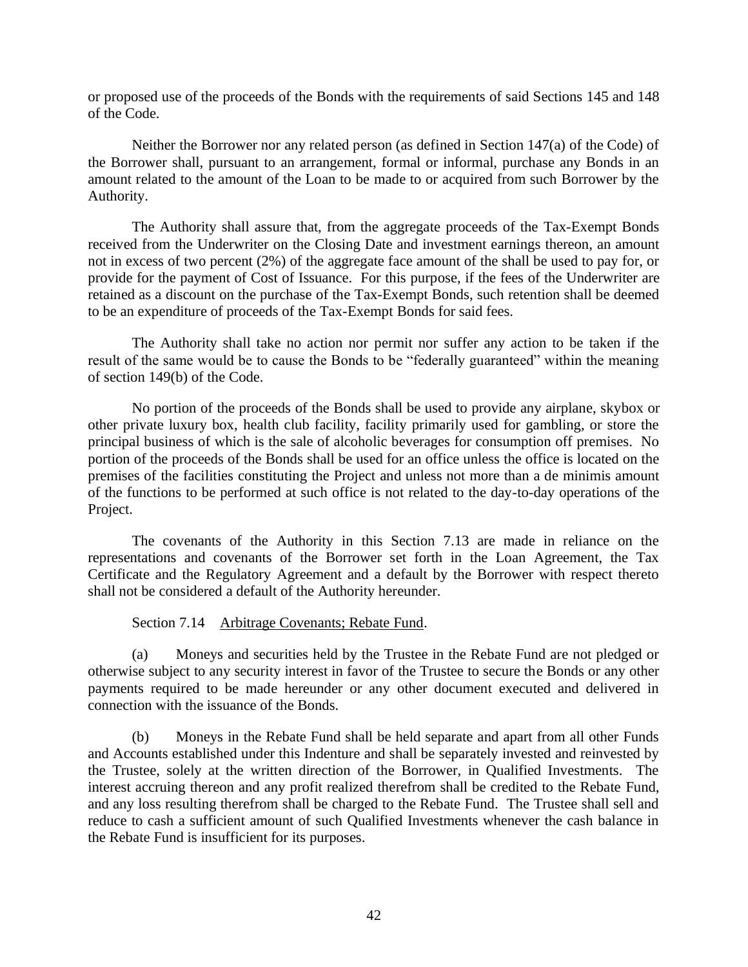or proposed use of the proceeds of the Bonds with the requirements of said Sections 145 and 148 of the Code.

Neither the Borrower nor any related person (as defined in Section 147(a) of the Code) of the Borrower shall, pursuant to an arrangement, formal or informal, purchase any Bonds in an amount related to the amount of the Loan to be made to or acquired from such Borrower by the Authority.

The Authority shall assure that, from the aggregate proceeds of the Tax-Exempt Bonds received from the Underwriter on the Closing Date and investment earnings thereon, an amount not in excess of two percent (2%) of the aggregate face amount of the shall be used to pay for, or provide for the payment of Cost of Issuance. For this purpose, if the fees of the Underwriter are retained as a discount on the purchase of the Tax-Exempt Bonds, such retention shall be deemed to be an expenditure of proceeds of the Tax-Exempt Bonds for said fees.

The Authority shall take no action nor permit nor suffer any action to be taken if the result of the same would be to cause the Bonds to be "federally guaranteed" within the meaning of section 149(b) of the Code.

No portion of the proceeds of the Bonds shall be used to provide any airplane, skybox or other private luxury box, health club facility, facility primarily used for gambling, or store the principal business of which is the sale of alcoholic beverages for consumption off premises. No portion of the proceeds of the Bonds shall be used for an office unless the office is located on the premises of the facilities constituting the Project and unless not more than a de minimis amount of the functions to be performed at such office is not related to the day-to-day operations of the Project.

The covenants of the Authority in this Section 7.13 are made in reliance on the representations and covenants of the Borrower set forth in the Loan Agreement, the Tax Certificate and the Regulatory Agreement and a default by the Borrower with respect thereto shall not be considered a default of the Authority hereunder.

Section 7.14 Arbitrage Covenants; Rebate Fund.

(a) Moneys and securities held by the Trustee in the Rebate Fund are not pledged or otherwise subject to any security interest in favor of the Trustee to secure the Bonds or any other payments required to be made hereunder or any other document executed and delivered in connection with the issuance of the Bonds.

(b) Moneys in the Rebate Fund shall be held separate and apart from all other Funds and Accounts established under this Indenture and shall be separately invested and reinvested by the Trustee, solely at the written direction of the Borrower, in Qualified Investments. The interest accruing thereon and any profit realized therefrom shall be credited to the Rebate Fund, and any loss resulting therefrom shall be charged to the Rebate Fund. The Trustee shall sell and reduce to cash a sufficient amount of such Qualified Investments whenever the cash balance in the Rebate Fund is insufficient for its purposes.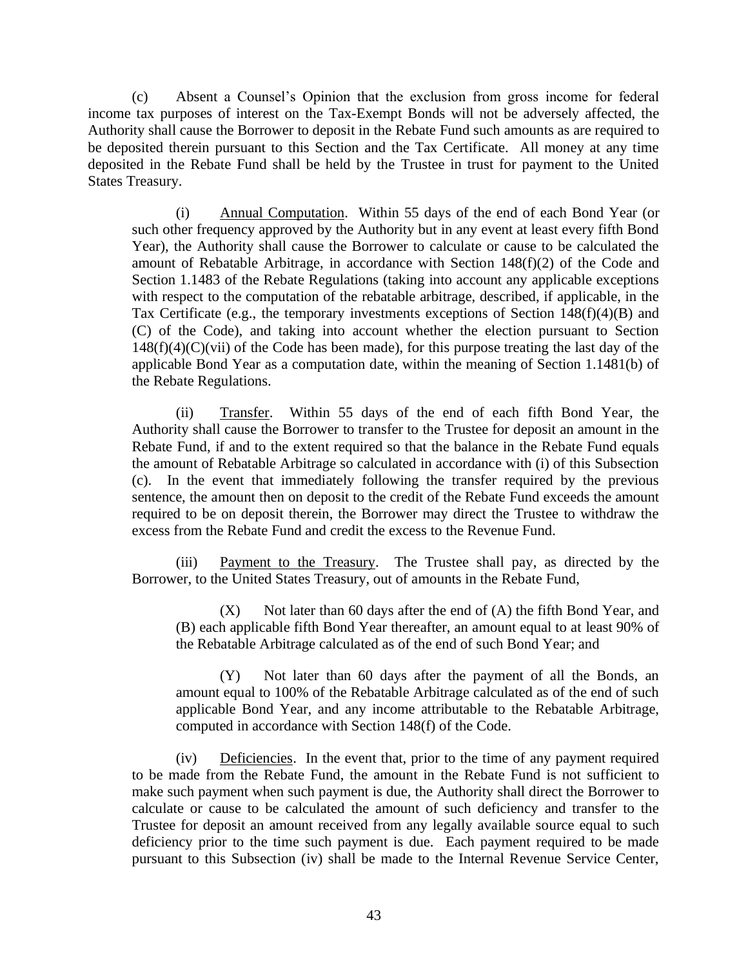(c) Absent a Counsel's Opinion that the exclusion from gross income for federal income tax purposes of interest on the Tax-Exempt Bonds will not be adversely affected, the Authority shall cause the Borrower to deposit in the Rebate Fund such amounts as are required to be deposited therein pursuant to this Section and the Tax Certificate. All money at any time deposited in the Rebate Fund shall be held by the Trustee in trust for payment to the United States Treasury.

(i) Annual Computation. Within 55 days of the end of each Bond Year (or such other frequency approved by the Authority but in any event at least every fifth Bond Year), the Authority shall cause the Borrower to calculate or cause to be calculated the amount of Rebatable Arbitrage, in accordance with Section 148(f)(2) of the Code and Section 1.1483 of the Rebate Regulations (taking into account any applicable exceptions with respect to the computation of the rebatable arbitrage, described, if applicable, in the Tax Certificate (e.g., the temporary investments exceptions of Section 148(f)(4)(B) and (C) of the Code), and taking into account whether the election pursuant to Section  $148(f)(4)(C)(vii)$  of the Code has been made), for this purpose treating the last day of the applicable Bond Year as a computation date, within the meaning of Section 1.1481(b) of the Rebate Regulations.

(ii) Transfer. Within 55 days of the end of each fifth Bond Year, the Authority shall cause the Borrower to transfer to the Trustee for deposit an amount in the Rebate Fund, if and to the extent required so that the balance in the Rebate Fund equals the amount of Rebatable Arbitrage so calculated in accordance with (i) of this Subsection (c). In the event that immediately following the transfer required by the previous sentence, the amount then on deposit to the credit of the Rebate Fund exceeds the amount required to be on deposit therein, the Borrower may direct the Trustee to withdraw the excess from the Rebate Fund and credit the excess to the Revenue Fund.

(iii) Payment to the Treasury. The Trustee shall pay, as directed by the Borrower, to the United States Treasury, out of amounts in the Rebate Fund,

 $(X)$  Not later than 60 days after the end of  $(A)$  the fifth Bond Year, and (B) each applicable fifth Bond Year thereafter, an amount equal to at least 90% of the Rebatable Arbitrage calculated as of the end of such Bond Year; and

(Y) Not later than 60 days after the payment of all the Bonds, an amount equal to 100% of the Rebatable Arbitrage calculated as of the end of such applicable Bond Year, and any income attributable to the Rebatable Arbitrage, computed in accordance with Section 148(f) of the Code.

(iv) Deficiencies. In the event that, prior to the time of any payment required to be made from the Rebate Fund, the amount in the Rebate Fund is not sufficient to make such payment when such payment is due, the Authority shall direct the Borrower to calculate or cause to be calculated the amount of such deficiency and transfer to the Trustee for deposit an amount received from any legally available source equal to such deficiency prior to the time such payment is due. Each payment required to be made pursuant to this Subsection (iv) shall be made to the Internal Revenue Service Center,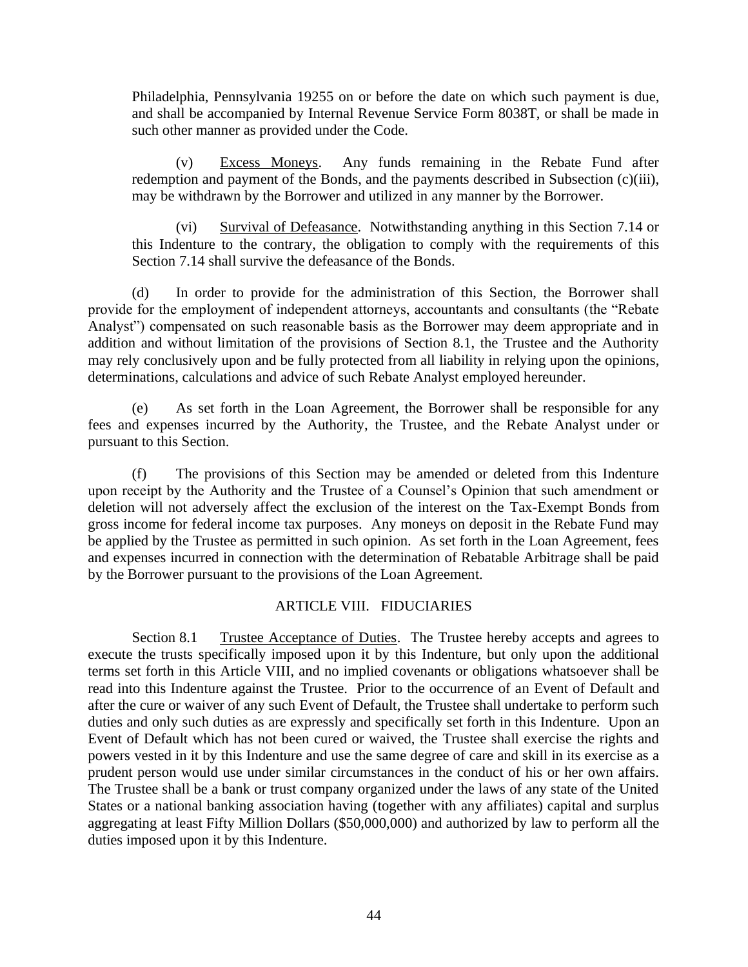Philadelphia, Pennsylvania 19255 on or before the date on which such payment is due, and shall be accompanied by Internal Revenue Service Form 8038T, or shall be made in such other manner as provided under the Code.

(v) Excess Moneys. Any funds remaining in the Rebate Fund after redemption and payment of the Bonds, and the payments described in Subsection (c)(iii), may be withdrawn by the Borrower and utilized in any manner by the Borrower.

(vi) Survival of Defeasance. Notwithstanding anything in this Section 7.14 or this Indenture to the contrary, the obligation to comply with the requirements of this Section 7.14 shall survive the defeasance of the Bonds.

(d) In order to provide for the administration of this Section, the Borrower shall provide for the employment of independent attorneys, accountants and consultants (the "Rebate Analyst") compensated on such reasonable basis as the Borrower may deem appropriate and in addition and without limitation of the provisions of Section 8.1, the Trustee and the Authority may rely conclusively upon and be fully protected from all liability in relying upon the opinions, determinations, calculations and advice of such Rebate Analyst employed hereunder.

(e) As set forth in the Loan Agreement, the Borrower shall be responsible for any fees and expenses incurred by the Authority, the Trustee, and the Rebate Analyst under or pursuant to this Section.

(f) The provisions of this Section may be amended or deleted from this Indenture upon receipt by the Authority and the Trustee of a Counsel's Opinion that such amendment or deletion will not adversely affect the exclusion of the interest on the Tax-Exempt Bonds from gross income for federal income tax purposes. Any moneys on deposit in the Rebate Fund may be applied by the Trustee as permitted in such opinion. As set forth in the Loan Agreement, fees and expenses incurred in connection with the determination of Rebatable Arbitrage shall be paid by the Borrower pursuant to the provisions of the Loan Agreement.

# ARTICLE VIII. FIDUCIARIES

Section 8.1 Trustee Acceptance of Duties. The Trustee hereby accepts and agrees to execute the trusts specifically imposed upon it by this Indenture, but only upon the additional terms set forth in this Article VIII, and no implied covenants or obligations whatsoever shall be read into this Indenture against the Trustee. Prior to the occurrence of an Event of Default and after the cure or waiver of any such Event of Default, the Trustee shall undertake to perform such duties and only such duties as are expressly and specifically set forth in this Indenture. Upon an Event of Default which has not been cured or waived, the Trustee shall exercise the rights and powers vested in it by this Indenture and use the same degree of care and skill in its exercise as a prudent person would use under similar circumstances in the conduct of his or her own affairs. The Trustee shall be a bank or trust company organized under the laws of any state of the United States or a national banking association having (together with any affiliates) capital and surplus aggregating at least Fifty Million Dollars (\$50,000,000) and authorized by law to perform all the duties imposed upon it by this Indenture.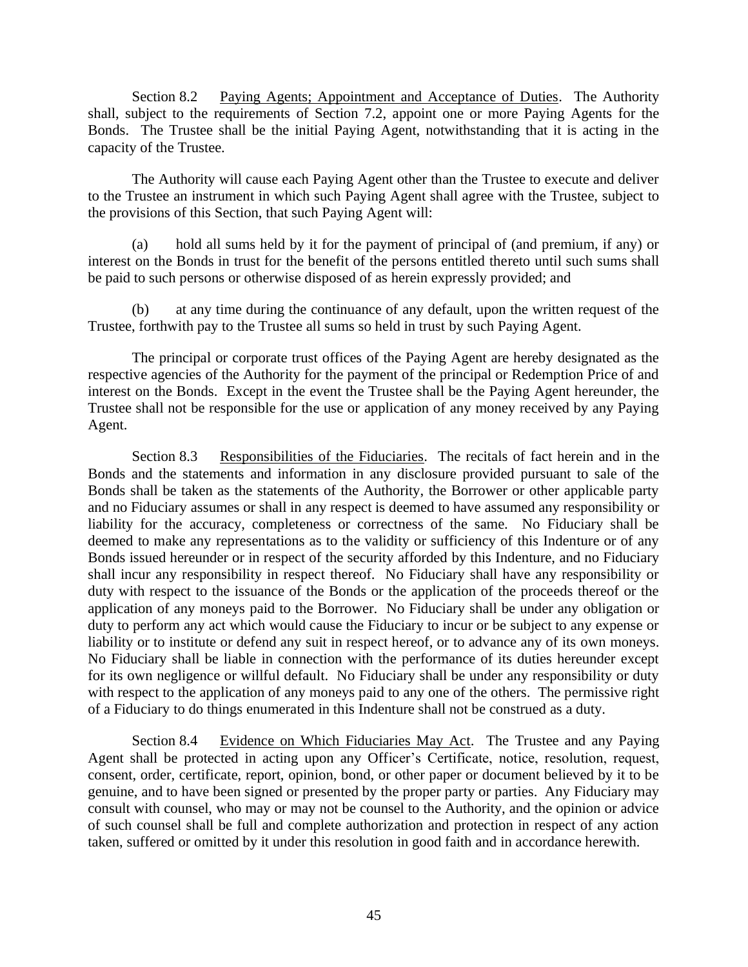Section 8.2 Paying Agents; Appointment and Acceptance of Duties. The Authority shall, subject to the requirements of Section 7.2, appoint one or more Paying Agents for the Bonds. The Trustee shall be the initial Paying Agent, notwithstanding that it is acting in the capacity of the Trustee.

The Authority will cause each Paying Agent other than the Trustee to execute and deliver to the Trustee an instrument in which such Paying Agent shall agree with the Trustee, subject to the provisions of this Section, that such Paying Agent will:

(a) hold all sums held by it for the payment of principal of (and premium, if any) or interest on the Bonds in trust for the benefit of the persons entitled thereto until such sums shall be paid to such persons or otherwise disposed of as herein expressly provided; and

(b) at any time during the continuance of any default, upon the written request of the Trustee, forthwith pay to the Trustee all sums so held in trust by such Paying Agent.

The principal or corporate trust offices of the Paying Agent are hereby designated as the respective agencies of the Authority for the payment of the principal or Redemption Price of and interest on the Bonds. Except in the event the Trustee shall be the Paying Agent hereunder, the Trustee shall not be responsible for the use or application of any money received by any Paying Agent.

Section 8.3 Responsibilities of the Fiduciaries. The recitals of fact herein and in the Bonds and the statements and information in any disclosure provided pursuant to sale of the Bonds shall be taken as the statements of the Authority, the Borrower or other applicable party and no Fiduciary assumes or shall in any respect is deemed to have assumed any responsibility or liability for the accuracy, completeness or correctness of the same. No Fiduciary shall be deemed to make any representations as to the validity or sufficiency of this Indenture or of any Bonds issued hereunder or in respect of the security afforded by this Indenture, and no Fiduciary shall incur any responsibility in respect thereof. No Fiduciary shall have any responsibility or duty with respect to the issuance of the Bonds or the application of the proceeds thereof or the application of any moneys paid to the Borrower. No Fiduciary shall be under any obligation or duty to perform any act which would cause the Fiduciary to incur or be subject to any expense or liability or to institute or defend any suit in respect hereof, or to advance any of its own moneys. No Fiduciary shall be liable in connection with the performance of its duties hereunder except for its own negligence or willful default. No Fiduciary shall be under any responsibility or duty with respect to the application of any moneys paid to any one of the others. The permissive right of a Fiduciary to do things enumerated in this Indenture shall not be construed as a duty.

Section 8.4 Evidence on Which Fiduciaries May Act. The Trustee and any Paying Agent shall be protected in acting upon any Officer's Certificate, notice, resolution, request, consent, order, certificate, report, opinion, bond, or other paper or document believed by it to be genuine, and to have been signed or presented by the proper party or parties. Any Fiduciary may consult with counsel, who may or may not be counsel to the Authority, and the opinion or advice of such counsel shall be full and complete authorization and protection in respect of any action taken, suffered or omitted by it under this resolution in good faith and in accordance herewith.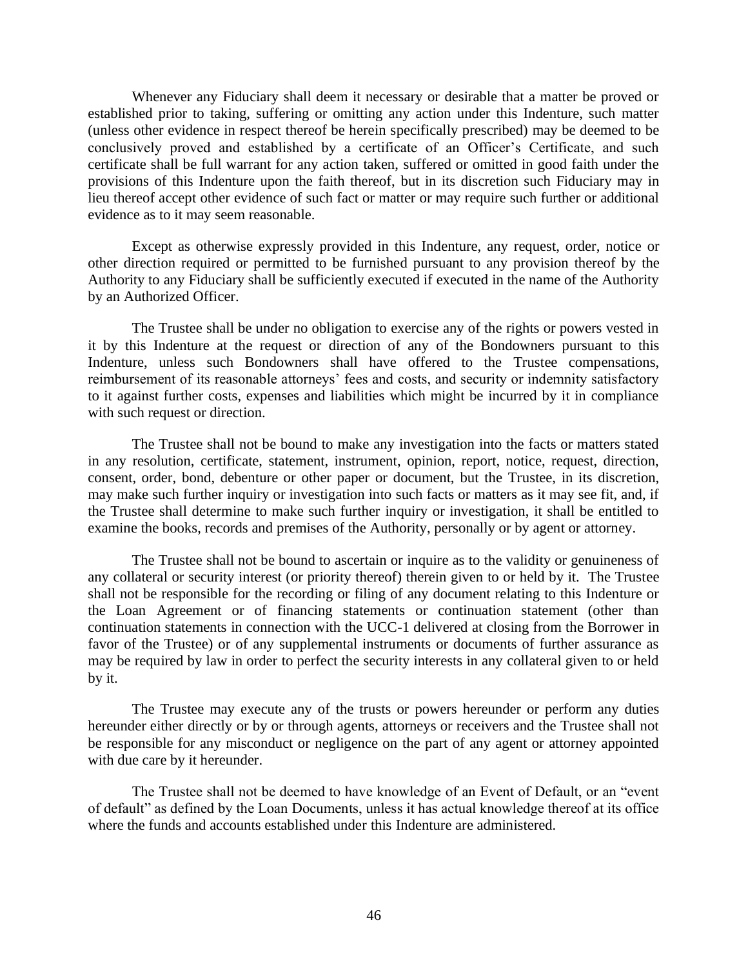Whenever any Fiduciary shall deem it necessary or desirable that a matter be proved or established prior to taking, suffering or omitting any action under this Indenture, such matter (unless other evidence in respect thereof be herein specifically prescribed) may be deemed to be conclusively proved and established by a certificate of an Officer's Certificate, and such certificate shall be full warrant for any action taken, suffered or omitted in good faith under the provisions of this Indenture upon the faith thereof, but in its discretion such Fiduciary may in lieu thereof accept other evidence of such fact or matter or may require such further or additional evidence as to it may seem reasonable.

Except as otherwise expressly provided in this Indenture, any request, order, notice or other direction required or permitted to be furnished pursuant to any provision thereof by the Authority to any Fiduciary shall be sufficiently executed if executed in the name of the Authority by an Authorized Officer.

The Trustee shall be under no obligation to exercise any of the rights or powers vested in it by this Indenture at the request or direction of any of the Bondowners pursuant to this Indenture, unless such Bondowners shall have offered to the Trustee compensations, reimbursement of its reasonable attorneys' fees and costs, and security or indemnity satisfactory to it against further costs, expenses and liabilities which might be incurred by it in compliance with such request or direction.

The Trustee shall not be bound to make any investigation into the facts or matters stated in any resolution, certificate, statement, instrument, opinion, report, notice, request, direction, consent, order, bond, debenture or other paper or document, but the Trustee, in its discretion, may make such further inquiry or investigation into such facts or matters as it may see fit, and, if the Trustee shall determine to make such further inquiry or investigation, it shall be entitled to examine the books, records and premises of the Authority, personally or by agent or attorney.

The Trustee shall not be bound to ascertain or inquire as to the validity or genuineness of any collateral or security interest (or priority thereof) therein given to or held by it. The Trustee shall not be responsible for the recording or filing of any document relating to this Indenture or the Loan Agreement or of financing statements or continuation statement (other than continuation statements in connection with the UCC-1 delivered at closing from the Borrower in favor of the Trustee) or of any supplemental instruments or documents of further assurance as may be required by law in order to perfect the security interests in any collateral given to or held by it.

The Trustee may execute any of the trusts or powers hereunder or perform any duties hereunder either directly or by or through agents, attorneys or receivers and the Trustee shall not be responsible for any misconduct or negligence on the part of any agent or attorney appointed with due care by it hereunder.

The Trustee shall not be deemed to have knowledge of an Event of Default, or an "event of default" as defined by the Loan Documents, unless it has actual knowledge thereof at its office where the funds and accounts established under this Indenture are administered.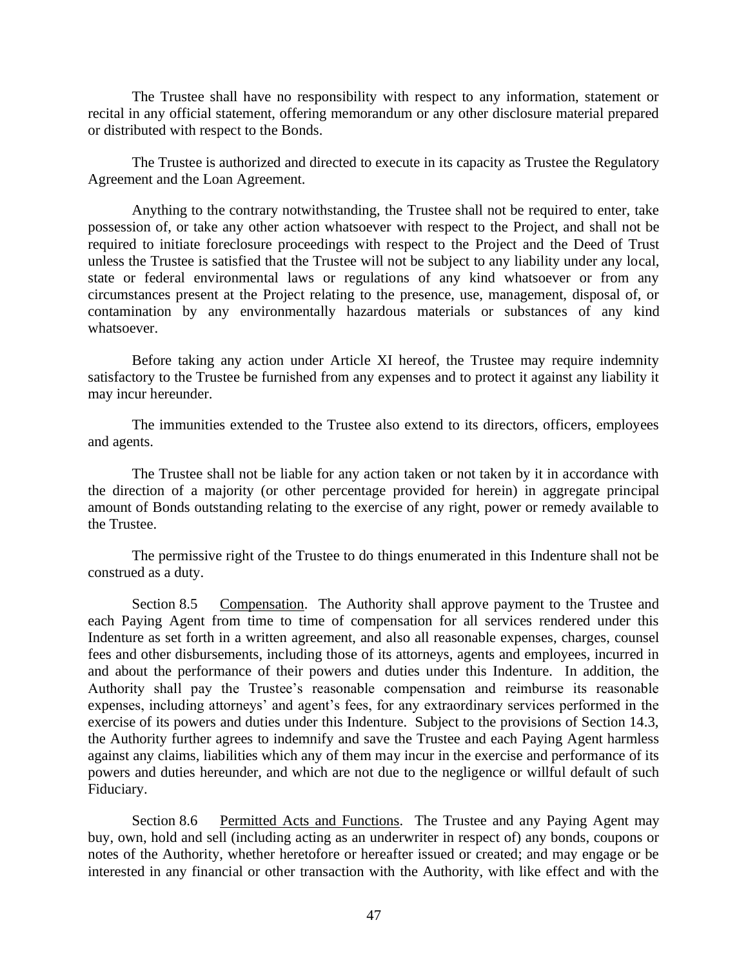The Trustee shall have no responsibility with respect to any information, statement or recital in any official statement, offering memorandum or any other disclosure material prepared or distributed with respect to the Bonds.

The Trustee is authorized and directed to execute in its capacity as Trustee the Regulatory Agreement and the Loan Agreement.

Anything to the contrary notwithstanding, the Trustee shall not be required to enter, take possession of, or take any other action whatsoever with respect to the Project, and shall not be required to initiate foreclosure proceedings with respect to the Project and the Deed of Trust unless the Trustee is satisfied that the Trustee will not be subject to any liability under any local, state or federal environmental laws or regulations of any kind whatsoever or from any circumstances present at the Project relating to the presence, use, management, disposal of, or contamination by any environmentally hazardous materials or substances of any kind whatsoever.

Before taking any action under Article XI hereof, the Trustee may require indemnity satisfactory to the Trustee be furnished from any expenses and to protect it against any liability it may incur hereunder.

The immunities extended to the Trustee also extend to its directors, officers, employees and agents.

The Trustee shall not be liable for any action taken or not taken by it in accordance with the direction of a majority (or other percentage provided for herein) in aggregate principal amount of Bonds outstanding relating to the exercise of any right, power or remedy available to the Trustee.

The permissive right of the Trustee to do things enumerated in this Indenture shall not be construed as a duty.

Section 8.5 Compensation. The Authority shall approve payment to the Trustee and each Paying Agent from time to time of compensation for all services rendered under this Indenture as set forth in a written agreement, and also all reasonable expenses, charges, counsel fees and other disbursements, including those of its attorneys, agents and employees, incurred in and about the performance of their powers and duties under this Indenture. In addition, the Authority shall pay the Trustee's reasonable compensation and reimburse its reasonable expenses, including attorneys' and agent's fees, for any extraordinary services performed in the exercise of its powers and duties under this Indenture. Subject to the provisions of Section 14.3, the Authority further agrees to indemnify and save the Trustee and each Paying Agent harmless against any claims, liabilities which any of them may incur in the exercise and performance of its powers and duties hereunder, and which are not due to the negligence or willful default of such Fiduciary.

Section 8.6 Permitted Acts and Functions. The Trustee and any Paying Agent may buy, own, hold and sell (including acting as an underwriter in respect of) any bonds, coupons or notes of the Authority, whether heretofore or hereafter issued or created; and may engage or be interested in any financial or other transaction with the Authority, with like effect and with the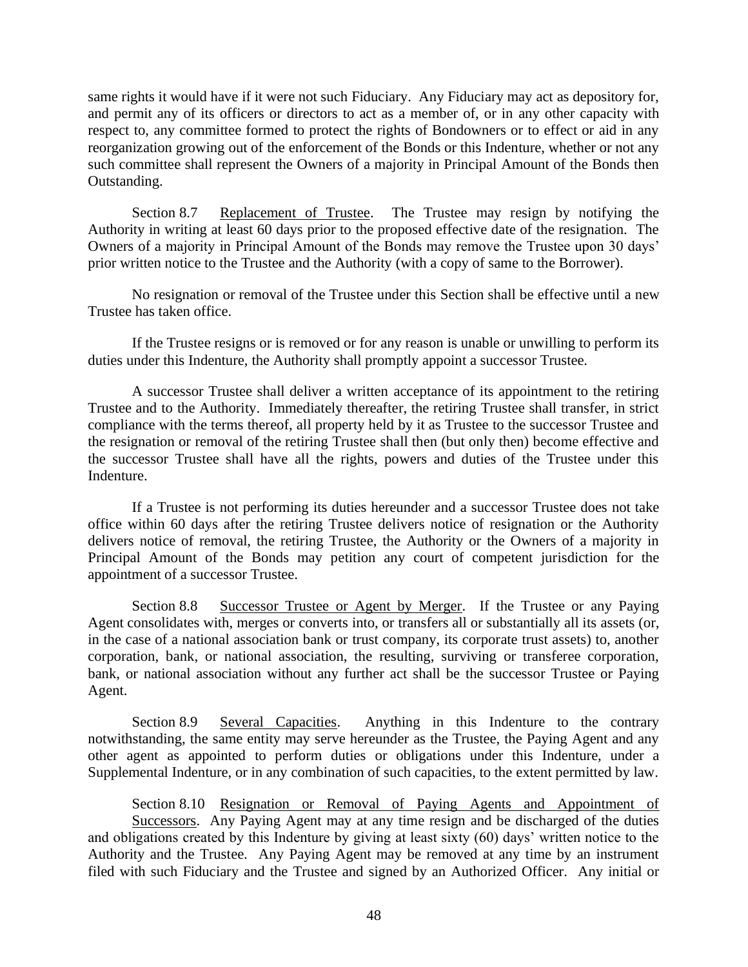same rights it would have if it were not such Fiduciary. Any Fiduciary may act as depository for, and permit any of its officers or directors to act as a member of, or in any other capacity with respect to, any committee formed to protect the rights of Bondowners or to effect or aid in any reorganization growing out of the enforcement of the Bonds or this Indenture, whether or not any such committee shall represent the Owners of a majority in Principal Amount of the Bonds then Outstanding.

Section 8.7 Replacement of Trustee. The Trustee may resign by notifying the Authority in writing at least 60 days prior to the proposed effective date of the resignation. The Owners of a majority in Principal Amount of the Bonds may remove the Trustee upon 30 days' prior written notice to the Trustee and the Authority (with a copy of same to the Borrower).

No resignation or removal of the Trustee under this Section shall be effective until a new Trustee has taken office.

If the Trustee resigns or is removed or for any reason is unable or unwilling to perform its duties under this Indenture, the Authority shall promptly appoint a successor Trustee.

A successor Trustee shall deliver a written acceptance of its appointment to the retiring Trustee and to the Authority. Immediately thereafter, the retiring Trustee shall transfer, in strict compliance with the terms thereof, all property held by it as Trustee to the successor Trustee and the resignation or removal of the retiring Trustee shall then (but only then) become effective and the successor Trustee shall have all the rights, powers and duties of the Trustee under this Indenture.

If a Trustee is not performing its duties hereunder and a successor Trustee does not take office within 60 days after the retiring Trustee delivers notice of resignation or the Authority delivers notice of removal, the retiring Trustee, the Authority or the Owners of a majority in Principal Amount of the Bonds may petition any court of competent jurisdiction for the appointment of a successor Trustee.

Section 8.8 Successor Trustee or Agent by Merger. If the Trustee or any Paying Agent consolidates with, merges or converts into, or transfers all or substantially all its assets (or, in the case of a national association bank or trust company, its corporate trust assets) to, another corporation, bank, or national association, the resulting, surviving or transferee corporation, bank, or national association without any further act shall be the successor Trustee or Paying Agent.

Section 8.9 Several Capacities. Anything in this Indenture to the contrary notwithstanding, the same entity may serve hereunder as the Trustee, the Paying Agent and any other agent as appointed to perform duties or obligations under this Indenture, under a Supplemental Indenture, or in any combination of such capacities, to the extent permitted by law.

Section 8.10 Resignation or Removal of Paying Agents and Appointment of Successors. Any Paying Agent may at any time resign and be discharged of the duties and obligations created by this Indenture by giving at least sixty (60) days' written notice to the Authority and the Trustee. Any Paying Agent may be removed at any time by an instrument filed with such Fiduciary and the Trustee and signed by an Authorized Officer. Any initial or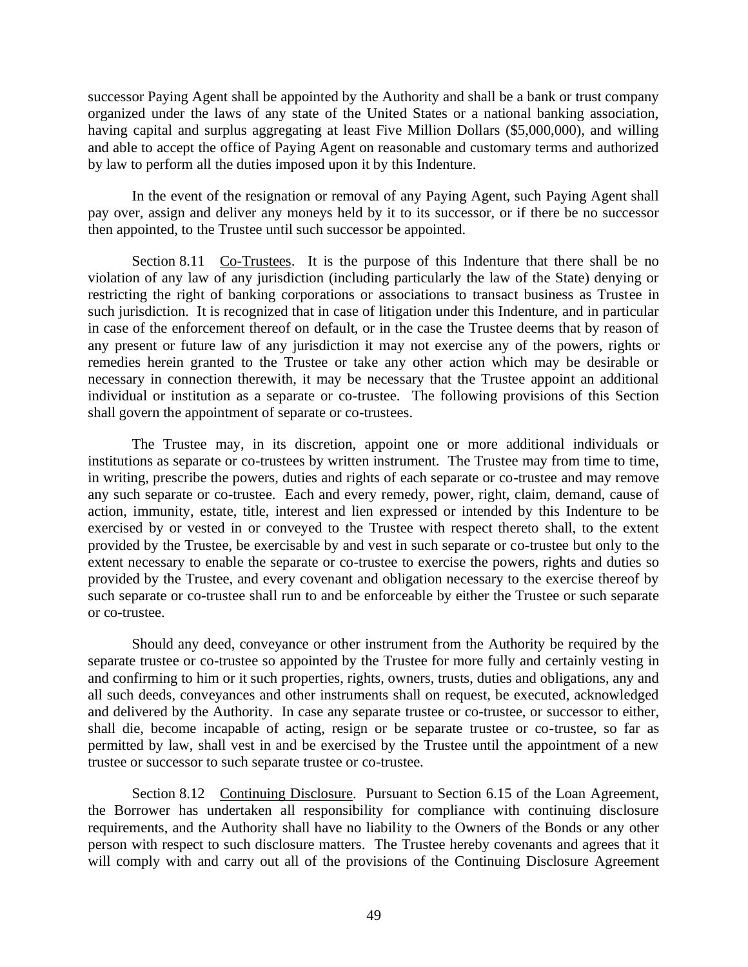successor Paying Agent shall be appointed by the Authority and shall be a bank or trust company organized under the laws of any state of the United States or a national banking association, having capital and surplus aggregating at least Five Million Dollars (\$5,000,000), and willing and able to accept the office of Paying Agent on reasonable and customary terms and authorized by law to perform all the duties imposed upon it by this Indenture.

In the event of the resignation or removal of any Paying Agent, such Paying Agent shall pay over, assign and deliver any moneys held by it to its successor, or if there be no successor then appointed, to the Trustee until such successor be appointed.

Section 8.11 Co-Trustees. It is the purpose of this Indenture that there shall be no violation of any law of any jurisdiction (including particularly the law of the State) denying or restricting the right of banking corporations or associations to transact business as Trustee in such jurisdiction. It is recognized that in case of litigation under this Indenture, and in particular in case of the enforcement thereof on default, or in the case the Trustee deems that by reason of any present or future law of any jurisdiction it may not exercise any of the powers, rights or remedies herein granted to the Trustee or take any other action which may be desirable or necessary in connection therewith, it may be necessary that the Trustee appoint an additional individual or institution as a separate or co-trustee. The following provisions of this Section shall govern the appointment of separate or co-trustees.

The Trustee may, in its discretion, appoint one or more additional individuals or institutions as separate or co-trustees by written instrument. The Trustee may from time to time, in writing, prescribe the powers, duties and rights of each separate or co-trustee and may remove any such separate or co-trustee. Each and every remedy, power, right, claim, demand, cause of action, immunity, estate, title, interest and lien expressed or intended by this Indenture to be exercised by or vested in or conveyed to the Trustee with respect thereto shall, to the extent provided by the Trustee, be exercisable by and vest in such separate or co-trustee but only to the extent necessary to enable the separate or co-trustee to exercise the powers, rights and duties so provided by the Trustee, and every covenant and obligation necessary to the exercise thereof by such separate or co-trustee shall run to and be enforceable by either the Trustee or such separate or co-trustee.

Should any deed, conveyance or other instrument from the Authority be required by the separate trustee or co-trustee so appointed by the Trustee for more fully and certainly vesting in and confirming to him or it such properties, rights, owners, trusts, duties and obligations, any and all such deeds, conveyances and other instruments shall on request, be executed, acknowledged and delivered by the Authority. In case any separate trustee or co-trustee, or successor to either, shall die, become incapable of acting, resign or be separate trustee or co-trustee, so far as permitted by law, shall vest in and be exercised by the Trustee until the appointment of a new trustee or successor to such separate trustee or co-trustee.

Section 8.12 Continuing Disclosure. Pursuant to Section 6.15 of the Loan Agreement, the Borrower has undertaken all responsibility for compliance with continuing disclosure requirements, and the Authority shall have no liability to the Owners of the Bonds or any other person with respect to such disclosure matters. The Trustee hereby covenants and agrees that it will comply with and carry out all of the provisions of the Continuing Disclosure Agreement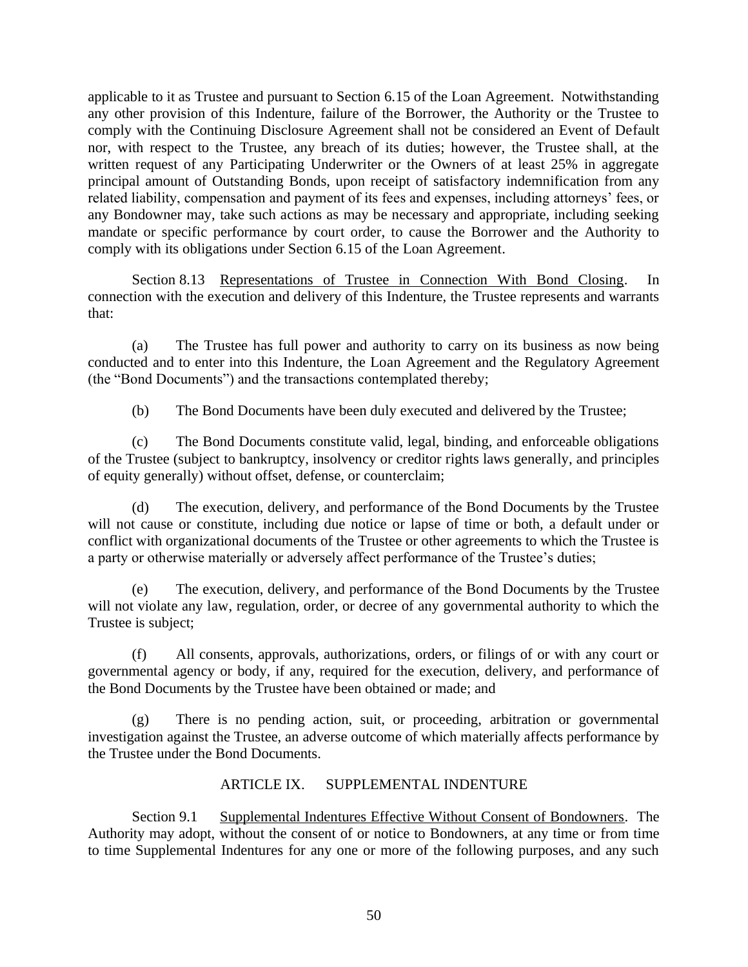applicable to it as Trustee and pursuant to Section 6.15 of the Loan Agreement. Notwithstanding any other provision of this Indenture, failure of the Borrower, the Authority or the Trustee to comply with the Continuing Disclosure Agreement shall not be considered an Event of Default nor, with respect to the Trustee, any breach of its duties; however, the Trustee shall, at the written request of any Participating Underwriter or the Owners of at least 25% in aggregate principal amount of Outstanding Bonds, upon receipt of satisfactory indemnification from any related liability, compensation and payment of its fees and expenses, including attorneys' fees, or any Bondowner may, take such actions as may be necessary and appropriate, including seeking mandate or specific performance by court order, to cause the Borrower and the Authority to comply with its obligations under Section 6.15 of the Loan Agreement.

Section 8.13 Representations of Trustee in Connection With Bond Closing. In connection with the execution and delivery of this Indenture, the Trustee represents and warrants that:

(a) The Trustee has full power and authority to carry on its business as now being conducted and to enter into this Indenture, the Loan Agreement and the Regulatory Agreement (the "Bond Documents") and the transactions contemplated thereby;

(b) The Bond Documents have been duly executed and delivered by the Trustee;

(c) The Bond Documents constitute valid, legal, binding, and enforceable obligations of the Trustee (subject to bankruptcy, insolvency or creditor rights laws generally, and principles of equity generally) without offset, defense, or counterclaim;

(d) The execution, delivery, and performance of the Bond Documents by the Trustee will not cause or constitute, including due notice or lapse of time or both, a default under or conflict with organizational documents of the Trustee or other agreements to which the Trustee is a party or otherwise materially or adversely affect performance of the Trustee's duties;

The execution, delivery, and performance of the Bond Documents by the Trustee will not violate any law, regulation, order, or decree of any governmental authority to which the Trustee is subject;

(f) All consents, approvals, authorizations, orders, or filings of or with any court or governmental agency or body, if any, required for the execution, delivery, and performance of the Bond Documents by the Trustee have been obtained or made; and

(g) There is no pending action, suit, or proceeding, arbitration or governmental investigation against the Trustee, an adverse outcome of which materially affects performance by the Trustee under the Bond Documents.

# ARTICLE IX. SUPPLEMENTAL INDENTURE

Section 9.1 Supplemental Indentures Effective Without Consent of Bondowners. The Authority may adopt, without the consent of or notice to Bondowners, at any time or from time to time Supplemental Indentures for any one or more of the following purposes, and any such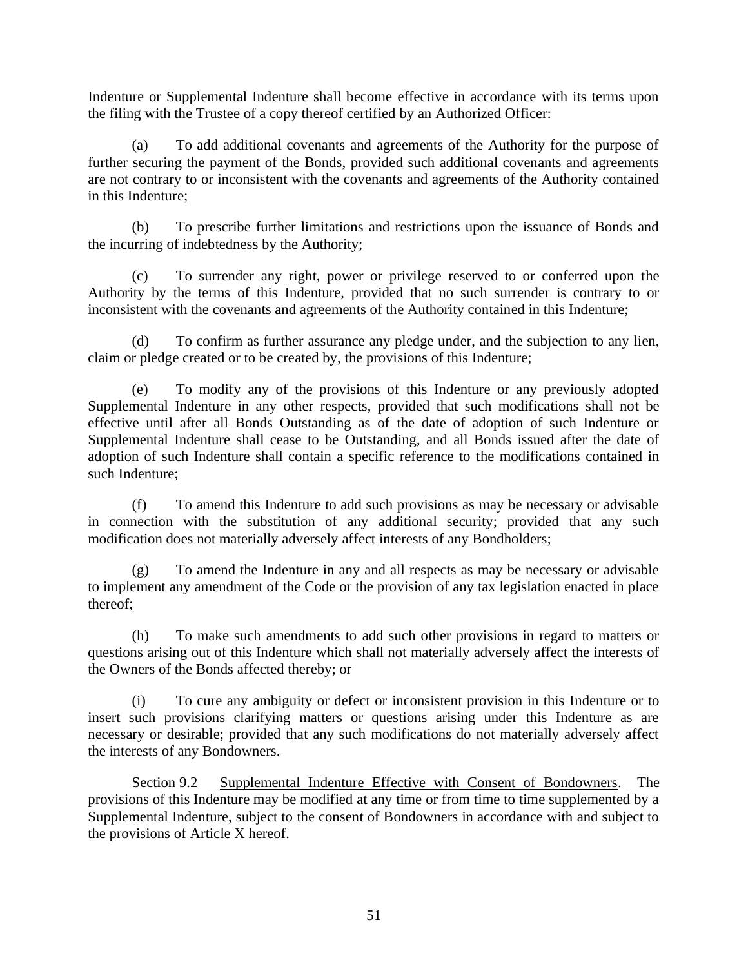Indenture or Supplemental Indenture shall become effective in accordance with its terms upon the filing with the Trustee of a copy thereof certified by an Authorized Officer:

(a) To add additional covenants and agreements of the Authority for the purpose of further securing the payment of the Bonds, provided such additional covenants and agreements are not contrary to or inconsistent with the covenants and agreements of the Authority contained in this Indenture;

(b) To prescribe further limitations and restrictions upon the issuance of Bonds and the incurring of indebtedness by the Authority;

(c) To surrender any right, power or privilege reserved to or conferred upon the Authority by the terms of this Indenture, provided that no such surrender is contrary to or inconsistent with the covenants and agreements of the Authority contained in this Indenture;

(d) To confirm as further assurance any pledge under, and the subjection to any lien, claim or pledge created or to be created by, the provisions of this Indenture;

(e) To modify any of the provisions of this Indenture or any previously adopted Supplemental Indenture in any other respects, provided that such modifications shall not be effective until after all Bonds Outstanding as of the date of adoption of such Indenture or Supplemental Indenture shall cease to be Outstanding, and all Bonds issued after the date of adoption of such Indenture shall contain a specific reference to the modifications contained in such Indenture;

(f) To amend this Indenture to add such provisions as may be necessary or advisable in connection with the substitution of any additional security; provided that any such modification does not materially adversely affect interests of any Bondholders;

(g) To amend the Indenture in any and all respects as may be necessary or advisable to implement any amendment of the Code or the provision of any tax legislation enacted in place thereof;

(h) To make such amendments to add such other provisions in regard to matters or questions arising out of this Indenture which shall not materially adversely affect the interests of the Owners of the Bonds affected thereby; or

(i) To cure any ambiguity or defect or inconsistent provision in this Indenture or to insert such provisions clarifying matters or questions arising under this Indenture as are necessary or desirable; provided that any such modifications do not materially adversely affect the interests of any Bondowners.

Section 9.2 Supplemental Indenture Effective with Consent of Bondowners. The provisions of this Indenture may be modified at any time or from time to time supplemented by a Supplemental Indenture, subject to the consent of Bondowners in accordance with and subject to the provisions of Article X hereof.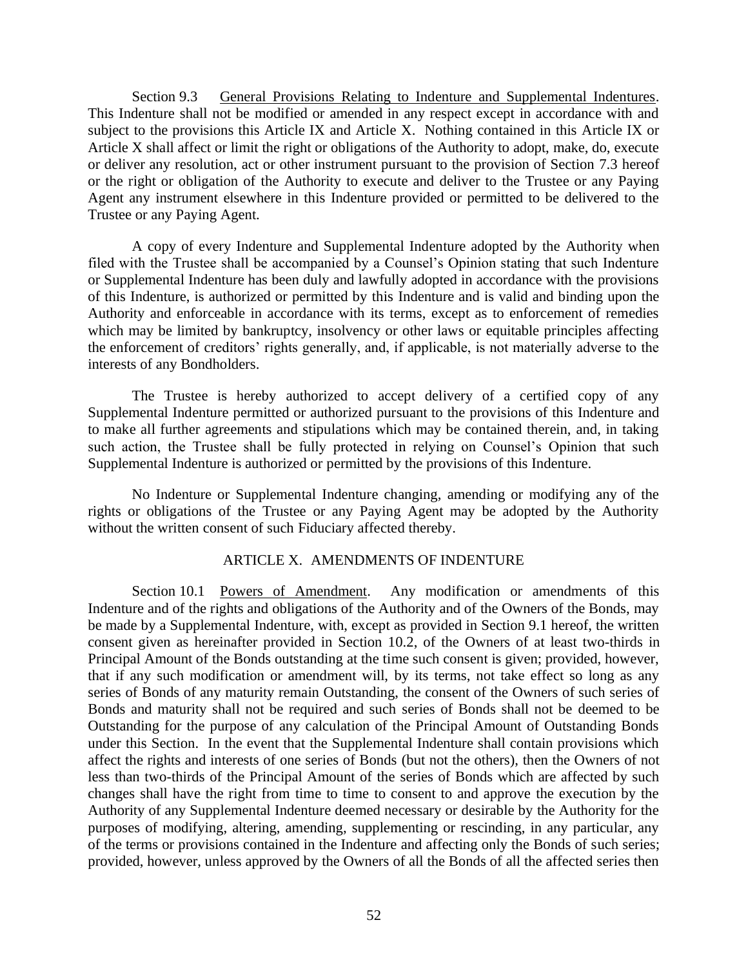Section 9.3 General Provisions Relating to Indenture and Supplemental Indentures. This Indenture shall not be modified or amended in any respect except in accordance with and subject to the provisions this Article IX and Article X. Nothing contained in this Article IX or Article X shall affect or limit the right or obligations of the Authority to adopt, make, do, execute or deliver any resolution, act or other instrument pursuant to the provision of Section 7.3 hereof or the right or obligation of the Authority to execute and deliver to the Trustee or any Paying Agent any instrument elsewhere in this Indenture provided or permitted to be delivered to the Trustee or any Paying Agent.

A copy of every Indenture and Supplemental Indenture adopted by the Authority when filed with the Trustee shall be accompanied by a Counsel's Opinion stating that such Indenture or Supplemental Indenture has been duly and lawfully adopted in accordance with the provisions of this Indenture, is authorized or permitted by this Indenture and is valid and binding upon the Authority and enforceable in accordance with its terms, except as to enforcement of remedies which may be limited by bankruptcy, insolvency or other laws or equitable principles affecting the enforcement of creditors' rights generally, and, if applicable, is not materially adverse to the interests of any Bondholders.

The Trustee is hereby authorized to accept delivery of a certified copy of any Supplemental Indenture permitted or authorized pursuant to the provisions of this Indenture and to make all further agreements and stipulations which may be contained therein, and, in taking such action, the Trustee shall be fully protected in relying on Counsel's Opinion that such Supplemental Indenture is authorized or permitted by the provisions of this Indenture.

No Indenture or Supplemental Indenture changing, amending or modifying any of the rights or obligations of the Trustee or any Paying Agent may be adopted by the Authority without the written consent of such Fiduciary affected thereby.

# ARTICLE X. AMENDMENTS OF INDENTURE

Section 10.1 Powers of Amendment. Any modification or amendments of this Indenture and of the rights and obligations of the Authority and of the Owners of the Bonds, may be made by a Supplemental Indenture, with, except as provided in Section 9.1 hereof, the written consent given as hereinafter provided in Section 10.2, of the Owners of at least two-thirds in Principal Amount of the Bonds outstanding at the time such consent is given; provided, however, that if any such modification or amendment will, by its terms, not take effect so long as any series of Bonds of any maturity remain Outstanding, the consent of the Owners of such series of Bonds and maturity shall not be required and such series of Bonds shall not be deemed to be Outstanding for the purpose of any calculation of the Principal Amount of Outstanding Bonds under this Section. In the event that the Supplemental Indenture shall contain provisions which affect the rights and interests of one series of Bonds (but not the others), then the Owners of not less than two-thirds of the Principal Amount of the series of Bonds which are affected by such changes shall have the right from time to time to consent to and approve the execution by the Authority of any Supplemental Indenture deemed necessary or desirable by the Authority for the purposes of modifying, altering, amending, supplementing or rescinding, in any particular, any of the terms or provisions contained in the Indenture and affecting only the Bonds of such series; provided, however, unless approved by the Owners of all the Bonds of all the affected series then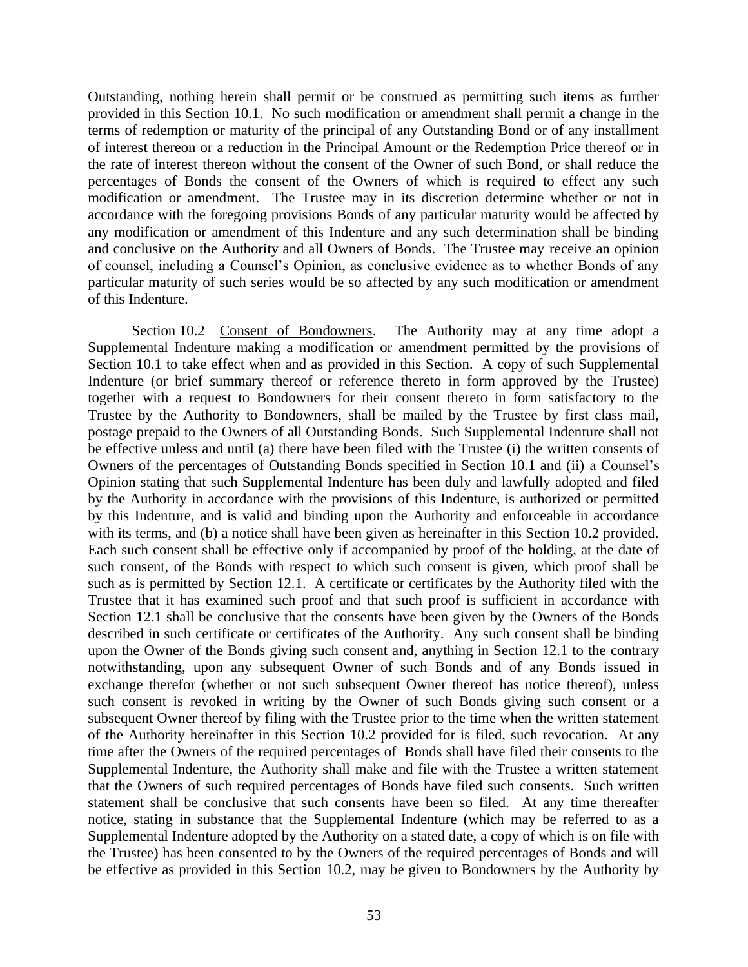Outstanding, nothing herein shall permit or be construed as permitting such items as further provided in this Section 10.1. No such modification or amendment shall permit a change in the terms of redemption or maturity of the principal of any Outstanding Bond or of any installment of interest thereon or a reduction in the Principal Amount or the Redemption Price thereof or in the rate of interest thereon without the consent of the Owner of such Bond, or shall reduce the percentages of Bonds the consent of the Owners of which is required to effect any such modification or amendment. The Trustee may in its discretion determine whether or not in accordance with the foregoing provisions Bonds of any particular maturity would be affected by any modification or amendment of this Indenture and any such determination shall be binding and conclusive on the Authority and all Owners of Bonds. The Trustee may receive an opinion of counsel, including a Counsel's Opinion, as conclusive evidence as to whether Bonds of any particular maturity of such series would be so affected by any such modification or amendment of this Indenture.

Section 10.2 Consent of Bondowners. The Authority may at any time adopt a Supplemental Indenture making a modification or amendment permitted by the provisions of Section 10.1 to take effect when and as provided in this Section. A copy of such Supplemental Indenture (or brief summary thereof or reference thereto in form approved by the Trustee) together with a request to Bondowners for their consent thereto in form satisfactory to the Trustee by the Authority to Bondowners, shall be mailed by the Trustee by first class mail, postage prepaid to the Owners of all Outstanding Bonds. Such Supplemental Indenture shall not be effective unless and until (a) there have been filed with the Trustee (i) the written consents of Owners of the percentages of Outstanding Bonds specified in Section 10.1 and (ii) a Counsel's Opinion stating that such Supplemental Indenture has been duly and lawfully adopted and filed by the Authority in accordance with the provisions of this Indenture, is authorized or permitted by this Indenture, and is valid and binding upon the Authority and enforceable in accordance with its terms, and (b) a notice shall have been given as hereinafter in this Section 10.2 provided. Each such consent shall be effective only if accompanied by proof of the holding, at the date of such consent, of the Bonds with respect to which such consent is given, which proof shall be such as is permitted by Section 12.1. A certificate or certificates by the Authority filed with the Trustee that it has examined such proof and that such proof is sufficient in accordance with Section 12.1 shall be conclusive that the consents have been given by the Owners of the Bonds described in such certificate or certificates of the Authority. Any such consent shall be binding upon the Owner of the Bonds giving such consent and, anything in Section 12.1 to the contrary notwithstanding, upon any subsequent Owner of such Bonds and of any Bonds issued in exchange therefor (whether or not such subsequent Owner thereof has notice thereof), unless such consent is revoked in writing by the Owner of such Bonds giving such consent or a subsequent Owner thereof by filing with the Trustee prior to the time when the written statement of the Authority hereinafter in this Section 10.2 provided for is filed, such revocation. At any time after the Owners of the required percentages of Bonds shall have filed their consents to the Supplemental Indenture, the Authority shall make and file with the Trustee a written statement that the Owners of such required percentages of Bonds have filed such consents. Such written statement shall be conclusive that such consents have been so filed. At any time thereafter notice, stating in substance that the Supplemental Indenture (which may be referred to as a Supplemental Indenture adopted by the Authority on a stated date, a copy of which is on file with the Trustee) has been consented to by the Owners of the required percentages of Bonds and will be effective as provided in this Section 10.2, may be given to Bondowners by the Authority by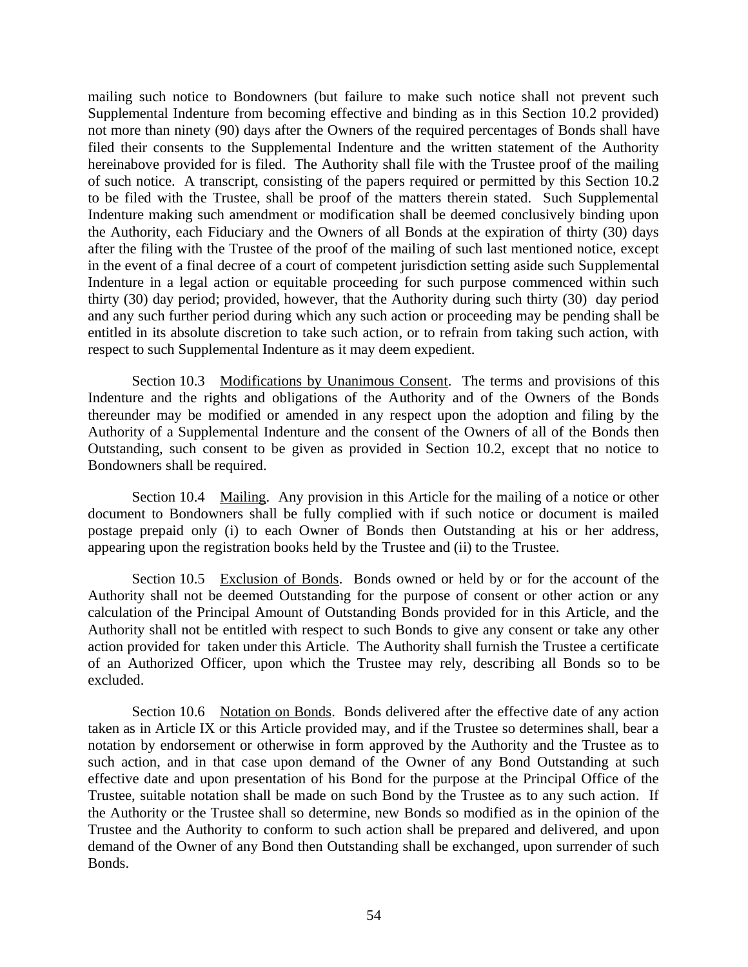mailing such notice to Bondowners (but failure to make such notice shall not prevent such Supplemental Indenture from becoming effective and binding as in this Section 10.2 provided) not more than ninety (90) days after the Owners of the required percentages of Bonds shall have filed their consents to the Supplemental Indenture and the written statement of the Authority hereinabove provided for is filed. The Authority shall file with the Trustee proof of the mailing of such notice. A transcript, consisting of the papers required or permitted by this Section 10.2 to be filed with the Trustee, shall be proof of the matters therein stated. Such Supplemental Indenture making such amendment or modification shall be deemed conclusively binding upon the Authority, each Fiduciary and the Owners of all Bonds at the expiration of thirty (30) days after the filing with the Trustee of the proof of the mailing of such last mentioned notice, except in the event of a final decree of a court of competent jurisdiction setting aside such Supplemental Indenture in a legal action or equitable proceeding for such purpose commenced within such thirty (30) day period; provided, however, that the Authority during such thirty (30) day period and any such further period during which any such action or proceeding may be pending shall be entitled in its absolute discretion to take such action, or to refrain from taking such action, with respect to such Supplemental Indenture as it may deem expedient.

Section 10.3 Modifications by Unanimous Consent. The terms and provisions of this Indenture and the rights and obligations of the Authority and of the Owners of the Bonds thereunder may be modified or amended in any respect upon the adoption and filing by the Authority of a Supplemental Indenture and the consent of the Owners of all of the Bonds then Outstanding, such consent to be given as provided in Section 10.2, except that no notice to Bondowners shall be required.

Section 10.4 Mailing. Any provision in this Article for the mailing of a notice or other document to Bondowners shall be fully complied with if such notice or document is mailed postage prepaid only (i) to each Owner of Bonds then Outstanding at his or her address, appearing upon the registration books held by the Trustee and (ii) to the Trustee.

Section 10.5 Exclusion of Bonds. Bonds owned or held by or for the account of the Authority shall not be deemed Outstanding for the purpose of consent or other action or any calculation of the Principal Amount of Outstanding Bonds provided for in this Article, and the Authority shall not be entitled with respect to such Bonds to give any consent or take any other action provided for taken under this Article. The Authority shall furnish the Trustee a certificate of an Authorized Officer, upon which the Trustee may rely, describing all Bonds so to be excluded.

Section 10.6 Notation on Bonds. Bonds delivered after the effective date of any action taken as in Article IX or this Article provided may, and if the Trustee so determines shall, bear a notation by endorsement or otherwise in form approved by the Authority and the Trustee as to such action, and in that case upon demand of the Owner of any Bond Outstanding at such effective date and upon presentation of his Bond for the purpose at the Principal Office of the Trustee, suitable notation shall be made on such Bond by the Trustee as to any such action. If the Authority or the Trustee shall so determine, new Bonds so modified as in the opinion of the Trustee and the Authority to conform to such action shall be prepared and delivered, and upon demand of the Owner of any Bond then Outstanding shall be exchanged, upon surrender of such Bonds.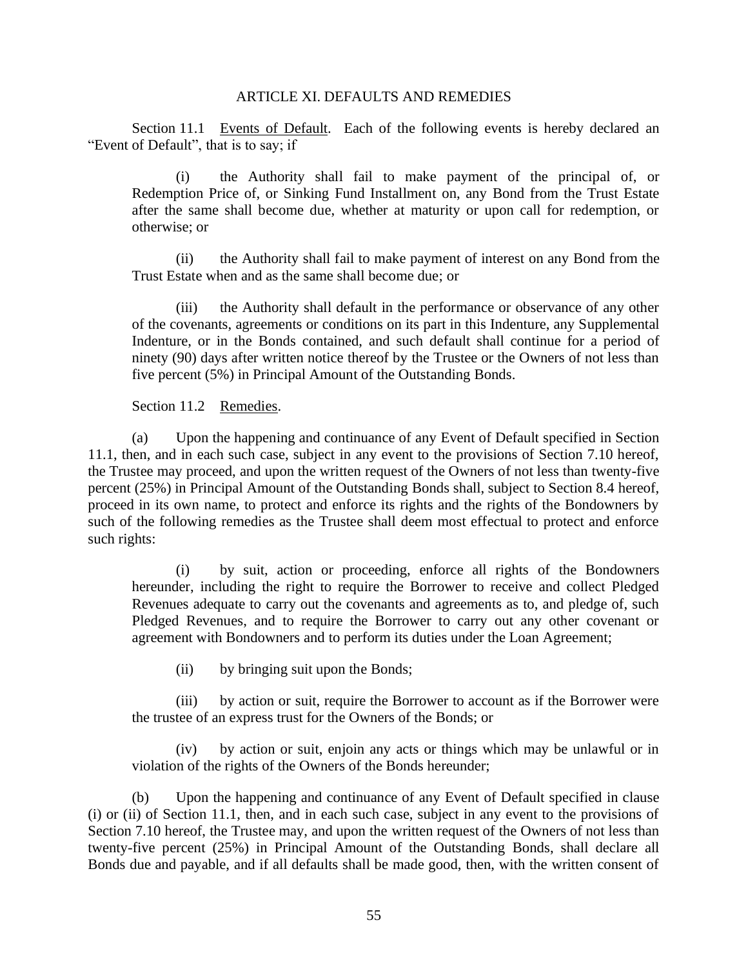### ARTICLE XI. DEFAULTS AND REMEDIES

Section 11.1 Events of Default. Each of the following events is hereby declared an "Event of Default", that is to say; if

(i) the Authority shall fail to make payment of the principal of, or Redemption Price of, or Sinking Fund Installment on, any Bond from the Trust Estate after the same shall become due, whether at maturity or upon call for redemption, or otherwise; or

(ii) the Authority shall fail to make payment of interest on any Bond from the Trust Estate when and as the same shall become due; or

(iii) the Authority shall default in the performance or observance of any other of the covenants, agreements or conditions on its part in this Indenture, any Supplemental Indenture, or in the Bonds contained, and such default shall continue for a period of ninety (90) days after written notice thereof by the Trustee or the Owners of not less than five percent (5%) in Principal Amount of the Outstanding Bonds.

Section 11.2 Remedies.

(a) Upon the happening and continuance of any Event of Default specified in Section 11.1, then, and in each such case, subject in any event to the provisions of Section 7.10 hereof, the Trustee may proceed, and upon the written request of the Owners of not less than twenty-five percent (25%) in Principal Amount of the Outstanding Bonds shall, subject to Section 8.4 hereof, proceed in its own name, to protect and enforce its rights and the rights of the Bondowners by such of the following remedies as the Trustee shall deem most effectual to protect and enforce such rights:

(i) by suit, action or proceeding, enforce all rights of the Bondowners hereunder, including the right to require the Borrower to receive and collect Pledged Revenues adequate to carry out the covenants and agreements as to, and pledge of, such Pledged Revenues, and to require the Borrower to carry out any other covenant or agreement with Bondowners and to perform its duties under the Loan Agreement;

(ii) by bringing suit upon the Bonds;

(iii) by action or suit, require the Borrower to account as if the Borrower were the trustee of an express trust for the Owners of the Bonds; or

(iv) by action or suit, enjoin any acts or things which may be unlawful or in violation of the rights of the Owners of the Bonds hereunder;

(b) Upon the happening and continuance of any Event of Default specified in clause (i) or (ii) of Section 11.1, then, and in each such case, subject in any event to the provisions of Section 7.10 hereof, the Trustee may, and upon the written request of the Owners of not less than twenty-five percent (25%) in Principal Amount of the Outstanding Bonds, shall declare all Bonds due and payable, and if all defaults shall be made good, then, with the written consent of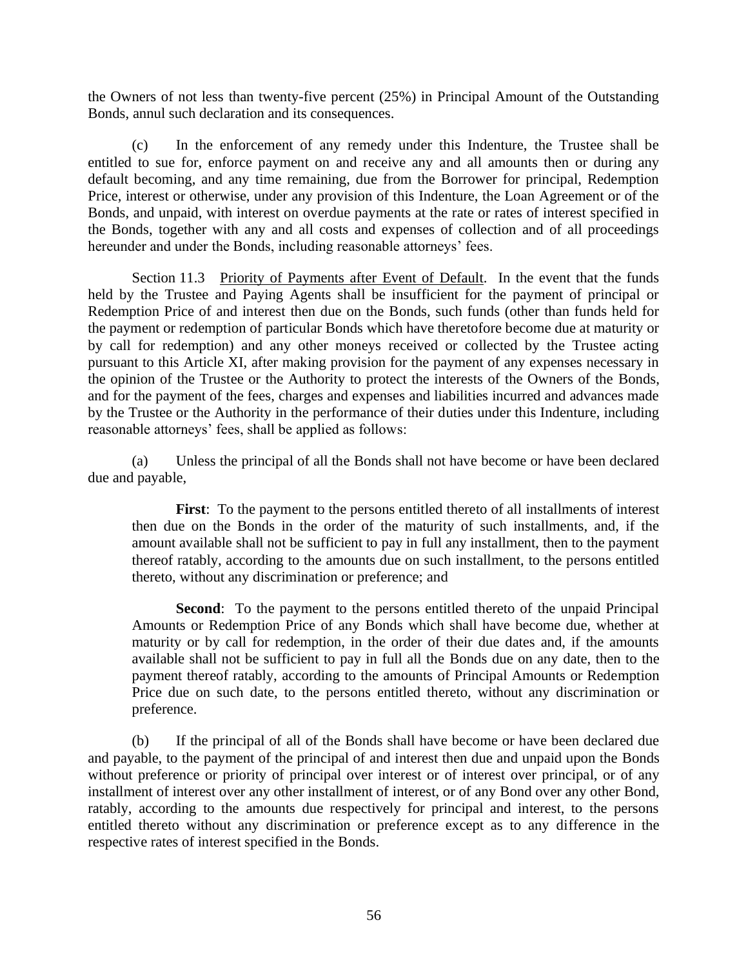the Owners of not less than twenty-five percent (25%) in Principal Amount of the Outstanding Bonds, annul such declaration and its consequences.

(c) In the enforcement of any remedy under this Indenture, the Trustee shall be entitled to sue for, enforce payment on and receive any and all amounts then or during any default becoming, and any time remaining, due from the Borrower for principal, Redemption Price, interest or otherwise, under any provision of this Indenture, the Loan Agreement or of the Bonds, and unpaid, with interest on overdue payments at the rate or rates of interest specified in the Bonds, together with any and all costs and expenses of collection and of all proceedings hereunder and under the Bonds, including reasonable attorneys' fees.

Section 11.3 Priority of Payments after Event of Default. In the event that the funds held by the Trustee and Paying Agents shall be insufficient for the payment of principal or Redemption Price of and interest then due on the Bonds, such funds (other than funds held for the payment or redemption of particular Bonds which have theretofore become due at maturity or by call for redemption) and any other moneys received or collected by the Trustee acting pursuant to this Article XI, after making provision for the payment of any expenses necessary in the opinion of the Trustee or the Authority to protect the interests of the Owners of the Bonds, and for the payment of the fees, charges and expenses and liabilities incurred and advances made by the Trustee or the Authority in the performance of their duties under this Indenture, including reasonable attorneys' fees, shall be applied as follows:

(a) Unless the principal of all the Bonds shall not have become or have been declared due and payable,

**First**: To the payment to the persons entitled thereto of all installments of interest then due on the Bonds in the order of the maturity of such installments, and, if the amount available shall not be sufficient to pay in full any installment, then to the payment thereof ratably, according to the amounts due on such installment, to the persons entitled thereto, without any discrimination or preference; and

**Second**: To the payment to the persons entitled thereto of the unpaid Principal Amounts or Redemption Price of any Bonds which shall have become due, whether at maturity or by call for redemption, in the order of their due dates and, if the amounts available shall not be sufficient to pay in full all the Bonds due on any date, then to the payment thereof ratably, according to the amounts of Principal Amounts or Redemption Price due on such date, to the persons entitled thereto, without any discrimination or preference.

(b) If the principal of all of the Bonds shall have become or have been declared due and payable, to the payment of the principal of and interest then due and unpaid upon the Bonds without preference or priority of principal over interest or of interest over principal, or of any installment of interest over any other installment of interest, or of any Bond over any other Bond, ratably, according to the amounts due respectively for principal and interest, to the persons entitled thereto without any discrimination or preference except as to any difference in the respective rates of interest specified in the Bonds.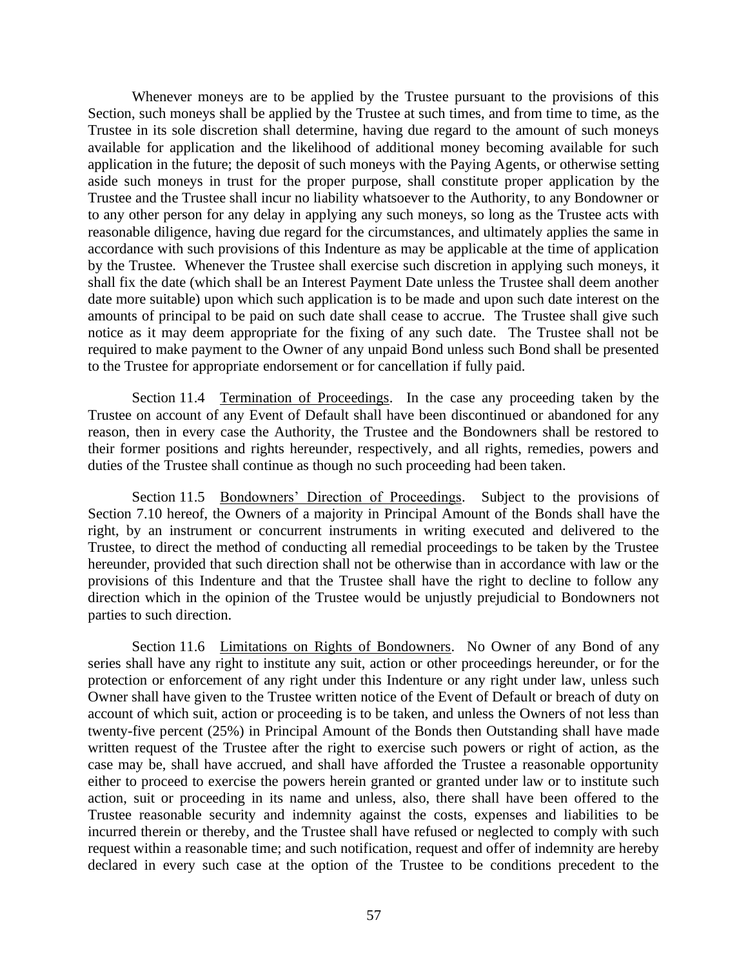Whenever moneys are to be applied by the Trustee pursuant to the provisions of this Section, such moneys shall be applied by the Trustee at such times, and from time to time, as the Trustee in its sole discretion shall determine, having due regard to the amount of such moneys available for application and the likelihood of additional money becoming available for such application in the future; the deposit of such moneys with the Paying Agents, or otherwise setting aside such moneys in trust for the proper purpose, shall constitute proper application by the Trustee and the Trustee shall incur no liability whatsoever to the Authority, to any Bondowner or to any other person for any delay in applying any such moneys, so long as the Trustee acts with reasonable diligence, having due regard for the circumstances, and ultimately applies the same in accordance with such provisions of this Indenture as may be applicable at the time of application by the Trustee. Whenever the Trustee shall exercise such discretion in applying such moneys, it shall fix the date (which shall be an Interest Payment Date unless the Trustee shall deem another date more suitable) upon which such application is to be made and upon such date interest on the amounts of principal to be paid on such date shall cease to accrue. The Trustee shall give such notice as it may deem appropriate for the fixing of any such date. The Trustee shall not be required to make payment to the Owner of any unpaid Bond unless such Bond shall be presented to the Trustee for appropriate endorsement or for cancellation if fully paid.

Section 11.4 Termination of Proceedings. In the case any proceeding taken by the Trustee on account of any Event of Default shall have been discontinued or abandoned for any reason, then in every case the Authority, the Trustee and the Bondowners shall be restored to their former positions and rights hereunder, respectively, and all rights, remedies, powers and duties of the Trustee shall continue as though no such proceeding had been taken.

Section 11.5 Bondowners' Direction of Proceedings. Subject to the provisions of Section 7.10 hereof, the Owners of a majority in Principal Amount of the Bonds shall have the right, by an instrument or concurrent instruments in writing executed and delivered to the Trustee, to direct the method of conducting all remedial proceedings to be taken by the Trustee hereunder, provided that such direction shall not be otherwise than in accordance with law or the provisions of this Indenture and that the Trustee shall have the right to decline to follow any direction which in the opinion of the Trustee would be unjustly prejudicial to Bondowners not parties to such direction.

Section 11.6 Limitations on Rights of Bondowners. No Owner of any Bond of any series shall have any right to institute any suit, action or other proceedings hereunder, or for the protection or enforcement of any right under this Indenture or any right under law, unless such Owner shall have given to the Trustee written notice of the Event of Default or breach of duty on account of which suit, action or proceeding is to be taken, and unless the Owners of not less than twenty-five percent (25%) in Principal Amount of the Bonds then Outstanding shall have made written request of the Trustee after the right to exercise such powers or right of action, as the case may be, shall have accrued, and shall have afforded the Trustee a reasonable opportunity either to proceed to exercise the powers herein granted or granted under law or to institute such action, suit or proceeding in its name and unless, also, there shall have been offered to the Trustee reasonable security and indemnity against the costs, expenses and liabilities to be incurred therein or thereby, and the Trustee shall have refused or neglected to comply with such request within a reasonable time; and such notification, request and offer of indemnity are hereby declared in every such case at the option of the Trustee to be conditions precedent to the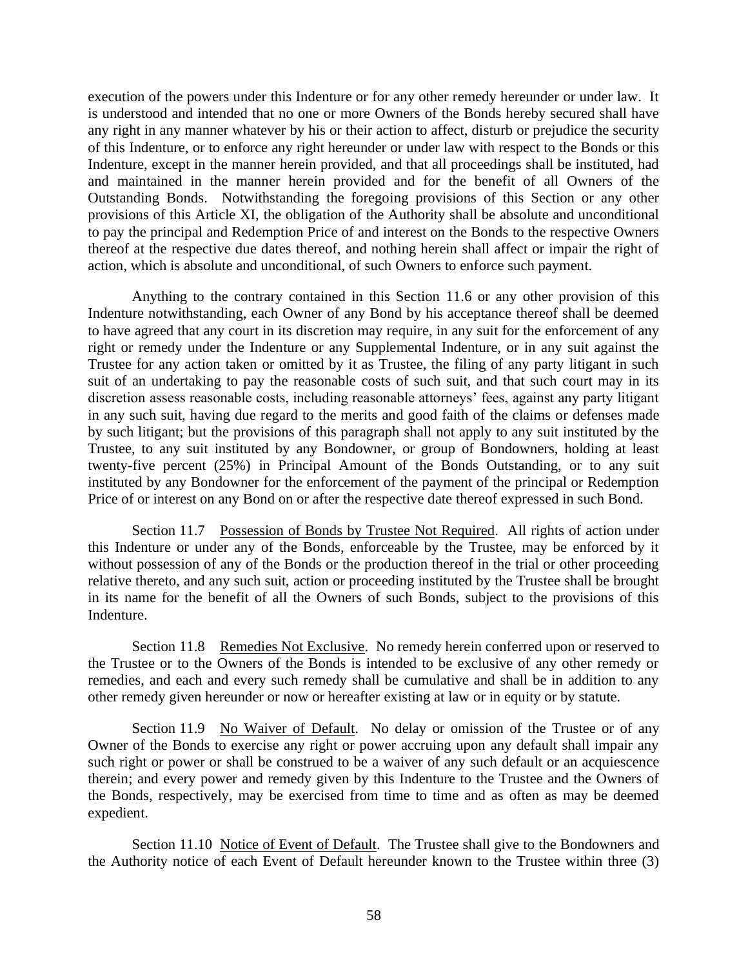execution of the powers under this Indenture or for any other remedy hereunder or under law. It is understood and intended that no one or more Owners of the Bonds hereby secured shall have any right in any manner whatever by his or their action to affect, disturb or prejudice the security of this Indenture, or to enforce any right hereunder or under law with respect to the Bonds or this Indenture, except in the manner herein provided, and that all proceedings shall be instituted, had and maintained in the manner herein provided and for the benefit of all Owners of the Outstanding Bonds. Notwithstanding the foregoing provisions of this Section or any other provisions of this Article XI, the obligation of the Authority shall be absolute and unconditional to pay the principal and Redemption Price of and interest on the Bonds to the respective Owners thereof at the respective due dates thereof, and nothing herein shall affect or impair the right of action, which is absolute and unconditional, of such Owners to enforce such payment.

Anything to the contrary contained in this Section 11.6 or any other provision of this Indenture notwithstanding, each Owner of any Bond by his acceptance thereof shall be deemed to have agreed that any court in its discretion may require, in any suit for the enforcement of any right or remedy under the Indenture or any Supplemental Indenture, or in any suit against the Trustee for any action taken or omitted by it as Trustee, the filing of any party litigant in such suit of an undertaking to pay the reasonable costs of such suit, and that such court may in its discretion assess reasonable costs, including reasonable attorneys' fees, against any party litigant in any such suit, having due regard to the merits and good faith of the claims or defenses made by such litigant; but the provisions of this paragraph shall not apply to any suit instituted by the Trustee, to any suit instituted by any Bondowner, or group of Bondowners, holding at least twenty-five percent (25%) in Principal Amount of the Bonds Outstanding, or to any suit instituted by any Bondowner for the enforcement of the payment of the principal or Redemption Price of or interest on any Bond on or after the respective date thereof expressed in such Bond.

Section 11.7 Possession of Bonds by Trustee Not Required. All rights of action under this Indenture or under any of the Bonds, enforceable by the Trustee, may be enforced by it without possession of any of the Bonds or the production thereof in the trial or other proceeding relative thereto, and any such suit, action or proceeding instituted by the Trustee shall be brought in its name for the benefit of all the Owners of such Bonds, subject to the provisions of this Indenture.

Section 11.8 Remedies Not Exclusive. No remedy herein conferred upon or reserved to the Trustee or to the Owners of the Bonds is intended to be exclusive of any other remedy or remedies, and each and every such remedy shall be cumulative and shall be in addition to any other remedy given hereunder or now or hereafter existing at law or in equity or by statute.

Section 11.9 No Waiver of Default. No delay or omission of the Trustee or of any Owner of the Bonds to exercise any right or power accruing upon any default shall impair any such right or power or shall be construed to be a waiver of any such default or an acquiescence therein; and every power and remedy given by this Indenture to the Trustee and the Owners of the Bonds, respectively, may be exercised from time to time and as often as may be deemed expedient.

Section 11.10 Notice of Event of Default. The Trustee shall give to the Bondowners and the Authority notice of each Event of Default hereunder known to the Trustee within three (3)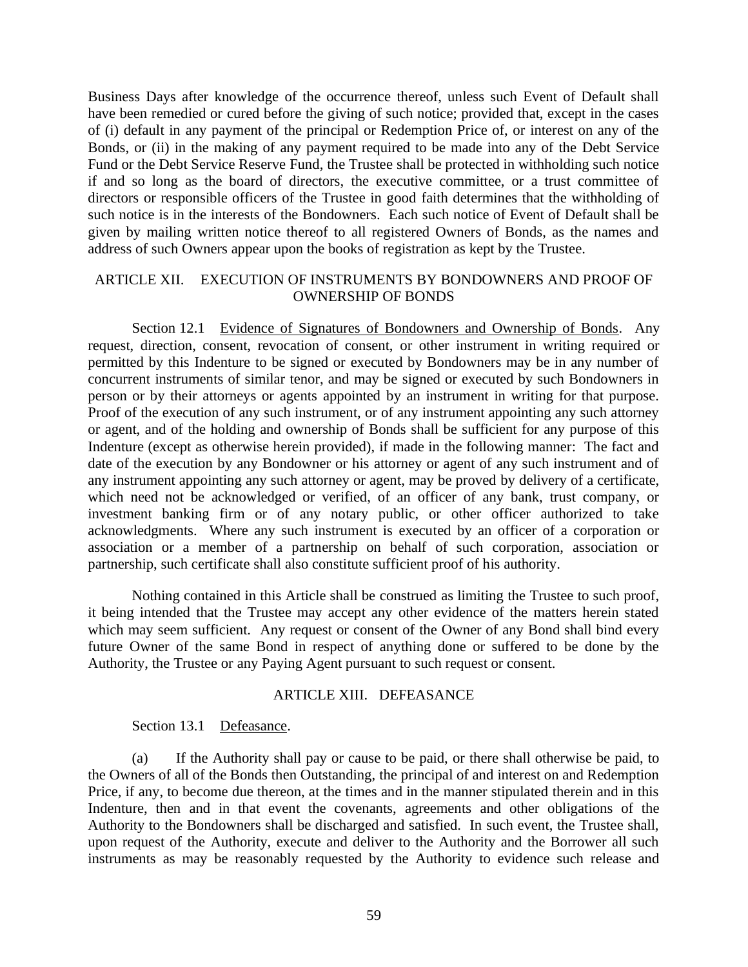Business Days after knowledge of the occurrence thereof, unless such Event of Default shall have been remedied or cured before the giving of such notice; provided that, except in the cases of (i) default in any payment of the principal or Redemption Price of, or interest on any of the Bonds, or (ii) in the making of any payment required to be made into any of the Debt Service Fund or the Debt Service Reserve Fund, the Trustee shall be protected in withholding such notice if and so long as the board of directors, the executive committee, or a trust committee of directors or responsible officers of the Trustee in good faith determines that the withholding of such notice is in the interests of the Bondowners. Each such notice of Event of Default shall be given by mailing written notice thereof to all registered Owners of Bonds, as the names and address of such Owners appear upon the books of registration as kept by the Trustee.

### ARTICLE XII. EXECUTION OF INSTRUMENTS BY BONDOWNERS AND PROOF OF OWNERSHIP OF BONDS

Section 12.1 Evidence of Signatures of Bondowners and Ownership of Bonds. Any request, direction, consent, revocation of consent, or other instrument in writing required or permitted by this Indenture to be signed or executed by Bondowners may be in any number of concurrent instruments of similar tenor, and may be signed or executed by such Bondowners in person or by their attorneys or agents appointed by an instrument in writing for that purpose. Proof of the execution of any such instrument, or of any instrument appointing any such attorney or agent, and of the holding and ownership of Bonds shall be sufficient for any purpose of this Indenture (except as otherwise herein provided), if made in the following manner: The fact and date of the execution by any Bondowner or his attorney or agent of any such instrument and of any instrument appointing any such attorney or agent, may be proved by delivery of a certificate, which need not be acknowledged or verified, of an officer of any bank, trust company, or investment banking firm or of any notary public, or other officer authorized to take acknowledgments. Where any such instrument is executed by an officer of a corporation or association or a member of a partnership on behalf of such corporation, association or partnership, such certificate shall also constitute sufficient proof of his authority.

Nothing contained in this Article shall be construed as limiting the Trustee to such proof, it being intended that the Trustee may accept any other evidence of the matters herein stated which may seem sufficient. Any request or consent of the Owner of any Bond shall bind every future Owner of the same Bond in respect of anything done or suffered to be done by the Authority, the Trustee or any Paying Agent pursuant to such request or consent.

### ARTICLE XIII. DEFEASANCE

#### Section 13.1 Defeasance.

(a) If the Authority shall pay or cause to be paid, or there shall otherwise be paid, to the Owners of all of the Bonds then Outstanding, the principal of and interest on and Redemption Price, if any, to become due thereon, at the times and in the manner stipulated therein and in this Indenture, then and in that event the covenants, agreements and other obligations of the Authority to the Bondowners shall be discharged and satisfied. In such event, the Trustee shall, upon request of the Authority, execute and deliver to the Authority and the Borrower all such instruments as may be reasonably requested by the Authority to evidence such release and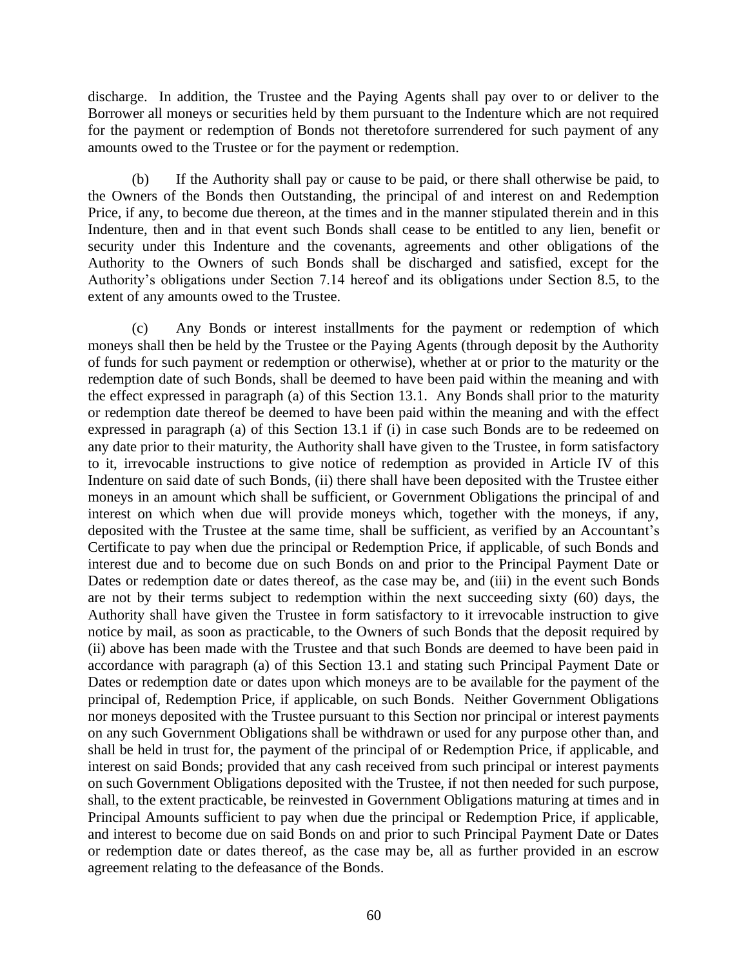discharge. In addition, the Trustee and the Paying Agents shall pay over to or deliver to the Borrower all moneys or securities held by them pursuant to the Indenture which are not required for the payment or redemption of Bonds not theretofore surrendered for such payment of any amounts owed to the Trustee or for the payment or redemption.

(b) If the Authority shall pay or cause to be paid, or there shall otherwise be paid, to the Owners of the Bonds then Outstanding, the principal of and interest on and Redemption Price, if any, to become due thereon, at the times and in the manner stipulated therein and in this Indenture, then and in that event such Bonds shall cease to be entitled to any lien, benefit or security under this Indenture and the covenants, agreements and other obligations of the Authority to the Owners of such Bonds shall be discharged and satisfied, except for the Authority's obligations under Section 7.14 hereof and its obligations under Section 8.5, to the extent of any amounts owed to the Trustee.

(c) Any Bonds or interest installments for the payment or redemption of which moneys shall then be held by the Trustee or the Paying Agents (through deposit by the Authority of funds for such payment or redemption or otherwise), whether at or prior to the maturity or the redemption date of such Bonds, shall be deemed to have been paid within the meaning and with the effect expressed in paragraph (a) of this Section 13.1. Any Bonds shall prior to the maturity or redemption date thereof be deemed to have been paid within the meaning and with the effect expressed in paragraph (a) of this Section 13.1 if (i) in case such Bonds are to be redeemed on any date prior to their maturity, the Authority shall have given to the Trustee, in form satisfactory to it, irrevocable instructions to give notice of redemption as provided in Article IV of this Indenture on said date of such Bonds, (ii) there shall have been deposited with the Trustee either moneys in an amount which shall be sufficient, or Government Obligations the principal of and interest on which when due will provide moneys which, together with the moneys, if any, deposited with the Trustee at the same time, shall be sufficient, as verified by an Accountant's Certificate to pay when due the principal or Redemption Price, if applicable, of such Bonds and interest due and to become due on such Bonds on and prior to the Principal Payment Date or Dates or redemption date or dates thereof, as the case may be, and (iii) in the event such Bonds are not by their terms subject to redemption within the next succeeding sixty (60) days, the Authority shall have given the Trustee in form satisfactory to it irrevocable instruction to give notice by mail, as soon as practicable, to the Owners of such Bonds that the deposit required by (ii) above has been made with the Trustee and that such Bonds are deemed to have been paid in accordance with paragraph (a) of this Section 13.1 and stating such Principal Payment Date or Dates or redemption date or dates upon which moneys are to be available for the payment of the principal of, Redemption Price, if applicable, on such Bonds. Neither Government Obligations nor moneys deposited with the Trustee pursuant to this Section nor principal or interest payments on any such Government Obligations shall be withdrawn or used for any purpose other than, and shall be held in trust for, the payment of the principal of or Redemption Price, if applicable, and interest on said Bonds; provided that any cash received from such principal or interest payments on such Government Obligations deposited with the Trustee, if not then needed for such purpose, shall, to the extent practicable, be reinvested in Government Obligations maturing at times and in Principal Amounts sufficient to pay when due the principal or Redemption Price, if applicable, and interest to become due on said Bonds on and prior to such Principal Payment Date or Dates or redemption date or dates thereof, as the case may be, all as further provided in an escrow agreement relating to the defeasance of the Bonds.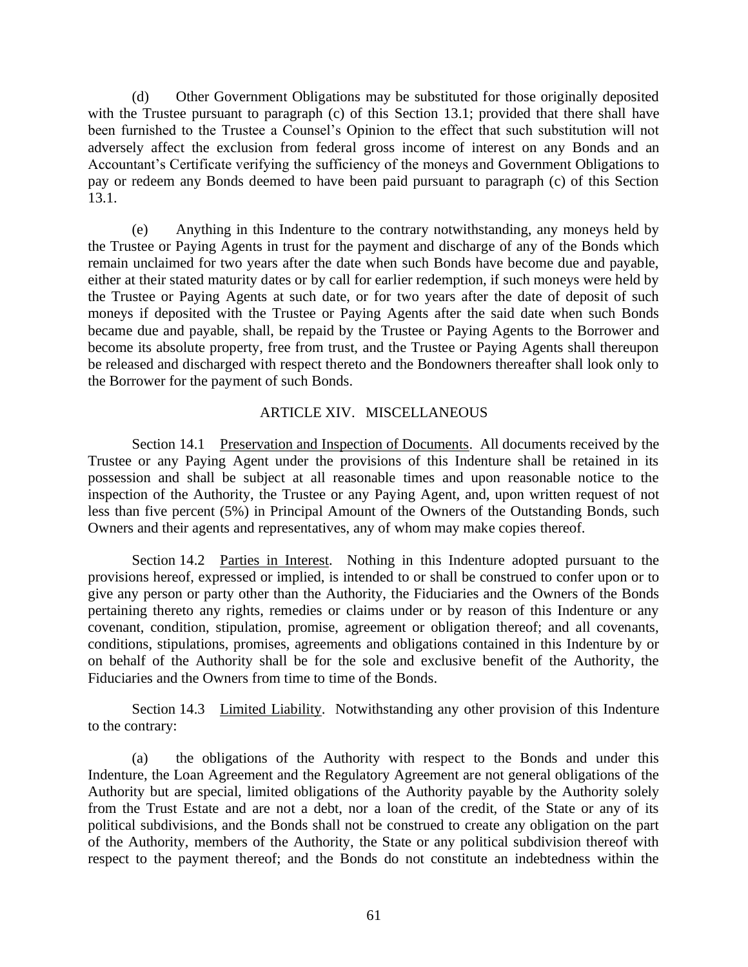(d) Other Government Obligations may be substituted for those originally deposited with the Trustee pursuant to paragraph (c) of this Section 13.1; provided that there shall have been furnished to the Trustee a Counsel's Opinion to the effect that such substitution will not adversely affect the exclusion from federal gross income of interest on any Bonds and an Accountant's Certificate verifying the sufficiency of the moneys and Government Obligations to pay or redeem any Bonds deemed to have been paid pursuant to paragraph (c) of this Section 13.1.

(e) Anything in this Indenture to the contrary notwithstanding, any moneys held by the Trustee or Paying Agents in trust for the payment and discharge of any of the Bonds which remain unclaimed for two years after the date when such Bonds have become due and payable, either at their stated maturity dates or by call for earlier redemption, if such moneys were held by the Trustee or Paying Agents at such date, or for two years after the date of deposit of such moneys if deposited with the Trustee or Paying Agents after the said date when such Bonds became due and payable, shall, be repaid by the Trustee or Paying Agents to the Borrower and become its absolute property, free from trust, and the Trustee or Paying Agents shall thereupon be released and discharged with respect thereto and the Bondowners thereafter shall look only to the Borrower for the payment of such Bonds.

# ARTICLE XIV. MISCELLANEOUS

Section 14.1 Preservation and Inspection of Documents. All documents received by the Trustee or any Paying Agent under the provisions of this Indenture shall be retained in its possession and shall be subject at all reasonable times and upon reasonable notice to the inspection of the Authority, the Trustee or any Paying Agent, and, upon written request of not less than five percent (5%) in Principal Amount of the Owners of the Outstanding Bonds, such Owners and their agents and representatives, any of whom may make copies thereof.

Section 14.2 Parties in Interest. Nothing in this Indenture adopted pursuant to the provisions hereof, expressed or implied, is intended to or shall be construed to confer upon or to give any person or party other than the Authority, the Fiduciaries and the Owners of the Bonds pertaining thereto any rights, remedies or claims under or by reason of this Indenture or any covenant, condition, stipulation, promise, agreement or obligation thereof; and all covenants, conditions, stipulations, promises, agreements and obligations contained in this Indenture by or on behalf of the Authority shall be for the sole and exclusive benefit of the Authority, the Fiduciaries and the Owners from time to time of the Bonds.

Section 14.3 Limited Liability. Notwithstanding any other provision of this Indenture to the contrary:

(a) the obligations of the Authority with respect to the Bonds and under this Indenture, the Loan Agreement and the Regulatory Agreement are not general obligations of the Authority but are special, limited obligations of the Authority payable by the Authority solely from the Trust Estate and are not a debt, nor a loan of the credit, of the State or any of its political subdivisions, and the Bonds shall not be construed to create any obligation on the part of the Authority, members of the Authority, the State or any political subdivision thereof with respect to the payment thereof; and the Bonds do not constitute an indebtedness within the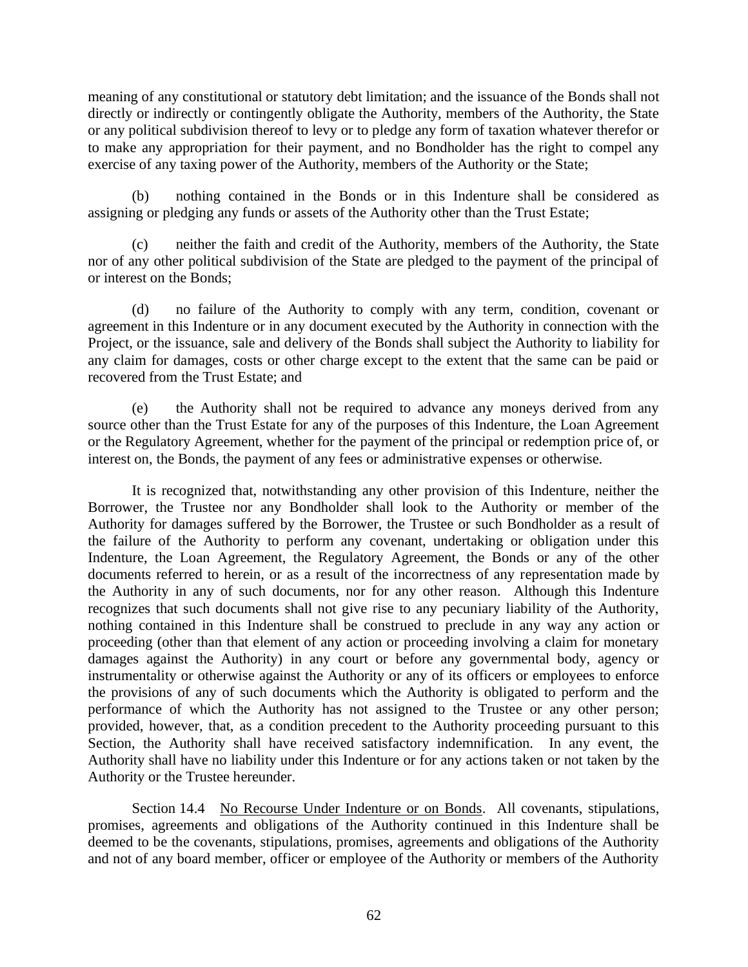meaning of any constitutional or statutory debt limitation; and the issuance of the Bonds shall not directly or indirectly or contingently obligate the Authority, members of the Authority, the State or any political subdivision thereof to levy or to pledge any form of taxation whatever therefor or to make any appropriation for their payment, and no Bondholder has the right to compel any exercise of any taxing power of the Authority, members of the Authority or the State;

(b) nothing contained in the Bonds or in this Indenture shall be considered as assigning or pledging any funds or assets of the Authority other than the Trust Estate;

(c) neither the faith and credit of the Authority, members of the Authority, the State nor of any other political subdivision of the State are pledged to the payment of the principal of or interest on the Bonds;

(d) no failure of the Authority to comply with any term, condition, covenant or agreement in this Indenture or in any document executed by the Authority in connection with the Project, or the issuance, sale and delivery of the Bonds shall subject the Authority to liability for any claim for damages, costs or other charge except to the extent that the same can be paid or recovered from the Trust Estate; and

(e) the Authority shall not be required to advance any moneys derived from any source other than the Trust Estate for any of the purposes of this Indenture, the Loan Agreement or the Regulatory Agreement, whether for the payment of the principal or redemption price of, or interest on, the Bonds, the payment of any fees or administrative expenses or otherwise.

It is recognized that, notwithstanding any other provision of this Indenture, neither the Borrower, the Trustee nor any Bondholder shall look to the Authority or member of the Authority for damages suffered by the Borrower, the Trustee or such Bondholder as a result of the failure of the Authority to perform any covenant, undertaking or obligation under this Indenture, the Loan Agreement, the Regulatory Agreement, the Bonds or any of the other documents referred to herein, or as a result of the incorrectness of any representation made by the Authority in any of such documents, nor for any other reason. Although this Indenture recognizes that such documents shall not give rise to any pecuniary liability of the Authority, nothing contained in this Indenture shall be construed to preclude in any way any action or proceeding (other than that element of any action or proceeding involving a claim for monetary damages against the Authority) in any court or before any governmental body, agency or instrumentality or otherwise against the Authority or any of its officers or employees to enforce the provisions of any of such documents which the Authority is obligated to perform and the performance of which the Authority has not assigned to the Trustee or any other person; provided, however, that, as a condition precedent to the Authority proceeding pursuant to this Section, the Authority shall have received satisfactory indemnification. In any event, the Authority shall have no liability under this Indenture or for any actions taken or not taken by the Authority or the Trustee hereunder.

Section 14.4 No Recourse Under Indenture or on Bonds. All covenants, stipulations, promises, agreements and obligations of the Authority continued in this Indenture shall be deemed to be the covenants, stipulations, promises, agreements and obligations of the Authority and not of any board member, officer or employee of the Authority or members of the Authority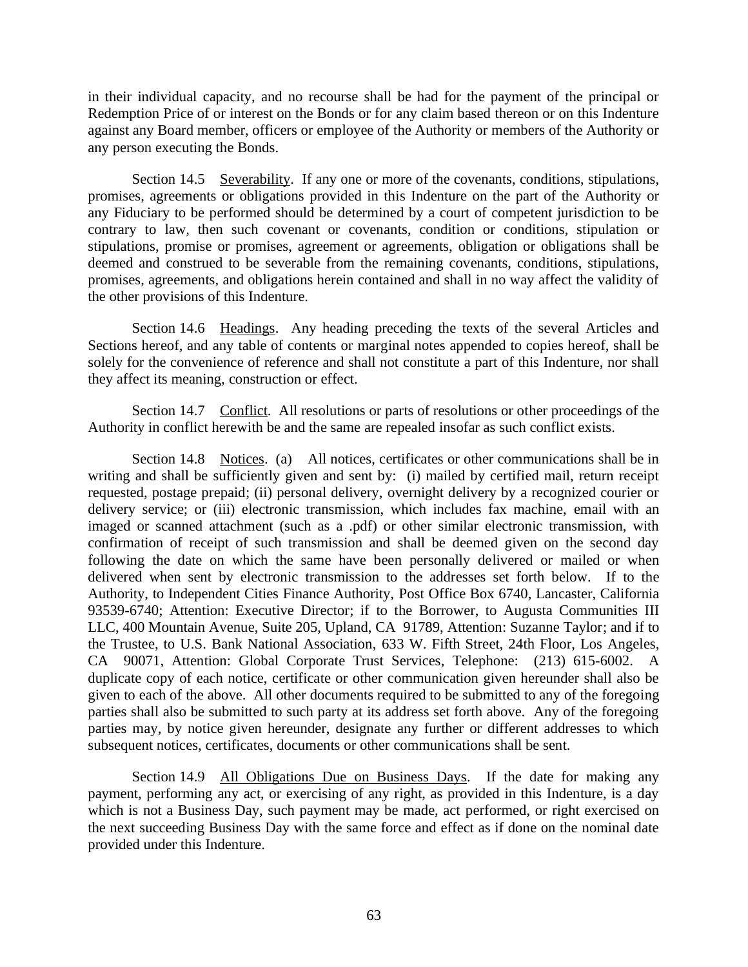in their individual capacity, and no recourse shall be had for the payment of the principal or Redemption Price of or interest on the Bonds or for any claim based thereon or on this Indenture against any Board member, officers or employee of the Authority or members of the Authority or any person executing the Bonds.

Section 14.5 Severability. If any one or more of the covenants, conditions, stipulations, promises, agreements or obligations provided in this Indenture on the part of the Authority or any Fiduciary to be performed should be determined by a court of competent jurisdiction to be contrary to law, then such covenant or covenants, condition or conditions, stipulation or stipulations, promise or promises, agreement or agreements, obligation or obligations shall be deemed and construed to be severable from the remaining covenants, conditions, stipulations, promises, agreements, and obligations herein contained and shall in no way affect the validity of the other provisions of this Indenture.

Section 14.6 Headings. Any heading preceding the texts of the several Articles and Sections hereof, and any table of contents or marginal notes appended to copies hereof, shall be solely for the convenience of reference and shall not constitute a part of this Indenture, nor shall they affect its meaning, construction or effect.

Section 14.7 Conflict. All resolutions or parts of resolutions or other proceedings of the Authority in conflict herewith be and the same are repealed insofar as such conflict exists.

Section 14.8 Notices. (a) All notices, certificates or other communications shall be in writing and shall be sufficiently given and sent by: (i) mailed by certified mail, return receipt requested, postage prepaid; (ii) personal delivery, overnight delivery by a recognized courier or delivery service; or (iii) electronic transmission, which includes fax machine, email with an imaged or scanned attachment (such as a .pdf) or other similar electronic transmission, with confirmation of receipt of such transmission and shall be deemed given on the second day following the date on which the same have been personally delivered or mailed or when delivered when sent by electronic transmission to the addresses set forth below. If to the Authority, to Independent Cities Finance Authority, Post Office Box 6740, Lancaster, California 93539-6740; Attention: Executive Director; if to the Borrower, to Augusta Communities III LLC, 400 Mountain Avenue, Suite 205, Upland, CA 91789, Attention: Suzanne Taylor; and if to the Trustee, to U.S. Bank National Association, 633 W. Fifth Street, 24th Floor, Los Angeles, CA 90071, Attention: Global Corporate Trust Services, Telephone: (213) 615-6002. A duplicate copy of each notice, certificate or other communication given hereunder shall also be given to each of the above. All other documents required to be submitted to any of the foregoing parties shall also be submitted to such party at its address set forth above. Any of the foregoing parties may, by notice given hereunder, designate any further or different addresses to which subsequent notices, certificates, documents or other communications shall be sent.

Section 14.9 All Obligations Due on Business Days. If the date for making any payment, performing any act, or exercising of any right, as provided in this Indenture, is a day which is not a Business Day, such payment may be made, act performed, or right exercised on the next succeeding Business Day with the same force and effect as if done on the nominal date provided under this Indenture.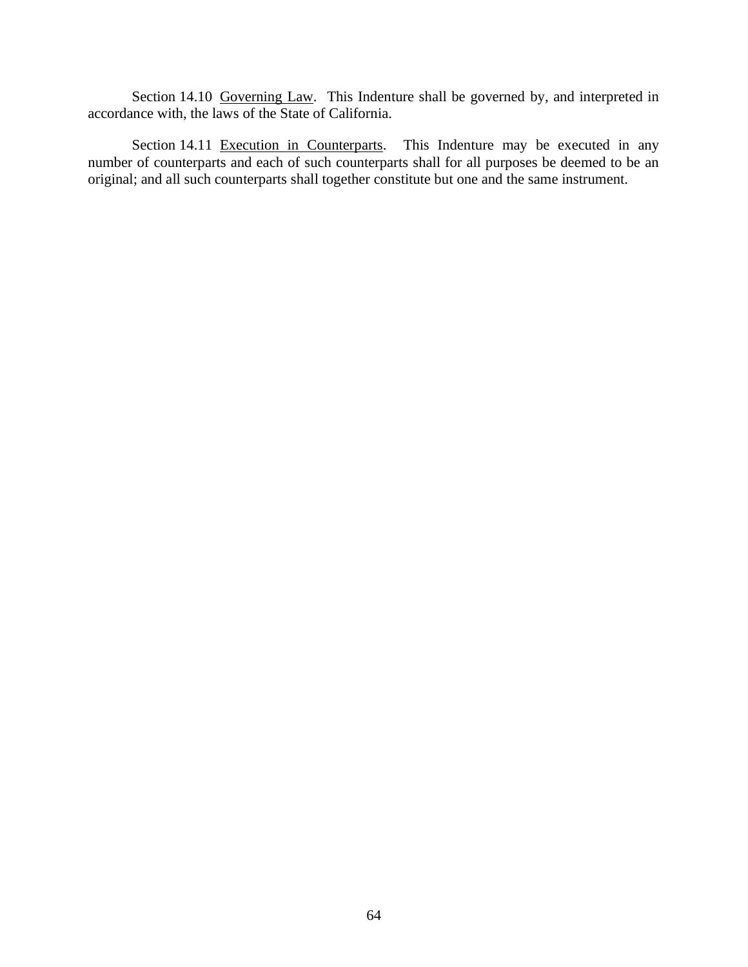Section 14.10 Governing Law. This Indenture shall be governed by, and interpreted in accordance with, the laws of the State of California.

Section 14.11 Execution in Counterparts. This Indenture may be executed in any number of counterparts and each of such counterparts shall for all purposes be deemed to be an original; and all such counterparts shall together constitute but one and the same instrument.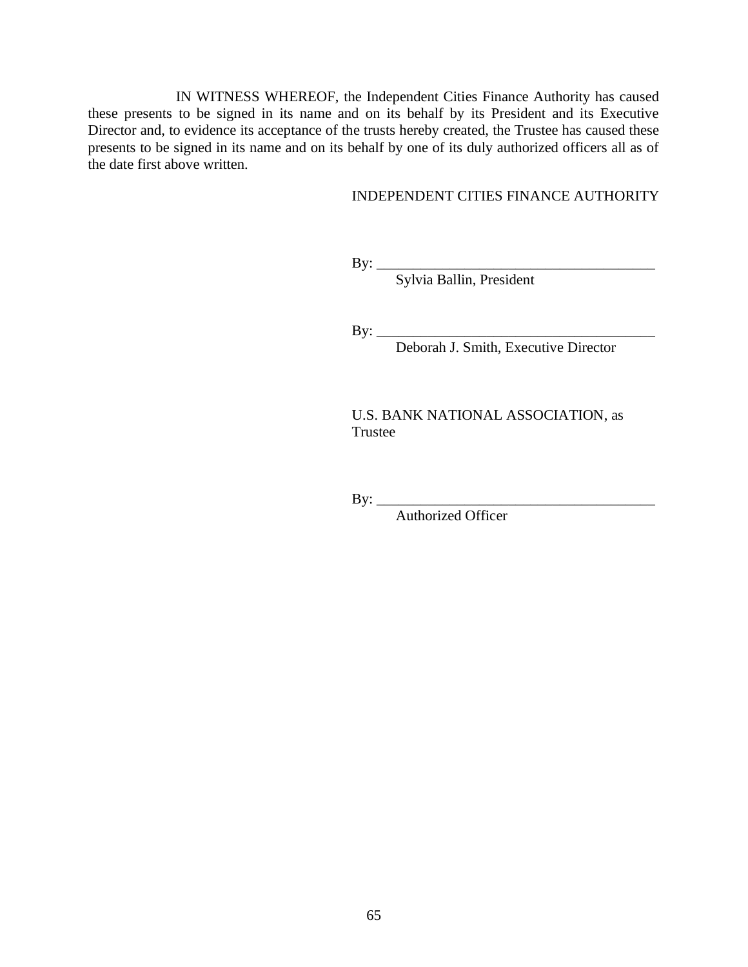IN WITNESS WHEREOF, the Independent Cities Finance Authority has caused these presents to be signed in its name and on its behalf by its President and its Executive Director and, to evidence its acceptance of the trusts hereby created, the Trustee has caused these presents to be signed in its name and on its behalf by one of its duly authorized officers all as of the date first above written.

### INDEPENDENT CITIES FINANCE AUTHORITY

By: \_\_\_\_\_\_\_\_\_\_\_\_\_\_\_\_\_\_\_\_\_\_\_\_\_\_\_\_\_\_\_\_\_\_\_\_\_\_

Sylvia Ballin, President

By: \_\_\_\_\_\_\_\_\_\_\_\_\_\_\_\_\_\_\_\_\_\_\_\_\_\_\_\_\_\_\_\_\_\_\_\_\_\_

Deborah J. Smith, Executive Director

U.S. BANK NATIONAL ASSOCIATION, as Trustee

 $By: \_$ 

Authorized Officer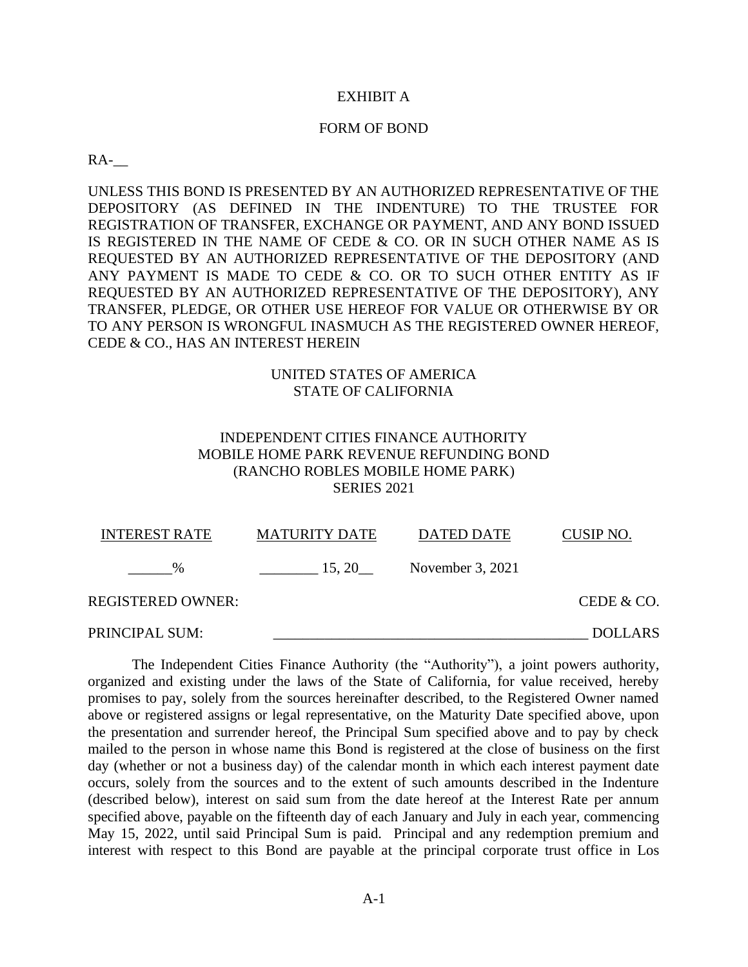#### EXHIBIT A

#### FORM OF BOND

### $RA$ -

UNLESS THIS BOND IS PRESENTED BY AN AUTHORIZED REPRESENTATIVE OF THE DEPOSITORY (AS DEFINED IN THE INDENTURE) TO THE TRUSTEE FOR REGISTRATION OF TRANSFER, EXCHANGE OR PAYMENT, AND ANY BOND ISSUED IS REGISTERED IN THE NAME OF CEDE & CO. OR IN SUCH OTHER NAME AS IS REQUESTED BY AN AUTHORIZED REPRESENTATIVE OF THE DEPOSITORY (AND ANY PAYMENT IS MADE TO CEDE & CO. OR TO SUCH OTHER ENTITY AS IF REQUESTED BY AN AUTHORIZED REPRESENTATIVE OF THE DEPOSITORY), ANY TRANSFER, PLEDGE, OR OTHER USE HEREOF FOR VALUE OR OTHERWISE BY OR TO ANY PERSON IS WRONGFUL INASMUCH AS THE REGISTERED OWNER HEREOF, CEDE & CO., HAS AN INTEREST HEREIN

# UNITED STATES OF AMERICA STATE OF CALIFORNIA

# INDEPENDENT CITIES FINANCE AUTHORITY MOBILE HOME PARK REVENUE REFUNDING BOND (RANCHO ROBLES MOBILE HOME PARK) SERIES 2021

| <b>INTEREST RATE</b> | <b>MATURITY DATE</b> | DATED DATE       | CUSIP NO.      |
|----------------------|----------------------|------------------|----------------|
| $\%$                 | 15, 20               | November 3, 2021 |                |
| REGISTERED OWNER:    |                      |                  | CEDE & CO.     |
| PRINCIPAL SUM:       |                      |                  | <b>DOLLARS</b> |

The Independent Cities Finance Authority (the "Authority"), a joint powers authority, organized and existing under the laws of the State of California, for value received, hereby promises to pay, solely from the sources hereinafter described, to the Registered Owner named above or registered assigns or legal representative, on the Maturity Date specified above, upon the presentation and surrender hereof, the Principal Sum specified above and to pay by check mailed to the person in whose name this Bond is registered at the close of business on the first day (whether or not a business day) of the calendar month in which each interest payment date occurs, solely from the sources and to the extent of such amounts described in the Indenture (described below), interest on said sum from the date hereof at the Interest Rate per annum specified above, payable on the fifteenth day of each January and July in each year, commencing May 15, 2022, until said Principal Sum is paid. Principal and any redemption premium and interest with respect to this Bond are payable at the principal corporate trust office in Los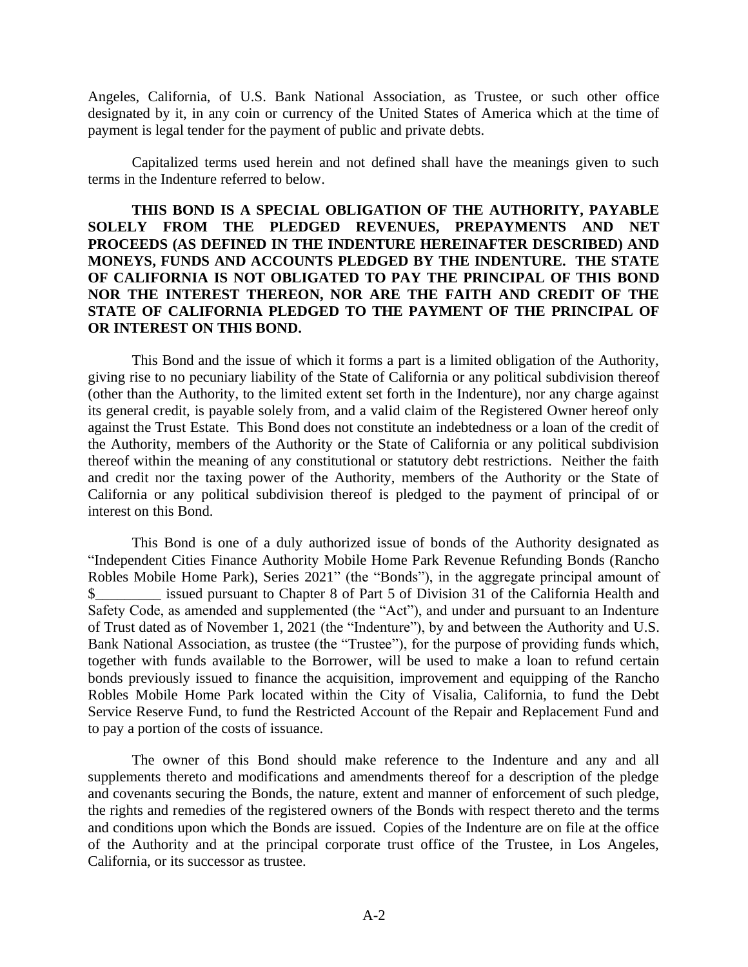Angeles, California, of U.S. Bank National Association, as Trustee, or such other office designated by it, in any coin or currency of the United States of America which at the time of payment is legal tender for the payment of public and private debts.

Capitalized terms used herein and not defined shall have the meanings given to such terms in the Indenture referred to below.

# **THIS BOND IS A SPECIAL OBLIGATION OF THE AUTHORITY, PAYABLE SOLELY FROM THE PLEDGED REVENUES, PREPAYMENTS AND NET PROCEEDS (AS DEFINED IN THE INDENTURE HEREINAFTER DESCRIBED) AND MONEYS, FUNDS AND ACCOUNTS PLEDGED BY THE INDENTURE. THE STATE OF CALIFORNIA IS NOT OBLIGATED TO PAY THE PRINCIPAL OF THIS BOND NOR THE INTEREST THEREON, NOR ARE THE FAITH AND CREDIT OF THE STATE OF CALIFORNIA PLEDGED TO THE PAYMENT OF THE PRINCIPAL OF OR INTEREST ON THIS BOND.**

This Bond and the issue of which it forms a part is a limited obligation of the Authority, giving rise to no pecuniary liability of the State of California or any political subdivision thereof (other than the Authority, to the limited extent set forth in the Indenture), nor any charge against its general credit, is payable solely from, and a valid claim of the Registered Owner hereof only against the Trust Estate. This Bond does not constitute an indebtedness or a loan of the credit of the Authority, members of the Authority or the State of California or any political subdivision thereof within the meaning of any constitutional or statutory debt restrictions. Neither the faith and credit nor the taxing power of the Authority, members of the Authority or the State of California or any political subdivision thereof is pledged to the payment of principal of or interest on this Bond.

This Bond is one of a duly authorized issue of bonds of the Authority designated as "Independent Cities Finance Authority Mobile Home Park Revenue Refunding Bonds (Rancho Robles Mobile Home Park), Series 2021" (the "Bonds"), in the aggregate principal amount of \$<br>Shows a second pursuant to Chapter 8 of Part 5 of Division 31 of the California Health and Safety Code, as amended and supplemented (the "Act"), and under and pursuant to an Indenture of Trust dated as of November 1, 2021 (the "Indenture"), by and between the Authority and U.S. Bank National Association, as trustee (the "Trustee"), for the purpose of providing funds which, together with funds available to the Borrower, will be used to make a loan to refund certain bonds previously issued to finance the acquisition, improvement and equipping of the Rancho Robles Mobile Home Park located within the City of Visalia, California, to fund the Debt Service Reserve Fund, to fund the Restricted Account of the Repair and Replacement Fund and to pay a portion of the costs of issuance.

The owner of this Bond should make reference to the Indenture and any and all supplements thereto and modifications and amendments thereof for a description of the pledge and covenants securing the Bonds, the nature, extent and manner of enforcement of such pledge, the rights and remedies of the registered owners of the Bonds with respect thereto and the terms and conditions upon which the Bonds are issued. Copies of the Indenture are on file at the office of the Authority and at the principal corporate trust office of the Trustee, in Los Angeles, California, or its successor as trustee.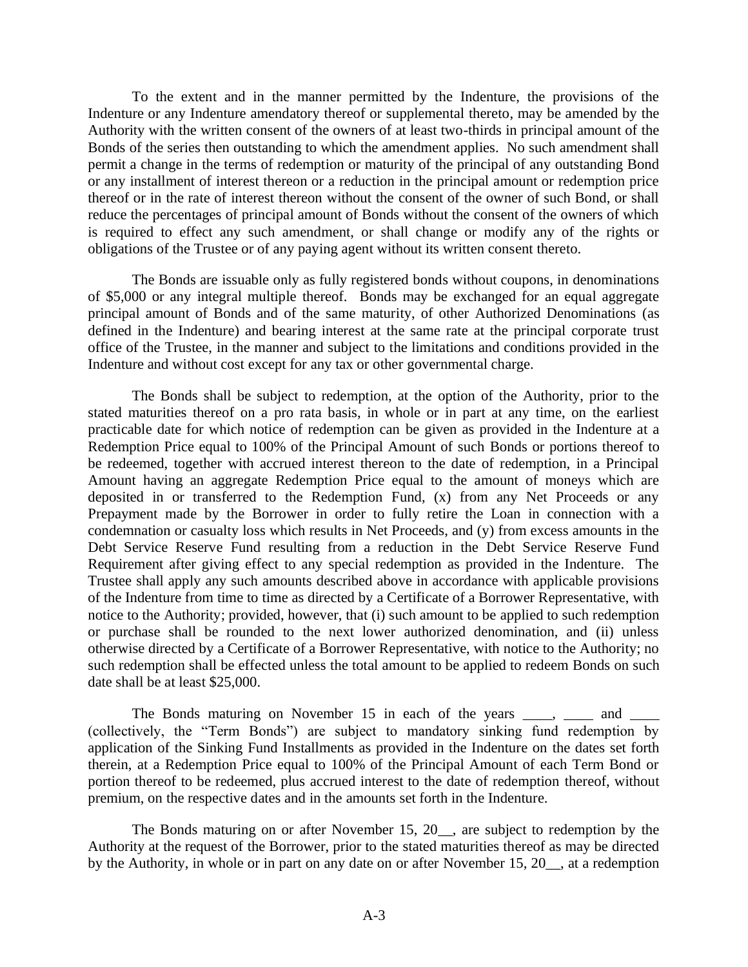To the extent and in the manner permitted by the Indenture, the provisions of the Indenture or any Indenture amendatory thereof or supplemental thereto, may be amended by the Authority with the written consent of the owners of at least two-thirds in principal amount of the Bonds of the series then outstanding to which the amendment applies. No such amendment shall permit a change in the terms of redemption or maturity of the principal of any outstanding Bond or any installment of interest thereon or a reduction in the principal amount or redemption price thereof or in the rate of interest thereon without the consent of the owner of such Bond, or shall reduce the percentages of principal amount of Bonds without the consent of the owners of which is required to effect any such amendment, or shall change or modify any of the rights or obligations of the Trustee or of any paying agent without its written consent thereto.

The Bonds are issuable only as fully registered bonds without coupons, in denominations of \$5,000 or any integral multiple thereof. Bonds may be exchanged for an equal aggregate principal amount of Bonds and of the same maturity, of other Authorized Denominations (as defined in the Indenture) and bearing interest at the same rate at the principal corporate trust office of the Trustee, in the manner and subject to the limitations and conditions provided in the Indenture and without cost except for any tax or other governmental charge.

The Bonds shall be subject to redemption, at the option of the Authority, prior to the stated maturities thereof on a pro rata basis, in whole or in part at any time, on the earliest practicable date for which notice of redemption can be given as provided in the Indenture at a Redemption Price equal to 100% of the Principal Amount of such Bonds or portions thereof to be redeemed, together with accrued interest thereon to the date of redemption, in a Principal Amount having an aggregate Redemption Price equal to the amount of moneys which are deposited in or transferred to the Redemption Fund, (x) from any Net Proceeds or any Prepayment made by the Borrower in order to fully retire the Loan in connection with a condemnation or casualty loss which results in Net Proceeds, and (y) from excess amounts in the Debt Service Reserve Fund resulting from a reduction in the Debt Service Reserve Fund Requirement after giving effect to any special redemption as provided in the Indenture. The Trustee shall apply any such amounts described above in accordance with applicable provisions of the Indenture from time to time as directed by a Certificate of a Borrower Representative, with notice to the Authority; provided, however, that (i) such amount to be applied to such redemption or purchase shall be rounded to the next lower authorized denomination, and (ii) unless otherwise directed by a Certificate of a Borrower Representative, with notice to the Authority; no such redemption shall be effected unless the total amount to be applied to redeem Bonds on such date shall be at least \$25,000.

The Bonds maturing on November 15 in each of the years each contained and  $\alpha$ (collectively, the "Term Bonds") are subject to mandatory sinking fund redemption by application of the Sinking Fund Installments as provided in the Indenture on the dates set forth therein, at a Redemption Price equal to 100% of the Principal Amount of each Term Bond or portion thereof to be redeemed, plus accrued interest to the date of redemption thereof, without premium, on the respective dates and in the amounts set forth in the Indenture.

The Bonds maturing on or after November 15, 20\_\_, are subject to redemption by the Authority at the request of the Borrower, prior to the stated maturities thereof as may be directed by the Authority, in whole or in part on any date on or after November 15, 20\_\_, at a redemption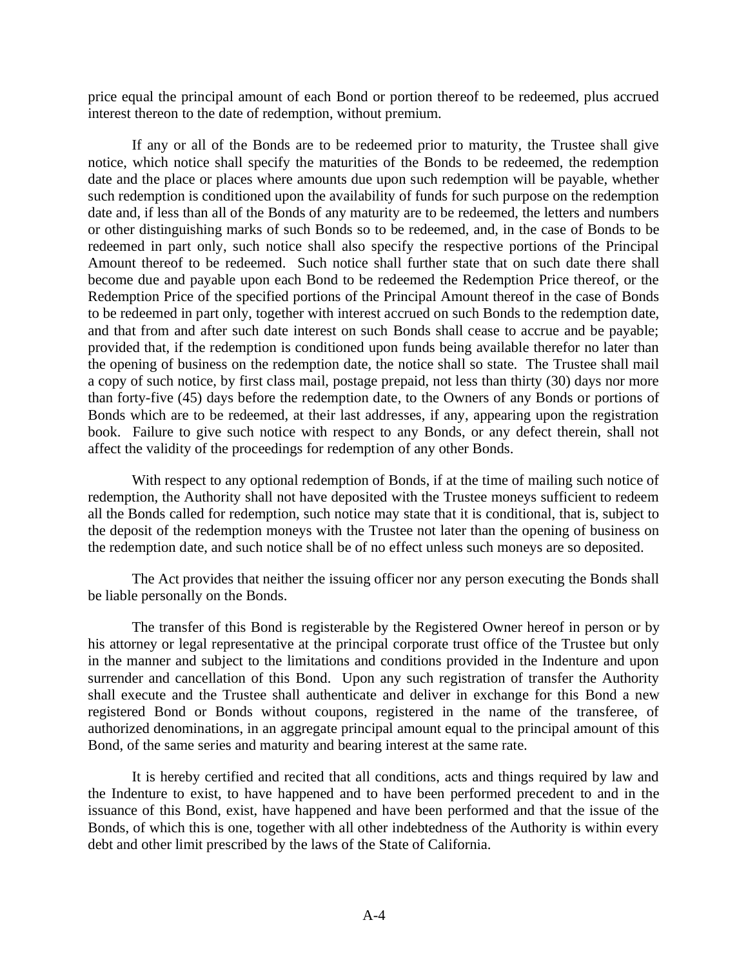price equal the principal amount of each Bond or portion thereof to be redeemed, plus accrued interest thereon to the date of redemption, without premium.

If any or all of the Bonds are to be redeemed prior to maturity, the Trustee shall give notice, which notice shall specify the maturities of the Bonds to be redeemed, the redemption date and the place or places where amounts due upon such redemption will be payable, whether such redemption is conditioned upon the availability of funds for such purpose on the redemption date and, if less than all of the Bonds of any maturity are to be redeemed, the letters and numbers or other distinguishing marks of such Bonds so to be redeemed, and, in the case of Bonds to be redeemed in part only, such notice shall also specify the respective portions of the Principal Amount thereof to be redeemed. Such notice shall further state that on such date there shall become due and payable upon each Bond to be redeemed the Redemption Price thereof, or the Redemption Price of the specified portions of the Principal Amount thereof in the case of Bonds to be redeemed in part only, together with interest accrued on such Bonds to the redemption date, and that from and after such date interest on such Bonds shall cease to accrue and be payable; provided that, if the redemption is conditioned upon funds being available therefor no later than the opening of business on the redemption date, the notice shall so state. The Trustee shall mail a copy of such notice, by first class mail, postage prepaid, not less than thirty (30) days nor more than forty-five (45) days before the redemption date, to the Owners of any Bonds or portions of Bonds which are to be redeemed, at their last addresses, if any, appearing upon the registration book. Failure to give such notice with respect to any Bonds, or any defect therein, shall not affect the validity of the proceedings for redemption of any other Bonds.

With respect to any optional redemption of Bonds, if at the time of mailing such notice of redemption, the Authority shall not have deposited with the Trustee moneys sufficient to redeem all the Bonds called for redemption, such notice may state that it is conditional, that is, subject to the deposit of the redemption moneys with the Trustee not later than the opening of business on the redemption date, and such notice shall be of no effect unless such moneys are so deposited.

The Act provides that neither the issuing officer nor any person executing the Bonds shall be liable personally on the Bonds.

The transfer of this Bond is registerable by the Registered Owner hereof in person or by his attorney or legal representative at the principal corporate trust office of the Trustee but only in the manner and subject to the limitations and conditions provided in the Indenture and upon surrender and cancellation of this Bond. Upon any such registration of transfer the Authority shall execute and the Trustee shall authenticate and deliver in exchange for this Bond a new registered Bond or Bonds without coupons, registered in the name of the transferee, of authorized denominations, in an aggregate principal amount equal to the principal amount of this Bond, of the same series and maturity and bearing interest at the same rate.

It is hereby certified and recited that all conditions, acts and things required by law and the Indenture to exist, to have happened and to have been performed precedent to and in the issuance of this Bond, exist, have happened and have been performed and that the issue of the Bonds, of which this is one, together with all other indebtedness of the Authority is within every debt and other limit prescribed by the laws of the State of California.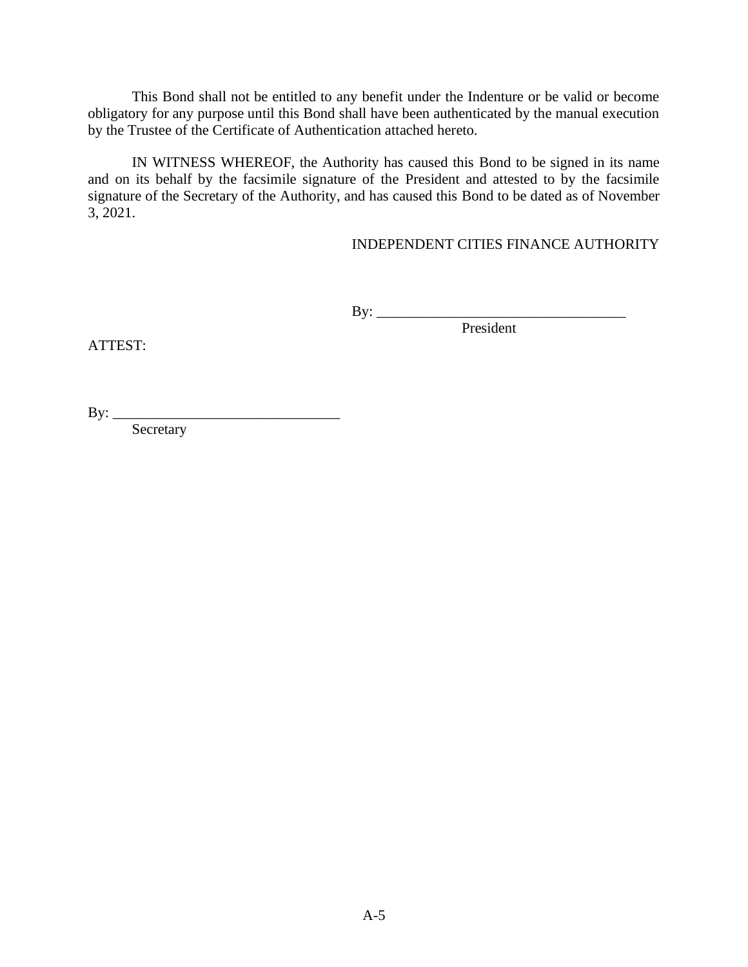This Bond shall not be entitled to any benefit under the Indenture or be valid or become obligatory for any purpose until this Bond shall have been authenticated by the manual execution by the Trustee of the Certificate of Authentication attached hereto.

IN WITNESS WHEREOF, the Authority has caused this Bond to be signed in its name and on its behalf by the facsimile signature of the President and attested to by the facsimile signature of the Secretary of the Authority, and has caused this Bond to be dated as of November 3, 2021.

## INDEPENDENT CITIES FINANCE AUTHORITY

By: \_\_\_\_\_\_\_\_\_\_\_\_\_\_\_\_\_\_\_\_\_\_\_\_\_\_\_\_\_\_\_\_\_\_

President

ATTEST:

By: \_\_\_\_\_\_\_\_\_\_\_\_\_\_\_\_\_\_\_\_\_\_\_\_\_\_\_\_\_\_\_

Secretary